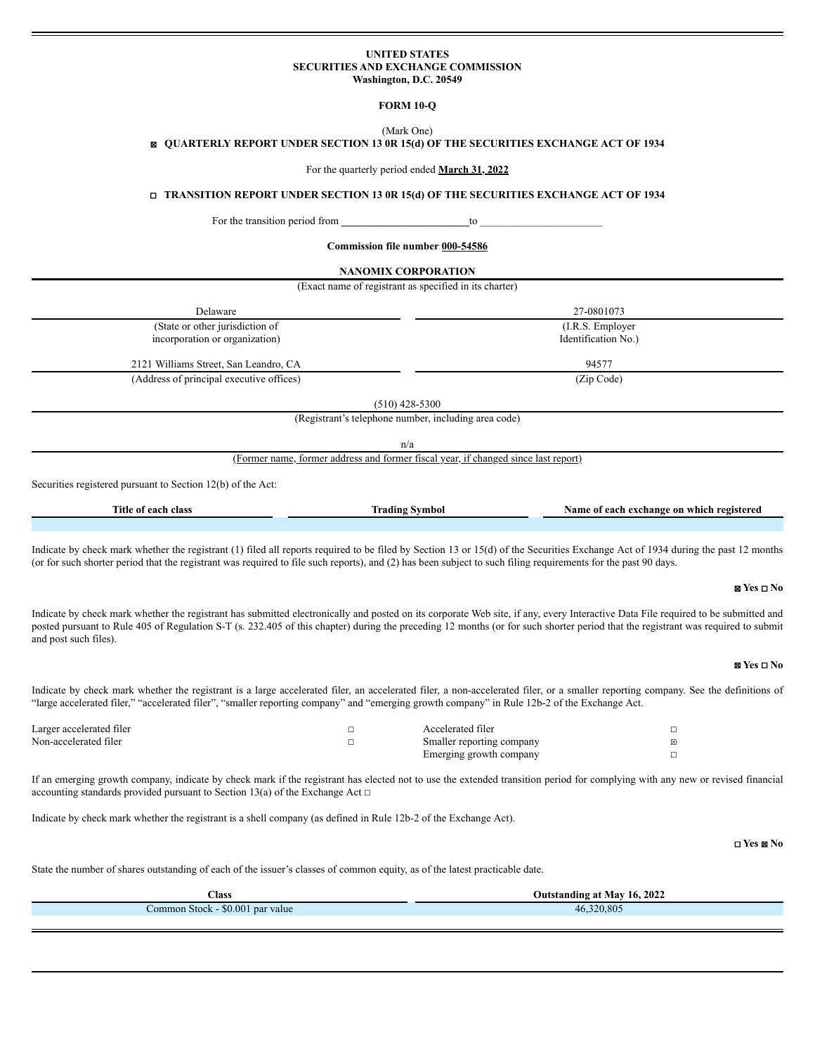# **UNITED STATES SECURITIES AND EXCHANGE COMMISSION Washington, D.C. 20549**

**FORM 10-Q**

(Mark One)

☒ **QUARTERLY REPORT UNDER SECTION 13 0R 15(d) OF THE SECURITIES EXCHANGE ACT OF 1934**

For the quarterly period ended **March 31, 2022**

☐ **TRANSITION REPORT UNDER SECTION 13 0R 15(d) OF THE SECURITIES EXCHANGE ACT OF 1934**

For the transition period from **\_\_\_\_\_\_\_\_\_\_\_\_\_\_\_\_\_\_\_\_\_\_\_\_**to \_\_\_\_\_\_\_\_\_\_\_\_\_\_\_\_\_\_\_\_\_\_\_

**Commission file number 000-54586**

**NANOMIX CORPORATION** (Exact name of registrant as specified in its charter) Delaware 27-0801073 (State or other jurisdiction of incorporation or organization) (I.R.S. Employer Identification No.) 2121 Williams Street, San Leandro, CA 94577 (Address of principal executive offices) (Zip Code) (510) 428-5300 (Registrant's telephone number, including area code) n/a (Former name, former address and former fiscal year, if changed since last report) Securities registered pursuant to Section 12(b) of the Act: **Title of each class Trading Symbol Name of each exchange on which registered** Indicate by check mark whether the registrant (1) filed all reports required to be filed by Section 13 or 15(d) of the Securities Exchange Act of 1934 during the past 12 months (or for such shorter period that the registrant was required to file such reports), and (2) has been subject to such filing requirements for the past 90 days. ☒ **Yes** ☐ **No** Indicate by check mark whether the registrant has submitted electronically and posted on its corporate Web site, if any, every Interactive Data File required to be submitted and posted pursuant to Rule 405 of Regulation S-T (s. 232.405 of this chapter) during the preceding 12 months (or for such shorter period that the registrant was required to submit and post such files). ☒ **Yes** ☐ **No** Indicate by check mark whether the registrant is a large accelerated filer, an accelerated filer, a non-accelerated filer, or a smaller reporting company. See the definitions of "large accelerated filer," "accelerated filer", "smaller reporting company" and "emerging growth company" in Rule 12b-2 of the Exchange Act. Larger accelerated filer □ Accelerated filer □ □ Non-accelerated filer **⊠** □ Smaller reporting company **⊠** Emerging growth company **□** If an emerging growth company, indicate by check mark if the registrant has elected not to use the extended transition period for complying with any new or revised financial accounting standards provided pursuant to Section 13(a) of the Exchange Act  $□$ Indicate by check mark whether the registrant is a shell company (as defined in Rule 12b-2 of the Exchange Act). ☐ **Yes** ☒ **No** State the number of shares outstanding of each of the issuer's classes of common equity, as of the latest practicable date.

| $\bigcap$ ass                           | Outstanding at May 16, 2022 |
|-----------------------------------------|-----------------------------|
| $-$ \$0.001 par value<br>Common Stock · | 46,320,805                  |
|                                         |                             |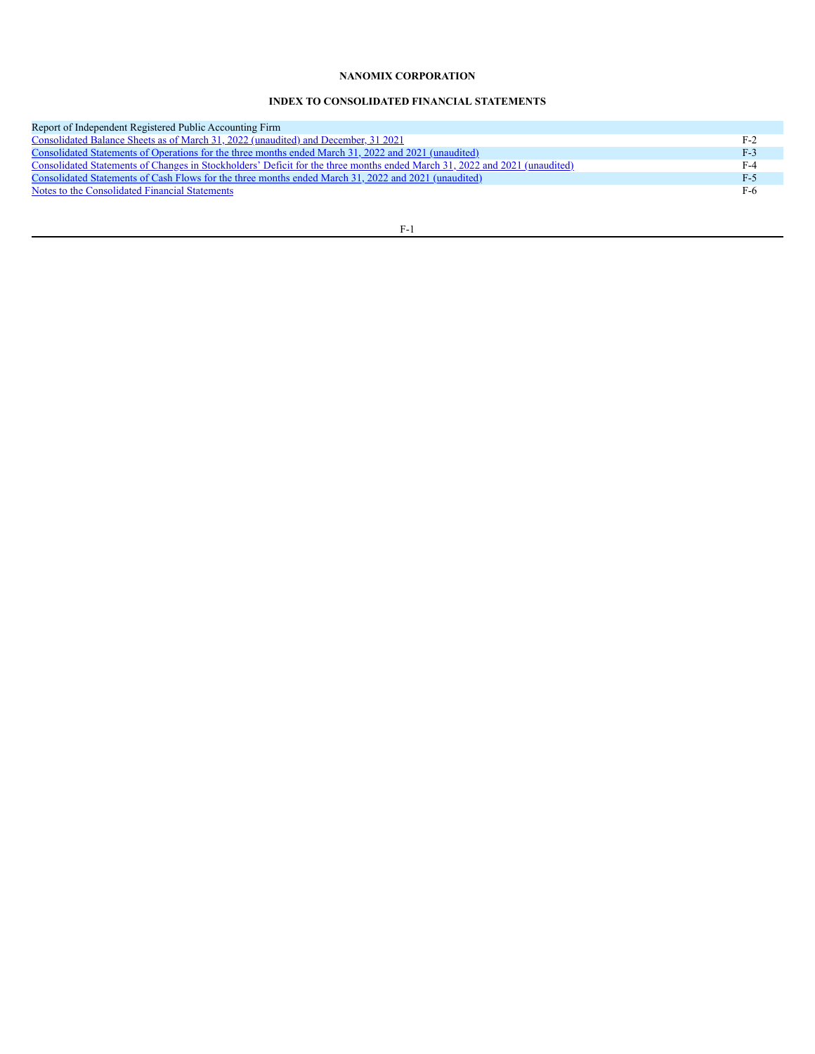# **NANOMIX CORPORATION**

# **INDEX TO CONSOLIDATED FINANCIAL STATEMENTS**

| Report of Independent Registered Public Accounting Firm                                                                    |       |
|----------------------------------------------------------------------------------------------------------------------------|-------|
| Consolidated Balance Sheets as of March 31, 2022 (unaudited) and December, 31 2021                                         | F-2   |
| Consolidated Statements of Operations for the three months ended March 31, 2022 and 2021 (unaudited)                       | $F-3$ |
| Consolidated Statements of Changes in Stockholders' Deficit for the three months ended March 31, 2022 and 2021 (unaudited) | $F-4$ |
| Consolidated Statements of Cash Flows for the three months ended March 31, 2022 and 2021 (unaudited)                       | $F-5$ |
| Notes to the Consolidated Financial Statements                                                                             | $F-6$ |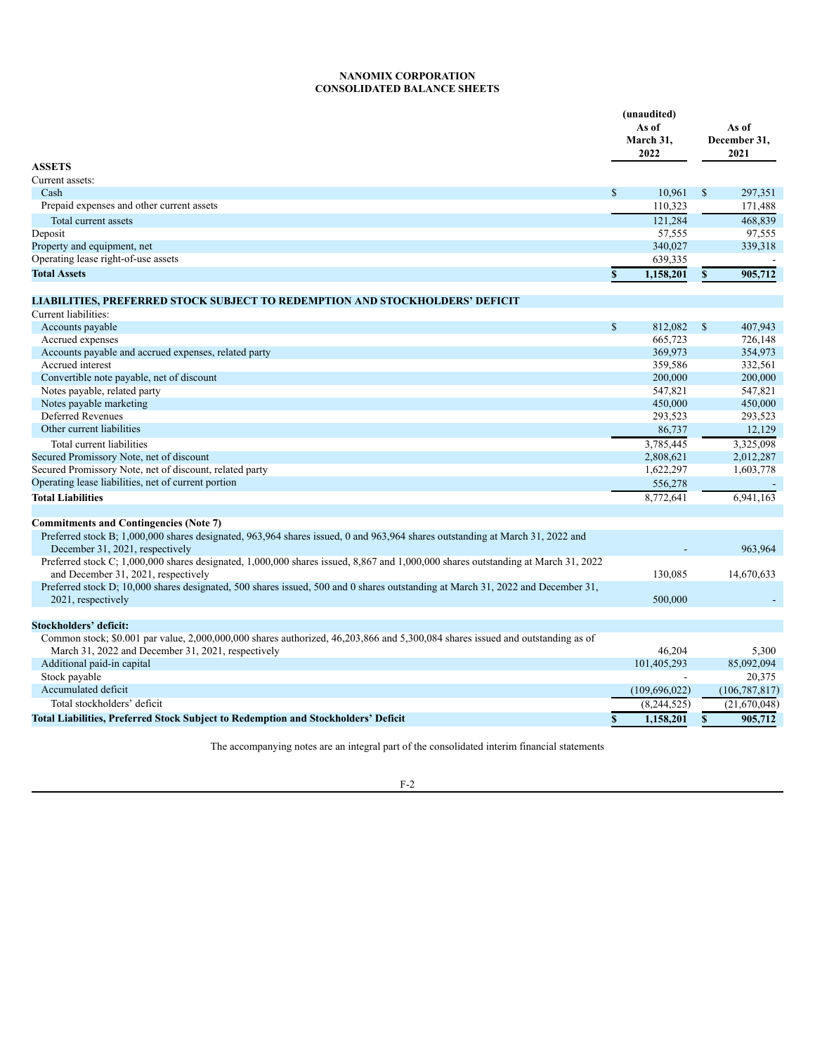# **NANOMIX CORPORATION CONSOLIDATED BALANCE SHEETS**

<span id="page-2-0"></span>

|                                                                                                                                                                  |              | (unaudited)<br>As of<br>March 31,<br>2022 |                         | As of<br>December 31,<br>2021 |  |
|------------------------------------------------------------------------------------------------------------------------------------------------------------------|--------------|-------------------------------------------|-------------------------|-------------------------------|--|
| <b>ASSETS</b>                                                                                                                                                    |              |                                           |                         |                               |  |
| Current assets:                                                                                                                                                  |              |                                           |                         |                               |  |
| Cash                                                                                                                                                             | $\mathbb{S}$ | 10,961                                    | $\mathbb{S}$            | 297,351                       |  |
| Prepaid expenses and other current assets                                                                                                                        |              | 110,323                                   |                         | 171,488                       |  |
| Total current assets                                                                                                                                             |              | 121,284                                   |                         | 468,839                       |  |
| Deposit                                                                                                                                                          |              | 57,555                                    |                         | 97,555                        |  |
| Property and equipment, net                                                                                                                                      |              | 340,027                                   |                         | 339,318                       |  |
| Operating lease right-of-use assets                                                                                                                              |              | 639,335                                   |                         |                               |  |
| <b>Total Assets</b>                                                                                                                                              | \$           | 1,158,201                                 | $\overline{\mathbf{s}}$ | 905,712                       |  |
| LIABILITIES, PREFERRED STOCK SUBJECT TO REDEMPTION AND STOCKHOLDERS' DEFICIT                                                                                     |              |                                           |                         |                               |  |
| Current liabilities:                                                                                                                                             |              |                                           |                         |                               |  |
| Accounts payable                                                                                                                                                 | $\mathbb{S}$ | 812,082                                   | $\mathcal{S}$           | 407,943                       |  |
| Accrued expenses                                                                                                                                                 |              | 665,723                                   |                         | 726,148                       |  |
| Accounts payable and accrued expenses, related party                                                                                                             |              | 369,973                                   |                         | 354,973                       |  |
| Accrued interest                                                                                                                                                 |              | 359,586                                   |                         | 332,561                       |  |
| Convertible note payable, net of discount                                                                                                                        |              | 200,000                                   |                         | 200,000                       |  |
| Notes payable, related party                                                                                                                                     |              | 547,821                                   |                         | 547,821                       |  |
| Notes payable marketing                                                                                                                                          |              | 450,000                                   |                         | 450,000                       |  |
| <b>Deferred Revenues</b>                                                                                                                                         |              | 293,523                                   |                         | 293,523                       |  |
| Other current liabilities                                                                                                                                        |              | 86,737                                    |                         | 12,129                        |  |
| Total current liabilities                                                                                                                                        |              | 3,785,445                                 |                         | 3,325,098                     |  |
| Secured Promissory Note, net of discount                                                                                                                         |              | 2,808,621                                 |                         | 2,012,287                     |  |
| Secured Promissory Note, net of discount, related party                                                                                                          |              | 1,622,297                                 |                         | 1,603,778                     |  |
| Operating lease liabilities, net of current portion                                                                                                              |              | 556,278                                   |                         |                               |  |
| <b>Total Liabilities</b>                                                                                                                                         |              | 8,772,641                                 |                         | 6,941,163                     |  |
|                                                                                                                                                                  |              |                                           |                         |                               |  |
| <b>Commitments and Contingencies (Note 7)</b>                                                                                                                    |              |                                           |                         |                               |  |
| Preferred stock B; 1,000,000 shares designated, 963,964 shares issued, 0 and 963,964 shares outstanding at March 31, 2022 and<br>December 31, 2021, respectively |              |                                           |                         | 963,964                       |  |
| Preferred stock C; 1,000,000 shares designated, 1,000,000 shares issued, 8,867 and 1,000,000 shares outstanding at March 31, 2022                                |              |                                           |                         |                               |  |
| and December 31, 2021, respectively                                                                                                                              |              | 130,085                                   |                         | 14,670,633                    |  |
| Preferred stock D; 10,000 shares designated, 500 shares issued, 500 and 0 shares outstanding at March 31, 2022 and December 31,<br>2021, respectively            |              | 500,000                                   |                         |                               |  |
| Stockholders' deficit:                                                                                                                                           |              |                                           |                         |                               |  |
| Common stock; \$0.001 par value, 2,000,000,000 shares authorized, 46,203,866 and 5,300,084 shares issued and outstanding as of                                   |              |                                           |                         |                               |  |
| March 31, 2022 and December 31, 2021, respectively                                                                                                               |              | 46,204                                    |                         | 5,300                         |  |
| Additional paid-in capital                                                                                                                                       |              | 101,405,293                               |                         | 85,092,094                    |  |
| Stock payable                                                                                                                                                    |              |                                           |                         | 20,375                        |  |
| Accumulated deficit                                                                                                                                              |              | (109, 696, 022)                           |                         | (106, 787, 817)               |  |
| Total stockholders' deficit                                                                                                                                      |              | (8, 244, 525)                             |                         | (21,670,048)                  |  |
| Total Liabilities, Preferred Stock Subject to Redemption and Stockholders' Deficit                                                                               | \$           | 1,158,201                                 | <sup>\$</sup>           | 905,712                       |  |
|                                                                                                                                                                  |              |                                           |                         |                               |  |

The accompanying notes are an integral part of the consolidated interim financial statements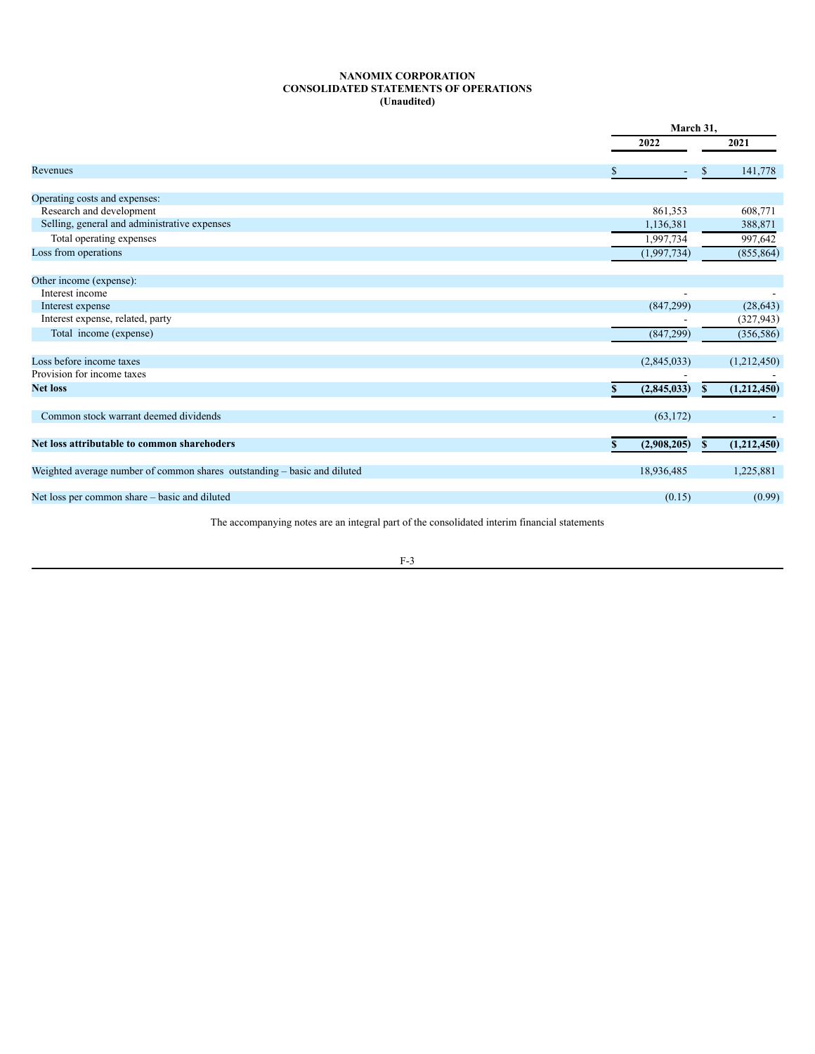# **NANOMIX CORPORATION CONSOLIDATED STATEMENTS OF OPERATIONS (Unaudited)**

<span id="page-3-0"></span>

|                                                                          |                   | March 31,                   |
|--------------------------------------------------------------------------|-------------------|-----------------------------|
|                                                                          | 2022              | 2021                        |
| Revenues                                                                 | ٠                 | 141,778<br>\$               |
| Operating costs and expenses:                                            |                   |                             |
| Research and development                                                 | 861,353           | 608,771                     |
| Selling, general and administrative expenses                             | 1,136,381         | 388,871                     |
| Total operating expenses                                                 | 1,997,734         | 997,642                     |
| Loss from operations                                                     | (1,997,734)       | (855, 864)                  |
| Other income (expense):                                                  |                   |                             |
| Interest income                                                          |                   |                             |
| Interest expense                                                         | (847, 299)        | (28, 643)                   |
| Interest expense, related, party                                         |                   | (327, 943)                  |
| Total income (expense)                                                   | (847,299)         | (356, 586)                  |
| Loss before income taxes                                                 | (2,845,033)       | (1,212,450)                 |
| Provision for income taxes                                               |                   |                             |
| <b>Net loss</b>                                                          | (2,845,033)<br>\$ | (1,212,450)<br>$\mathbf{s}$ |
| Common stock warrant deemed dividends                                    | (63, 172)         |                             |
| Net loss attributable to common sharehoders                              | (2,908,205)<br>\$ | (1,212,450)<br>$\mathbf{s}$ |
| Weighted average number of common shares outstanding – basic and diluted | 18,936,485        | 1,225,881                   |
|                                                                          |                   |                             |
| Net loss per common share – basic and diluted                            | (0.15)            | (0.99)                      |

The accompanying notes are an integral part of the consolidated interim financial statements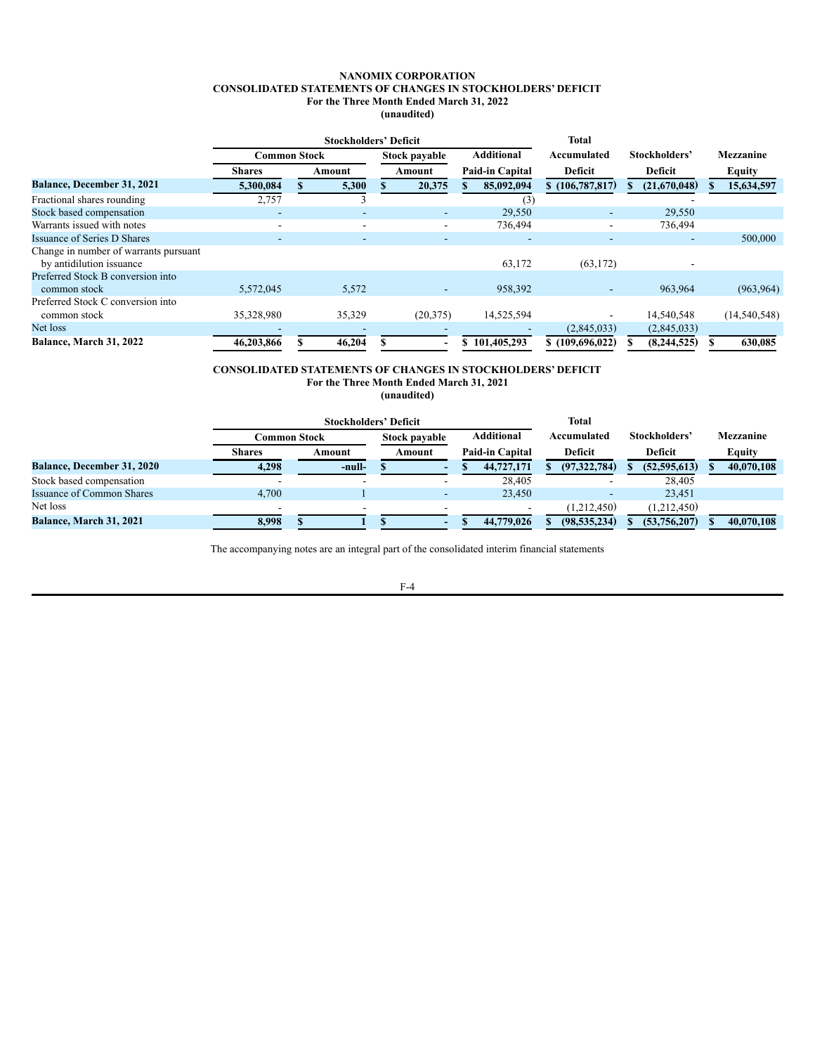# **NANOMIX CORPORATION CONSOLIDATED STATEMENTS OF CHANGES IN STOCKHOLDERS' DEFICIT For the Three Month Ended March 31, 2022 (unaudited)**

<span id="page-4-0"></span>

|                                       | <b>Stockholders' Deficit</b> |                     |                          | <b>Total</b>           |                          |               |                  |
|---------------------------------------|------------------------------|---------------------|--------------------------|------------------------|--------------------------|---------------|------------------|
|                                       |                              | <b>Common Stock</b> | Stock payable            | <b>Additional</b>      | Accumulated              | Stockholders' | <b>Mezzanine</b> |
|                                       | <b>Shares</b>                | Amount              | Amount                   | <b>Paid-in Capital</b> | Deficit                  | Deficit       | Equity           |
| <b>Balance, December 31, 2021</b>     | 5,300,084                    | 5,300               | 20,375                   | 85,092,094             | \$(106, 787, 817)        | (21,670,048)  | 15,634,597       |
| Fractional shares rounding            | 2,757                        |                     |                          | (3)                    |                          |               |                  |
| Stock based compensation              |                              |                     | ۰                        | 29,550                 | $\overline{\phantom{0}}$ | 29,550        |                  |
| Warrants issued with notes            |                              |                     | $\overline{\phantom{a}}$ | 736,494                |                          | 736,494       |                  |
| Issuance of Series D Shares           |                              |                     |                          |                        |                          |               | 500,000          |
| Change in number of warrants pursuant |                              |                     |                          |                        |                          |               |                  |
| by antidilution issuance              |                              |                     |                          | 63,172                 | (63, 172)                |               |                  |
| Preferred Stock B conversion into     |                              |                     |                          |                        |                          |               |                  |
| common stock                          | 5,572,045                    | 5,572               | ٠                        | 958,392                | ٠                        | 963,964       | (963, 964)       |
| Preferred Stock C conversion into     |                              |                     |                          |                        |                          |               |                  |
| common stock                          | 35,328,980                   | 35,329              | (20, 375)                | 14,525,594             |                          | 14,540,548    | (14, 540, 548)   |
| Net loss                              |                              |                     |                          |                        | (2,845,033)              | (2,845,033)   |                  |
| Balance, March 31, 2022               | 46,203,866                   | 46,204              | ٠                        | 101.405.293            | \$(109,696,022)          | (8, 244, 525) | 630,085          |

# **CONSOLIDATED STATEMENTS OF CHANGES IN STOCKHOLDERS' DEFICIT For the Three Month Ended March 31, 2021**

**(unaudited)**

|                                   |               | <b>Stockholders' Deficit</b> |                          |                        | <b>Total</b>   |                |                  |
|-----------------------------------|---------------|------------------------------|--------------------------|------------------------|----------------|----------------|------------------|
|                                   |               | C <b>ommon Stock</b>         | Stock payable            | <b>Additional</b>      | Accumulated    | Stockholders'  | <b>Mezzanine</b> |
|                                   | <b>Shares</b> | Amount                       | Amount                   | <b>Paid-in Capital</b> | Deficit        | Deficit        | <b>Equity</b>    |
| <b>Balance, December 31, 2020</b> | 4,298         | -null-                       | $\overline{\phantom{a}}$ | 44,727,171             | (97, 322, 784) | (52, 595, 613) | 40,070,108       |
| Stock based compensation          |               | $\overline{\phantom{a}}$     |                          | 28,405                 |                | 28.405         |                  |
| <b>Issuance of Common Shares</b>  | 4,700         |                              | -                        | 23,450                 |                | 23.451         |                  |
| Net loss                          |               |                              |                          |                        | (1,212,450)    | (1,212,450)    |                  |
| Balance, March 31, 2021           | 8,998         |                              | $\overline{\phantom{a}}$ | 44,779,026             | (98, 535, 234) | (53, 756, 207) | 40.070.108       |

The accompanying notes are an integral part of the consolidated interim financial statements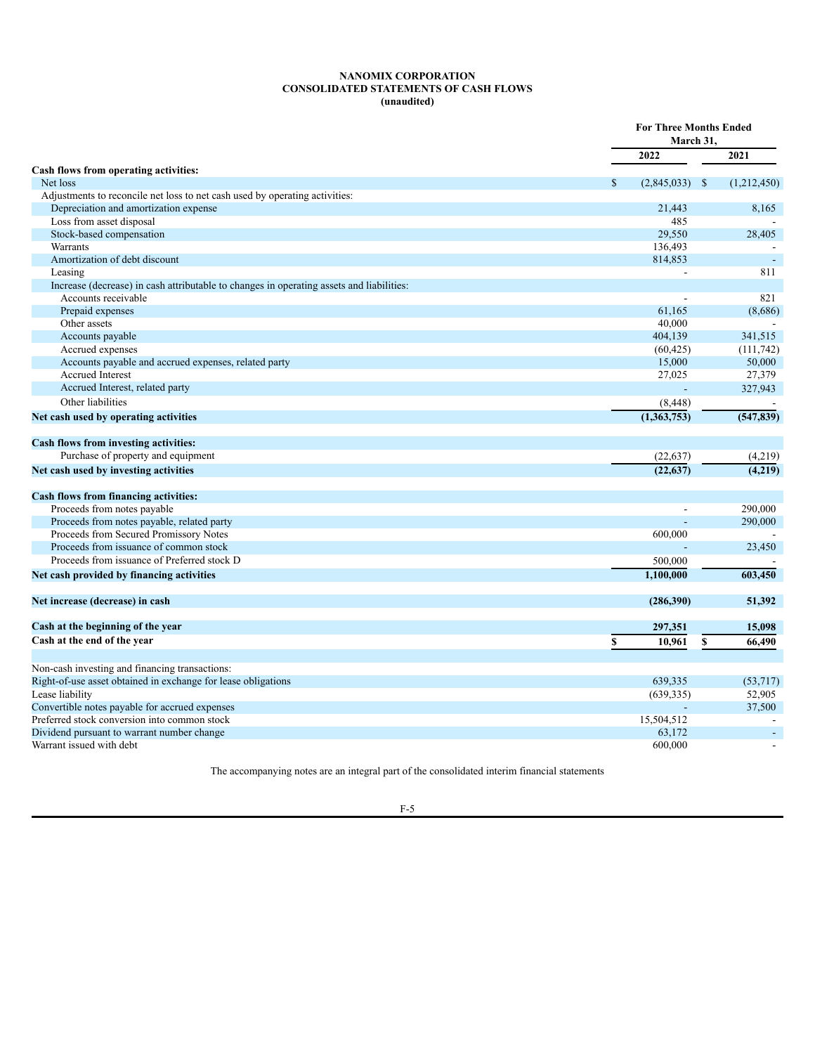# **NANOMIX CORPORATION CONSOLIDATED STATEMENTS OF CASH FLOWS (unaudited)**

<span id="page-5-0"></span>

| 2021<br>2022<br>Cash flows from operating activities:<br>Net loss<br>$\mathbb{S}$<br>$(2,845,033)$ \$<br>(1,212,450)<br>Adjustments to reconcile net loss to net cash used by operating activities:<br>Depreciation and amortization expense<br>21,443<br>8,165<br>Loss from asset disposal<br>485<br>Stock-based compensation<br>29,550<br>28,405<br>Warrants<br>136,493<br>Amortization of debt discount<br>814,853<br>Leasing<br>811<br>Increase (decrease) in cash attributable to changes in operating assets and liabilities:<br>Accounts receivable<br>821<br>Prepaid expenses<br>61,165<br>(8,686)<br>40.000<br>Other assets<br>Accounts payable<br>404,139<br>341,515<br>Accrued expenses<br>(60, 425)<br>(111, 742)<br>Accounts payable and accrued expenses, related party<br>15,000<br>50,000<br><b>Accrued Interest</b><br>27,025<br>27,379<br>Accrued Interest, related party<br>327,943<br>Other liabilities<br>(8, 448)<br>(1,363,753)<br>(547, 839)<br>Net cash used by operating activities<br>Cash flows from investing activities:<br>Purchase of property and equipment<br>(22, 637)<br>(4,219)<br>(4,219)<br>Net cash used by investing activities<br>(22, 637)<br>Cash flows from financing activities:<br>Proceeds from notes payable<br>290,000<br>Proceeds from notes payable, related party<br>290,000<br>Proceeds from Secured Promissory Notes<br>600,000<br>Proceeds from issuance of common stock<br>23,450<br>Proceeds from issuance of Preferred stock D<br>500,000<br>603.450<br>1.100.000<br>Net cash provided by financing activities<br>51,392<br>Net increase (decrease) in cash<br>(286,390)<br>Cash at the beginning of the year<br>297,351<br>15,098<br>Cash at the end of the year<br>\$<br>\$<br>10,961<br>66,490<br>Non-cash investing and financing transactions:<br>Right-of-use asset obtained in exchange for lease obligations<br>639,335<br>(53,717)<br>Lease liability<br>(639, 335)<br>52,905<br>Convertible notes payable for accrued expenses<br>37,500 |                                              | <b>For Three Months Ended</b><br>March 31, |  |
|---------------------------------------------------------------------------------------------------------------------------------------------------------------------------------------------------------------------------------------------------------------------------------------------------------------------------------------------------------------------------------------------------------------------------------------------------------------------------------------------------------------------------------------------------------------------------------------------------------------------------------------------------------------------------------------------------------------------------------------------------------------------------------------------------------------------------------------------------------------------------------------------------------------------------------------------------------------------------------------------------------------------------------------------------------------------------------------------------------------------------------------------------------------------------------------------------------------------------------------------------------------------------------------------------------------------------------------------------------------------------------------------------------------------------------------------------------------------------------------------------------------------------------------------------------------------------------------------------------------------------------------------------------------------------------------------------------------------------------------------------------------------------------------------------------------------------------------------------------------------------------------------------------------------------------------------------------------------------------------------------------------|----------------------------------------------|--------------------------------------------|--|
|                                                                                                                                                                                                                                                                                                                                                                                                                                                                                                                                                                                                                                                                                                                                                                                                                                                                                                                                                                                                                                                                                                                                                                                                                                                                                                                                                                                                                                                                                                                                                                                                                                                                                                                                                                                                                                                                                                                                                                                                               |                                              |                                            |  |
|                                                                                                                                                                                                                                                                                                                                                                                                                                                                                                                                                                                                                                                                                                                                                                                                                                                                                                                                                                                                                                                                                                                                                                                                                                                                                                                                                                                                                                                                                                                                                                                                                                                                                                                                                                                                                                                                                                                                                                                                               |                                              |                                            |  |
|                                                                                                                                                                                                                                                                                                                                                                                                                                                                                                                                                                                                                                                                                                                                                                                                                                                                                                                                                                                                                                                                                                                                                                                                                                                                                                                                                                                                                                                                                                                                                                                                                                                                                                                                                                                                                                                                                                                                                                                                               |                                              |                                            |  |
|                                                                                                                                                                                                                                                                                                                                                                                                                                                                                                                                                                                                                                                                                                                                                                                                                                                                                                                                                                                                                                                                                                                                                                                                                                                                                                                                                                                                                                                                                                                                                                                                                                                                                                                                                                                                                                                                                                                                                                                                               |                                              |                                            |  |
|                                                                                                                                                                                                                                                                                                                                                                                                                                                                                                                                                                                                                                                                                                                                                                                                                                                                                                                                                                                                                                                                                                                                                                                                                                                                                                                                                                                                                                                                                                                                                                                                                                                                                                                                                                                                                                                                                                                                                                                                               |                                              |                                            |  |
|                                                                                                                                                                                                                                                                                                                                                                                                                                                                                                                                                                                                                                                                                                                                                                                                                                                                                                                                                                                                                                                                                                                                                                                                                                                                                                                                                                                                                                                                                                                                                                                                                                                                                                                                                                                                                                                                                                                                                                                                               |                                              |                                            |  |
|                                                                                                                                                                                                                                                                                                                                                                                                                                                                                                                                                                                                                                                                                                                                                                                                                                                                                                                                                                                                                                                                                                                                                                                                                                                                                                                                                                                                                                                                                                                                                                                                                                                                                                                                                                                                                                                                                                                                                                                                               |                                              |                                            |  |
|                                                                                                                                                                                                                                                                                                                                                                                                                                                                                                                                                                                                                                                                                                                                                                                                                                                                                                                                                                                                                                                                                                                                                                                                                                                                                                                                                                                                                                                                                                                                                                                                                                                                                                                                                                                                                                                                                                                                                                                                               |                                              |                                            |  |
|                                                                                                                                                                                                                                                                                                                                                                                                                                                                                                                                                                                                                                                                                                                                                                                                                                                                                                                                                                                                                                                                                                                                                                                                                                                                                                                                                                                                                                                                                                                                                                                                                                                                                                                                                                                                                                                                                                                                                                                                               |                                              |                                            |  |
|                                                                                                                                                                                                                                                                                                                                                                                                                                                                                                                                                                                                                                                                                                                                                                                                                                                                                                                                                                                                                                                                                                                                                                                                                                                                                                                                                                                                                                                                                                                                                                                                                                                                                                                                                                                                                                                                                                                                                                                                               |                                              |                                            |  |
|                                                                                                                                                                                                                                                                                                                                                                                                                                                                                                                                                                                                                                                                                                                                                                                                                                                                                                                                                                                                                                                                                                                                                                                                                                                                                                                                                                                                                                                                                                                                                                                                                                                                                                                                                                                                                                                                                                                                                                                                               |                                              |                                            |  |
|                                                                                                                                                                                                                                                                                                                                                                                                                                                                                                                                                                                                                                                                                                                                                                                                                                                                                                                                                                                                                                                                                                                                                                                                                                                                                                                                                                                                                                                                                                                                                                                                                                                                                                                                                                                                                                                                                                                                                                                                               |                                              |                                            |  |
|                                                                                                                                                                                                                                                                                                                                                                                                                                                                                                                                                                                                                                                                                                                                                                                                                                                                                                                                                                                                                                                                                                                                                                                                                                                                                                                                                                                                                                                                                                                                                                                                                                                                                                                                                                                                                                                                                                                                                                                                               |                                              |                                            |  |
|                                                                                                                                                                                                                                                                                                                                                                                                                                                                                                                                                                                                                                                                                                                                                                                                                                                                                                                                                                                                                                                                                                                                                                                                                                                                                                                                                                                                                                                                                                                                                                                                                                                                                                                                                                                                                                                                                                                                                                                                               |                                              |                                            |  |
|                                                                                                                                                                                                                                                                                                                                                                                                                                                                                                                                                                                                                                                                                                                                                                                                                                                                                                                                                                                                                                                                                                                                                                                                                                                                                                                                                                                                                                                                                                                                                                                                                                                                                                                                                                                                                                                                                                                                                                                                               |                                              |                                            |  |
|                                                                                                                                                                                                                                                                                                                                                                                                                                                                                                                                                                                                                                                                                                                                                                                                                                                                                                                                                                                                                                                                                                                                                                                                                                                                                                                                                                                                                                                                                                                                                                                                                                                                                                                                                                                                                                                                                                                                                                                                               |                                              |                                            |  |
|                                                                                                                                                                                                                                                                                                                                                                                                                                                                                                                                                                                                                                                                                                                                                                                                                                                                                                                                                                                                                                                                                                                                                                                                                                                                                                                                                                                                                                                                                                                                                                                                                                                                                                                                                                                                                                                                                                                                                                                                               |                                              |                                            |  |
|                                                                                                                                                                                                                                                                                                                                                                                                                                                                                                                                                                                                                                                                                                                                                                                                                                                                                                                                                                                                                                                                                                                                                                                                                                                                                                                                                                                                                                                                                                                                                                                                                                                                                                                                                                                                                                                                                                                                                                                                               |                                              |                                            |  |
|                                                                                                                                                                                                                                                                                                                                                                                                                                                                                                                                                                                                                                                                                                                                                                                                                                                                                                                                                                                                                                                                                                                                                                                                                                                                                                                                                                                                                                                                                                                                                                                                                                                                                                                                                                                                                                                                                                                                                                                                               |                                              |                                            |  |
|                                                                                                                                                                                                                                                                                                                                                                                                                                                                                                                                                                                                                                                                                                                                                                                                                                                                                                                                                                                                                                                                                                                                                                                                                                                                                                                                                                                                                                                                                                                                                                                                                                                                                                                                                                                                                                                                                                                                                                                                               |                                              |                                            |  |
|                                                                                                                                                                                                                                                                                                                                                                                                                                                                                                                                                                                                                                                                                                                                                                                                                                                                                                                                                                                                                                                                                                                                                                                                                                                                                                                                                                                                                                                                                                                                                                                                                                                                                                                                                                                                                                                                                                                                                                                                               |                                              |                                            |  |
|                                                                                                                                                                                                                                                                                                                                                                                                                                                                                                                                                                                                                                                                                                                                                                                                                                                                                                                                                                                                                                                                                                                                                                                                                                                                                                                                                                                                                                                                                                                                                                                                                                                                                                                                                                                                                                                                                                                                                                                                               |                                              |                                            |  |
|                                                                                                                                                                                                                                                                                                                                                                                                                                                                                                                                                                                                                                                                                                                                                                                                                                                                                                                                                                                                                                                                                                                                                                                                                                                                                                                                                                                                                                                                                                                                                                                                                                                                                                                                                                                                                                                                                                                                                                                                               |                                              |                                            |  |
|                                                                                                                                                                                                                                                                                                                                                                                                                                                                                                                                                                                                                                                                                                                                                                                                                                                                                                                                                                                                                                                                                                                                                                                                                                                                                                                                                                                                                                                                                                                                                                                                                                                                                                                                                                                                                                                                                                                                                                                                               |                                              |                                            |  |
|                                                                                                                                                                                                                                                                                                                                                                                                                                                                                                                                                                                                                                                                                                                                                                                                                                                                                                                                                                                                                                                                                                                                                                                                                                                                                                                                                                                                                                                                                                                                                                                                                                                                                                                                                                                                                                                                                                                                                                                                               |                                              |                                            |  |
|                                                                                                                                                                                                                                                                                                                                                                                                                                                                                                                                                                                                                                                                                                                                                                                                                                                                                                                                                                                                                                                                                                                                                                                                                                                                                                                                                                                                                                                                                                                                                                                                                                                                                                                                                                                                                                                                                                                                                                                                               |                                              |                                            |  |
|                                                                                                                                                                                                                                                                                                                                                                                                                                                                                                                                                                                                                                                                                                                                                                                                                                                                                                                                                                                                                                                                                                                                                                                                                                                                                                                                                                                                                                                                                                                                                                                                                                                                                                                                                                                                                                                                                                                                                                                                               |                                              |                                            |  |
|                                                                                                                                                                                                                                                                                                                                                                                                                                                                                                                                                                                                                                                                                                                                                                                                                                                                                                                                                                                                                                                                                                                                                                                                                                                                                                                                                                                                                                                                                                                                                                                                                                                                                                                                                                                                                                                                                                                                                                                                               |                                              |                                            |  |
|                                                                                                                                                                                                                                                                                                                                                                                                                                                                                                                                                                                                                                                                                                                                                                                                                                                                                                                                                                                                                                                                                                                                                                                                                                                                                                                                                                                                                                                                                                                                                                                                                                                                                                                                                                                                                                                                                                                                                                                                               |                                              |                                            |  |
|                                                                                                                                                                                                                                                                                                                                                                                                                                                                                                                                                                                                                                                                                                                                                                                                                                                                                                                                                                                                                                                                                                                                                                                                                                                                                                                                                                                                                                                                                                                                                                                                                                                                                                                                                                                                                                                                                                                                                                                                               |                                              |                                            |  |
|                                                                                                                                                                                                                                                                                                                                                                                                                                                                                                                                                                                                                                                                                                                                                                                                                                                                                                                                                                                                                                                                                                                                                                                                                                                                                                                                                                                                                                                                                                                                                                                                                                                                                                                                                                                                                                                                                                                                                                                                               |                                              |                                            |  |
|                                                                                                                                                                                                                                                                                                                                                                                                                                                                                                                                                                                                                                                                                                                                                                                                                                                                                                                                                                                                                                                                                                                                                                                                                                                                                                                                                                                                                                                                                                                                                                                                                                                                                                                                                                                                                                                                                                                                                                                                               |                                              |                                            |  |
|                                                                                                                                                                                                                                                                                                                                                                                                                                                                                                                                                                                                                                                                                                                                                                                                                                                                                                                                                                                                                                                                                                                                                                                                                                                                                                                                                                                                                                                                                                                                                                                                                                                                                                                                                                                                                                                                                                                                                                                                               |                                              |                                            |  |
|                                                                                                                                                                                                                                                                                                                                                                                                                                                                                                                                                                                                                                                                                                                                                                                                                                                                                                                                                                                                                                                                                                                                                                                                                                                                                                                                                                                                                                                                                                                                                                                                                                                                                                                                                                                                                                                                                                                                                                                                               |                                              |                                            |  |
|                                                                                                                                                                                                                                                                                                                                                                                                                                                                                                                                                                                                                                                                                                                                                                                                                                                                                                                                                                                                                                                                                                                                                                                                                                                                                                                                                                                                                                                                                                                                                                                                                                                                                                                                                                                                                                                                                                                                                                                                               |                                              |                                            |  |
|                                                                                                                                                                                                                                                                                                                                                                                                                                                                                                                                                                                                                                                                                                                                                                                                                                                                                                                                                                                                                                                                                                                                                                                                                                                                                                                                                                                                                                                                                                                                                                                                                                                                                                                                                                                                                                                                                                                                                                                                               |                                              |                                            |  |
|                                                                                                                                                                                                                                                                                                                                                                                                                                                                                                                                                                                                                                                                                                                                                                                                                                                                                                                                                                                                                                                                                                                                                                                                                                                                                                                                                                                                                                                                                                                                                                                                                                                                                                                                                                                                                                                                                                                                                                                                               |                                              |                                            |  |
|                                                                                                                                                                                                                                                                                                                                                                                                                                                                                                                                                                                                                                                                                                                                                                                                                                                                                                                                                                                                                                                                                                                                                                                                                                                                                                                                                                                                                                                                                                                                                                                                                                                                                                                                                                                                                                                                                                                                                                                                               |                                              |                                            |  |
|                                                                                                                                                                                                                                                                                                                                                                                                                                                                                                                                                                                                                                                                                                                                                                                                                                                                                                                                                                                                                                                                                                                                                                                                                                                                                                                                                                                                                                                                                                                                                                                                                                                                                                                                                                                                                                                                                                                                                                                                               |                                              |                                            |  |
|                                                                                                                                                                                                                                                                                                                                                                                                                                                                                                                                                                                                                                                                                                                                                                                                                                                                                                                                                                                                                                                                                                                                                                                                                                                                                                                                                                                                                                                                                                                                                                                                                                                                                                                                                                                                                                                                                                                                                                                                               | Preferred stock conversion into common stock | 15,504,512                                 |  |
| Dividend pursuant to warrant number change<br>63,172                                                                                                                                                                                                                                                                                                                                                                                                                                                                                                                                                                                                                                                                                                                                                                                                                                                                                                                                                                                                                                                                                                                                                                                                                                                                                                                                                                                                                                                                                                                                                                                                                                                                                                                                                                                                                                                                                                                                                          |                                              |                                            |  |
| 600.000<br>Warrant issued with debt<br>$\overline{a}$                                                                                                                                                                                                                                                                                                                                                                                                                                                                                                                                                                                                                                                                                                                                                                                                                                                                                                                                                                                                                                                                                                                                                                                                                                                                                                                                                                                                                                                                                                                                                                                                                                                                                                                                                                                                                                                                                                                                                         |                                              |                                            |  |

The accompanying notes are an integral part of the consolidated interim financial statements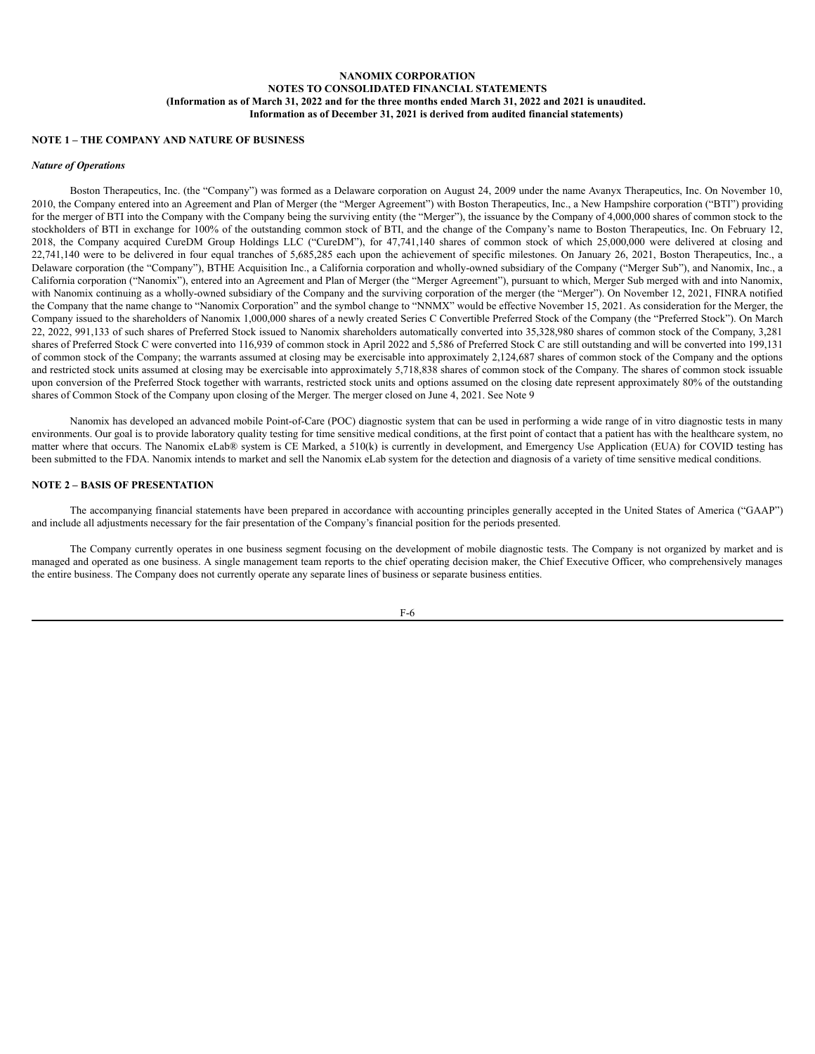# **NANOMIX CORPORATION NOTES TO CONSOLIDATED FINANCIAL STATEMENTS** (Information as of March 31, 2022 and for the three months ended March 31, 2022 and 2021 is unaudited. **Information as of December 31, 2021 is derived from audited financial statements)**

# <span id="page-6-0"></span>**NOTE 1 – THE COMPANY AND NATURE OF BUSINESS**

#### *Nature of Operations*

Boston Therapeutics, Inc. (the "Company") was formed as a Delaware corporation on August 24, 2009 under the name Avanyx Therapeutics, Inc. On November 10, 2010, the Company entered into an Agreement and Plan of Merger (the "Merger Agreement") with Boston Therapeutics, Inc., a New Hampshire corporation ("BTI") providing for the merger of BTI into the Company with the Company being the surviving entity (the "Merger"), the issuance by the Company of 4,000,000 shares of common stock to the stockholders of BTI in exchange for 100% of the outstanding common stock of BTI, and the change of the Company's name to Boston Therapeutics, Inc. On February 12, 2018, the Company acquired CureDM Group Holdings LLC ("CureDM"), for 47,741,140 shares of common stock of which 25,000,000 were delivered at closing and 22,741,140 were to be delivered in four equal tranches of 5,685,285 each upon the achievement of specific milestones. On January 26, 2021, Boston Therapeutics, Inc., a Delaware corporation (the "Company"), BTHE Acquisition Inc., a California corporation and wholly-owned subsidiary of the Company ("Merger Sub"), and Nanomix, Inc., a California corporation ("Nanomix"), entered into an Agreement and Plan of Merger (the "Merger Agreement"), pursuant to which, Merger Sub merged with and into Nanomix, with Nanomix continuing as a wholly-owned subsidiary of the Company and the surviving corporation of the merger (the "Merger"). On November 12, 2021, FINRA notified the Company that the name change to "Nanomix Corporation" and the symbol change to "NNMX" would be effective November 15, 2021. As consideration for the Merger, the Company issued to the shareholders of Nanomix 1,000,000 shares of a newly created Series C Convertible Preferred Stock of the Company (the "Preferred Stock"). On March 22, 2022, 991,133 of such shares of Preferred Stock issued to Nanomix shareholders automatically converted into 35,328,980 shares of common stock of the Company, 3,281 shares of Preferred Stock C were converted into 116,939 of common stock in April 2022 and 5,586 of Preferred Stock C are still outstanding and will be converted into 199,131 of common stock of the Company; the warrants assumed at closing may be exercisable into approximately 2,124,687 shares of common stock of the Company and the options and restricted stock units assumed at closing may be exercisable into approximately 5,718,838 shares of common stock of the Company. The shares of common stock issuable upon conversion of the Preferred Stock together with warrants, restricted stock units and options assumed on the closing date represent approximately 80% of the outstanding shares of Common Stock of the Company upon closing of the Merger. The merger closed on June 4, 2021. See Note 9

Nanomix has developed an advanced mobile Point-of-Care (POC) diagnostic system that can be used in performing a wide range of in vitro diagnostic tests in many environments. Our goal is to provide laboratory quality testing for time sensitive medical conditions, at the first point of contact that a patient has with the healthcare system, no matter where that occurs. The Nanomix eLab® system is CE Marked, a 510(k) is currently in development, and Emergency Use Application (EUA) for COVID testing has been submitted to the FDA. Nanomix intends to market and sell the Nanomix eLab system for the detection and diagnosis of a variety of time sensitive medical conditions.

### **NOTE 2 – BASIS OF PRESENTATION**

The accompanying financial statements have been prepared in accordance with accounting principles generally accepted in the United States of America ("GAAP") and include all adjustments necessary for the fair presentation of the Company's financial position for the periods presented.

The Company currently operates in one business segment focusing on the development of mobile diagnostic tests. The Company is not organized by market and is managed and operated as one business. A single management team reports to the chief operating decision maker, the Chief Executive Officer, who comprehensively manages the entire business. The Company does not currently operate any separate lines of business or separate business entities.

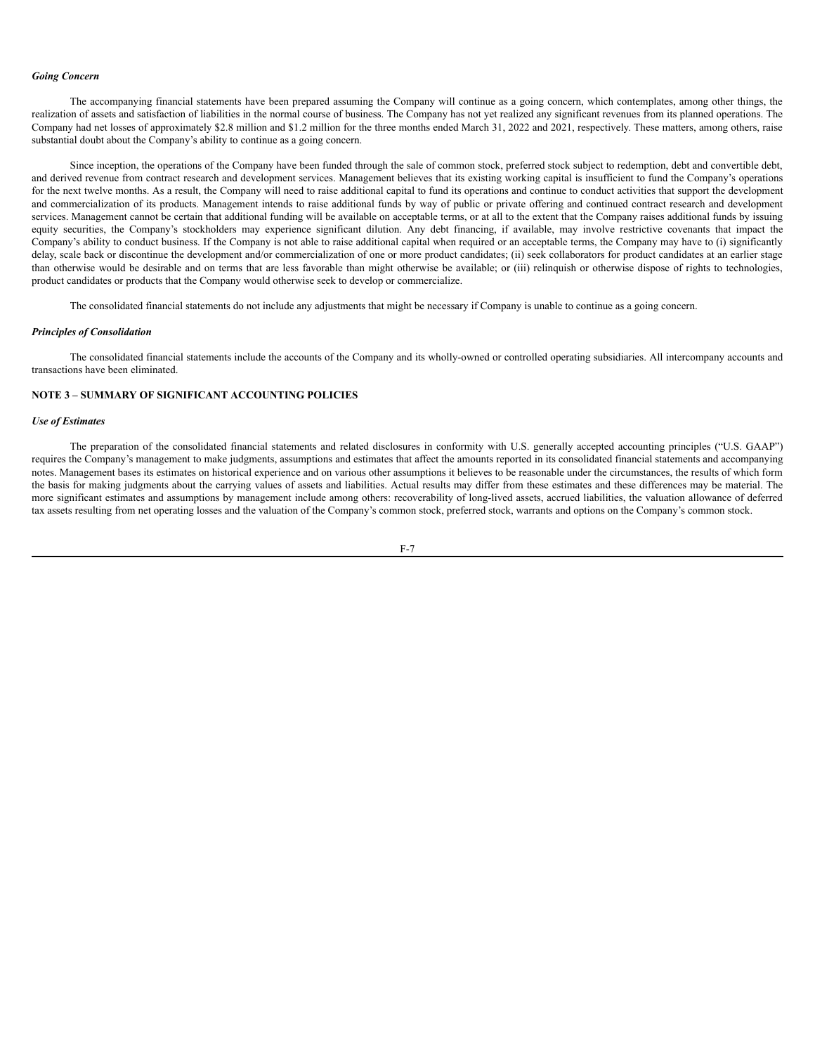#### *Going Concern*

The accompanying financial statements have been prepared assuming the Company will continue as a going concern, which contemplates, among other things, the realization of assets and satisfaction of liabilities in the normal course of business. The Company has not yet realized any significant revenues from its planned operations. The Company had net losses of approximately \$2.8 million and \$1.2 million for the three months ended March 31, 2022 and 2021, respectively. These matters, among others, raise substantial doubt about the Company's ability to continue as a going concern.

Since inception, the operations of the Company have been funded through the sale of common stock, preferred stock subject to redemption, debt and convertible debt, and derived revenue from contract research and development services. Management believes that its existing working capital is insufficient to fund the Company's operations for the next twelve months. As a result, the Company will need to raise additional capital to fund its operations and continue to conduct activities that support the development and commercialization of its products. Management intends to raise additional funds by way of public or private offering and continued contract research and development services. Management cannot be certain that additional funding will be available on acceptable terms, or at all to the extent that the Company raises additional funds by issuing equity securities, the Company's stockholders may experience significant dilution. Any debt financing, if available, may involve restrictive covenants that impact the Company's ability to conduct business. If the Company is not able to raise additional capital when required or an acceptable terms, the Company may have to (i) significantly delay, scale back or discontinue the development and/or commercialization of one or more product candidates; (ii) seek collaborators for product candidates at an earlier stage than otherwise would be desirable and on terms that are less favorable than might otherwise be available; or (iii) relinquish or otherwise dispose of rights to technologies, product candidates or products that the Company would otherwise seek to develop or commercialize.

The consolidated financial statements do not include any adjustments that might be necessary if Company is unable to continue as a going concern.

#### *Principles of Consolidation*

The consolidated financial statements include the accounts of the Company and its wholly-owned or controlled operating subsidiaries. All intercompany accounts and transactions have been eliminated.

# **NOTE 3 – SUMMARY OF SIGNIFICANT ACCOUNTING POLICIES**

### *Use of Estimates*

The preparation of the consolidated financial statements and related disclosures in conformity with U.S. generally accepted accounting principles ("U.S. GAAP") requires the Company's management to make judgments, assumptions and estimates that affect the amounts reported in its consolidated financial statements and accompanying notes. Management bases its estimates on historical experience and on various other assumptions it believes to be reasonable under the circumstances, the results of which form the basis for making judgments about the carrying values of assets and liabilities. Actual results may differ from these estimates and these differences may be material. The more significant estimates and assumptions by management include among others: recoverability of long-lived assets, accrued liabilities, the valuation allowance of deferred tax assets resulting from net operating losses and the valuation of the Company's common stock, preferred stock, warrants and options on the Company's common stock.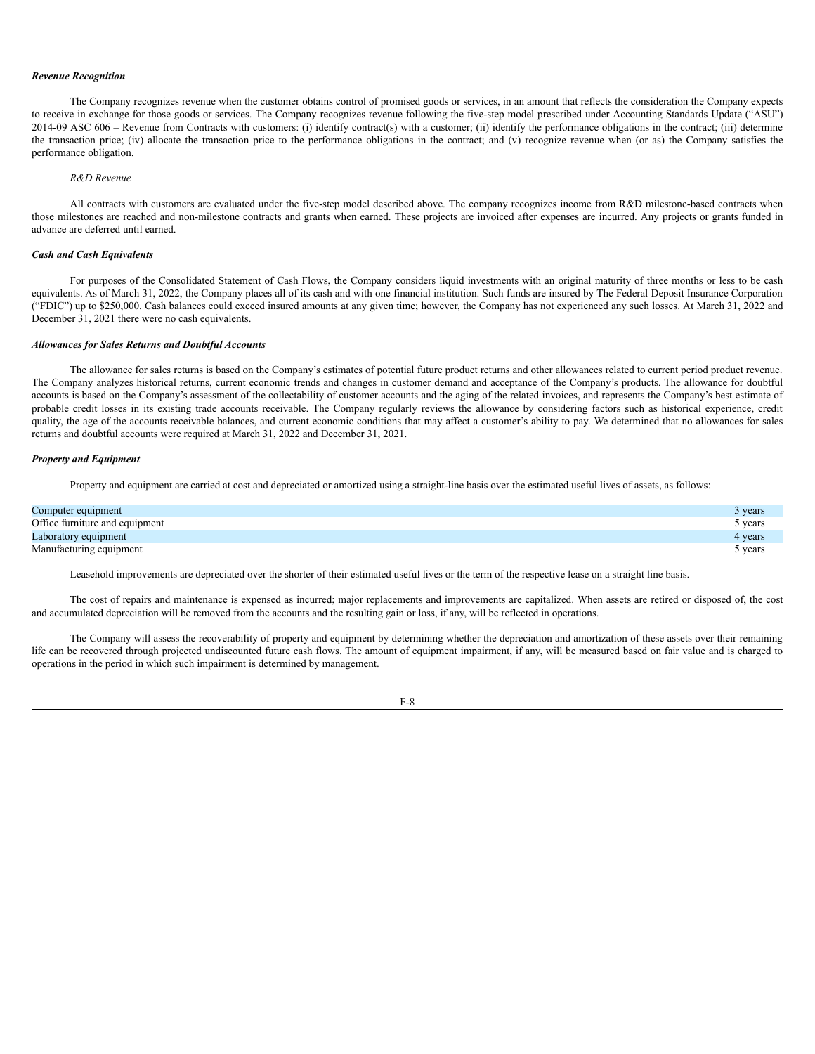#### *Revenue Recognition*

The Company recognizes revenue when the customer obtains control of promised goods or services, in an amount that reflects the consideration the Company expects to receive in exchange for those goods or services. The Company recognizes revenue following the five-step model prescribed under Accounting Standards Update ("ASU") 2014-09 ASC 606 – Revenue from Contracts with customers: (i) identify contract(s) with a customer; (ii) identify the performance obligations in the contract; (iii) determine the transaction price; (iv) allocate the transaction price to the performance obligations in the contract; and (v) recognize revenue when (or as) the Company satisfies the performance obligation.

#### *R&D Revenue*

All contracts with customers are evaluated under the five-step model described above. The company recognizes income from R&D milestone-based contracts when those milestones are reached and non-milestone contracts and grants when earned. These projects are invoiced after expenses are incurred. Any projects or grants funded in advance are deferred until earned.

## *Cash and Cash Equivalents*

For purposes of the Consolidated Statement of Cash Flows, the Company considers liquid investments with an original maturity of three months or less to be cash equivalents. As of March 31, 2022, the Company places all of its cash and with one financial institution. Such funds are insured by The Federal Deposit Insurance Corporation ("FDIC") up to \$250,000. Cash balances could exceed insured amounts at any given time; however, the Company has not experienced any such losses. At March 31, 2022 and December 31, 2021 there were no cash equivalents.

### *Allowances for Sales Returns and Doubtful Accounts*

The allowance for sales returns is based on the Company's estimates of potential future product returns and other allowances related to current period product revenue. The Company analyzes historical returns, current economic trends and changes in customer demand and acceptance of the Company's products. The allowance for doubtful accounts is based on the Company's assessment of the collectability of customer accounts and the aging of the related invoices, and represents the Company's best estimate of probable credit losses in its existing trade accounts receivable. The Company regularly reviews the allowance by considering factors such as historical experience, credit quality, the age of the accounts receivable balances, and current economic conditions that may affect a customer's ability to pay. We determined that no allowances for sales returns and doubtful accounts were required at March 31, 2022 and December 31, 2021.

### *Property and Equipment*

Property and equipment are carried at cost and depreciated or amortized using a straight-line basis over the estimated useful lives of assets, as follows:

| Computer equipment             | 3 years |
|--------------------------------|---------|
| Office furniture and equipment | 5 years |
| Laboratory equipment           | 4 years |
| Manufacturing equipment        | 5 years |

Leasehold improvements are depreciated over the shorter of their estimated useful lives or the term of the respective lease on a straight line basis.

The cost of repairs and maintenance is expensed as incurred; major replacements and improvements are capitalized. When assets are retired or disposed of, the cost and accumulated depreciation will be removed from the accounts and the resulting gain or loss, if any, will be reflected in operations.

The Company will assess the recoverability of property and equipment by determining whether the depreciation and amortization of these assets over their remaining life can be recovered through projected undiscounted future cash flows. The amount of equipment impairment, if any, will be measured based on fair value and is charged to operations in the period in which such impairment is determined by management.

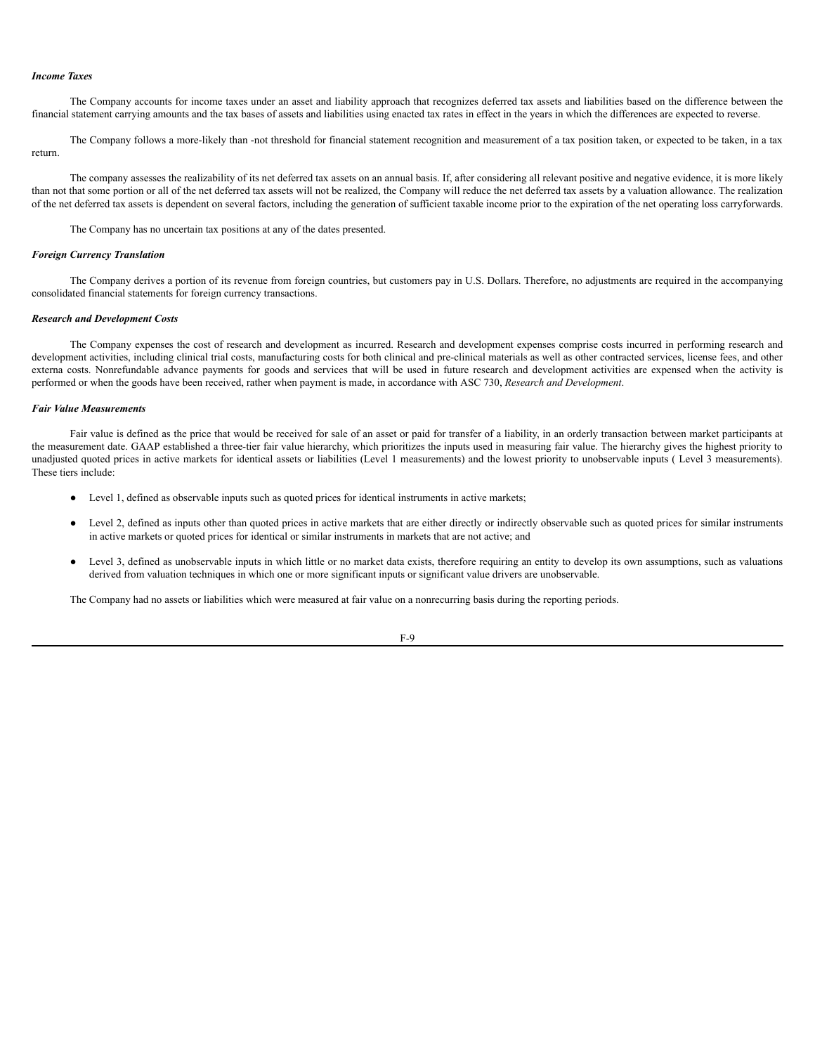#### *Income Taxes*

The Company accounts for income taxes under an asset and liability approach that recognizes deferred tax assets and liabilities based on the difference between the financial statement carrying amounts and the tax bases of assets and liabilities using enacted tax rates in effect in the years in which the differences are expected to reverse.

The Company follows a more-likely than -not threshold for financial statement recognition and measurement of a tax position taken, or expected to be taken, in a tax return.

The company assesses the realizability of its net deferred tax assets on an annual basis. If, after considering all relevant positive and negative evidence, it is more likely than not that some portion or all of the net deferred tax assets will not be realized, the Company will reduce the net deferred tax assets by a valuation allowance. The realization of the net deferred tax assets is dependent on several factors, including the generation of sufficient taxable income prior to the expiration of the net operating loss carryforwards.

The Company has no uncertain tax positions at any of the dates presented.

### *Foreign Currency Translation*

The Company derives a portion of its revenue from foreign countries, but customers pay in U.S. Dollars. Therefore, no adjustments are required in the accompanying consolidated financial statements for foreign currency transactions.

### *Research and Development Costs*

The Company expenses the cost of research and development as incurred. Research and development expenses comprise costs incurred in performing research and development activities, including clinical trial costs, manufacturing costs for both clinical and pre-clinical materials as well as other contracted services, license fees, and other externa costs. Nonrefundable advance payments for goods and services that will be used in future research and development activities are expensed when the activity is performed or when the goods have been received, rather when payment is made, in accordance with ASC 730, *Research and Development*.

## *Fair Value Measurements*

Fair value is defined as the price that would be received for sale of an asset or paid for transfer of a liability, in an orderly transaction between market participants at the measurement date. GAAP established a three-tier fair value hierarchy, which prioritizes the inputs used in measuring fair value. The hierarchy gives the highest priority to unadjusted quoted prices in active markets for identical assets or liabilities (Level 1 measurements) and the lowest priority to unobservable inputs ( Level 3 measurements). These tiers include:

- Level 1, defined as observable inputs such as quoted prices for identical instruments in active markets;
- Level 2, defined as inputs other than quoted prices in active markets that are either directly or indirectly observable such as quoted prices for similar instruments in active markets or quoted prices for identical or similar instruments in markets that are not active; and
- Level 3, defined as unobservable inputs in which little or no market data exists, therefore requiring an entity to develop its own assumptions, such as valuations derived from valuation techniques in which one or more significant inputs or significant value drivers are unobservable.

The Company had no assets or liabilities which were measured at fair value on a nonrecurring basis during the reporting periods.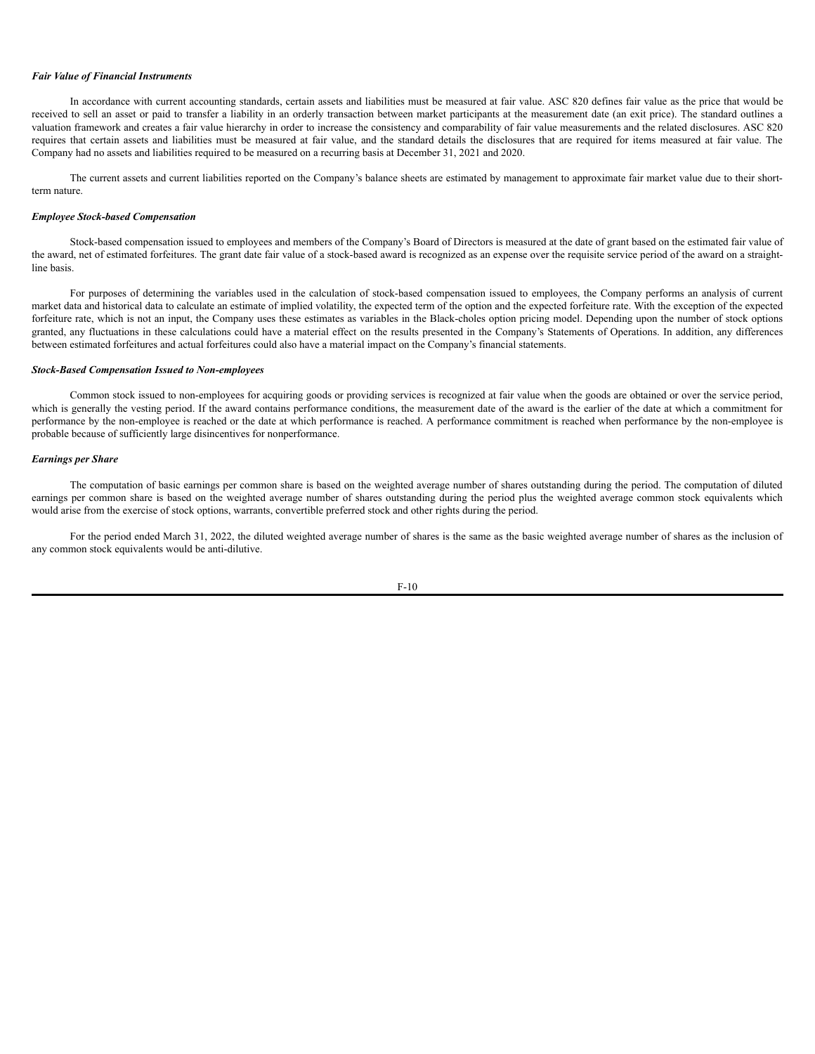#### *Fair Value of Financial Instruments*

In accordance with current accounting standards, certain assets and liabilities must be measured at fair value. ASC 820 defines fair value as the price that would be received to sell an asset or paid to transfer a liability in an orderly transaction between market participants at the measurement date (an exit price). The standard outlines a valuation framework and creates a fair value hierarchy in order to increase the consistency and comparability of fair value measurements and the related disclosures. ASC 820 requires that certain assets and liabilities must be measured at fair value, and the standard details the disclosures that are required for items measured at fair value. The Company had no assets and liabilities required to be measured on a recurring basis at December 31, 2021 and 2020.

The current assets and current liabilities reported on the Company's balance sheets are estimated by management to approximate fair market value due to their shortterm nature.

### *Employee Stock-based Compensation*

Stock-based compensation issued to employees and members of the Company's Board of Directors is measured at the date of grant based on the estimated fair value of the award, net of estimated forfeitures. The grant date fair value of a stock-based award is recognized as an expense over the requisite service period of the award on a straightline basis.

For purposes of determining the variables used in the calculation of stock-based compensation issued to employees, the Company performs an analysis of current market data and historical data to calculate an estimate of implied volatility, the expected term of the option and the expected forfeiture rate. With the exception of the expected forfeiture rate, which is not an input, the Company uses these estimates as variables in the Black-choles option pricing model. Depending upon the number of stock options granted, any fluctuations in these calculations could have a material effect on the results presented in the Company's Statements of Operations. In addition, any differences between estimated forfeitures and actual forfeitures could also have a material impact on the Company's financial statements.

### *Stock-Based Compensation Issued to Non-employees*

Common stock issued to non-employees for acquiring goods or providing services is recognized at fair value when the goods are obtained or over the service period, which is generally the vesting period. If the award contains performance conditions, the measurement date of the award is the earlier of the date at which a commitment for performance by the non-employee is reached or the date at which performance is reached. A performance commitment is reached when performance by the non-employee is probable because of sufficiently large disincentives for nonperformance.

## *Earnings per Share*

The computation of basic earnings per common share is based on the weighted average number of shares outstanding during the period. The computation of diluted earnings per common share is based on the weighted average number of shares outstanding during the period plus the weighted average common stock equivalents which would arise from the exercise of stock options, warrants, convertible preferred stock and other rights during the period.

For the period ended March 31, 2022, the diluted weighted average number of shares is the same as the basic weighted average number of shares as the inclusion of any common stock equivalents would be anti-dilutive.

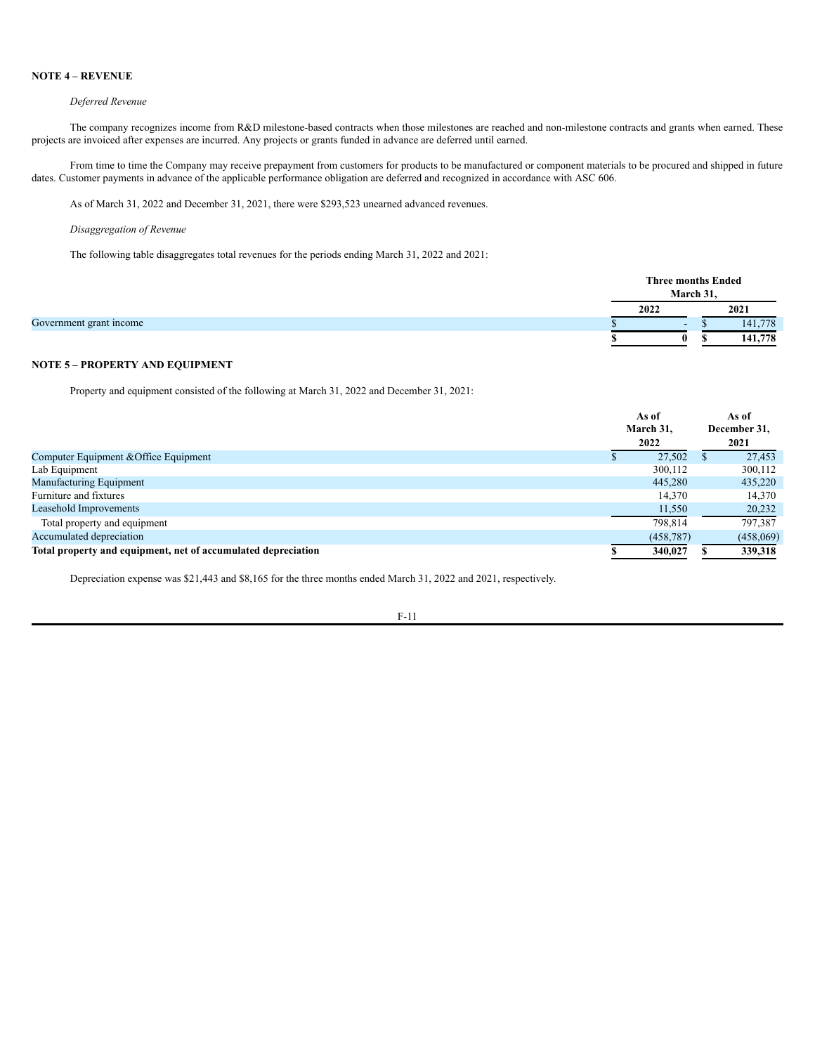# **NOTE 4 – REVENUE**

# *Deferred Revenue*

The company recognizes income from R&D milestone-based contracts when those milestones are reached and non-milestone contracts and grants when earned. These projects are invoiced after expenses are incurred. Any projects or grants funded in advance are deferred until earned.

From time to time the Company may receive prepayment from customers for products to be manufactured or component materials to be procured and shipped in future dates. Customer payments in advance of the applicable performance obligation are deferred and recognized in accordance with ASC 606.

As of March 31, 2022 and December 31, 2021, there were \$293,523 unearned advanced revenues.

# *Disaggregation of Revenue*

The following table disaggregates total revenues for the periods ending March 31, 2022 and 2021:

|                         | <b>Three months Ended</b><br>March 31. |  |  |         |  |
|-------------------------|----------------------------------------|--|--|---------|--|
|                         | 2022                                   |  |  | 2021    |  |
| Government grant income |                                        |  |  | 141,778 |  |
|                         |                                        |  |  | 141,778 |  |

# **NOTE 5 – PROPERTY AND EQUIPMENT**

Property and equipment consisted of the following at March 31, 2022 and December 31, 2021:

|                                                               |  | 2022       |  |           |  |  |  |  |  | March 31, |  |  |  |  |  | As of |  |  |  |  |  |  |  |  |  |  |  |  |  |  |  |  |  |  |  | As of<br>December 31,<br>2021 |
|---------------------------------------------------------------|--|------------|--|-----------|--|--|--|--|--|-----------|--|--|--|--|--|-------|--|--|--|--|--|--|--|--|--|--|--|--|--|--|--|--|--|--|--|-------------------------------|
| Computer Equipment & Office Equipment                         |  | 27,502     |  | 27,453    |  |  |  |  |  |           |  |  |  |  |  |       |  |  |  |  |  |  |  |  |  |  |  |  |  |  |  |  |  |  |  |                               |
| Lab Equipment                                                 |  | 300.112    |  | 300,112   |  |  |  |  |  |           |  |  |  |  |  |       |  |  |  |  |  |  |  |  |  |  |  |  |  |  |  |  |  |  |  |                               |
| Manufacturing Equipment                                       |  | 445.280    |  | 435,220   |  |  |  |  |  |           |  |  |  |  |  |       |  |  |  |  |  |  |  |  |  |  |  |  |  |  |  |  |  |  |  |                               |
| Furniture and fixtures                                        |  | 14.370     |  | 14,370    |  |  |  |  |  |           |  |  |  |  |  |       |  |  |  |  |  |  |  |  |  |  |  |  |  |  |  |  |  |  |  |                               |
| Leasehold Improvements                                        |  | 11,550     |  | 20,232    |  |  |  |  |  |           |  |  |  |  |  |       |  |  |  |  |  |  |  |  |  |  |  |  |  |  |  |  |  |  |  |                               |
| Total property and equipment                                  |  | 798.814    |  | 797.387   |  |  |  |  |  |           |  |  |  |  |  |       |  |  |  |  |  |  |  |  |  |  |  |  |  |  |  |  |  |  |  |                               |
| Accumulated depreciation                                      |  | (458, 787) |  | (458,069) |  |  |  |  |  |           |  |  |  |  |  |       |  |  |  |  |  |  |  |  |  |  |  |  |  |  |  |  |  |  |  |                               |
| Total property and equipment, net of accumulated depreciation |  | 340,027    |  | 339,318   |  |  |  |  |  |           |  |  |  |  |  |       |  |  |  |  |  |  |  |  |  |  |  |  |  |  |  |  |  |  |  |                               |

Depreciation expense was \$21,443 and \$8,165 for the three months ended March 31, 2022 and 2021, respectively.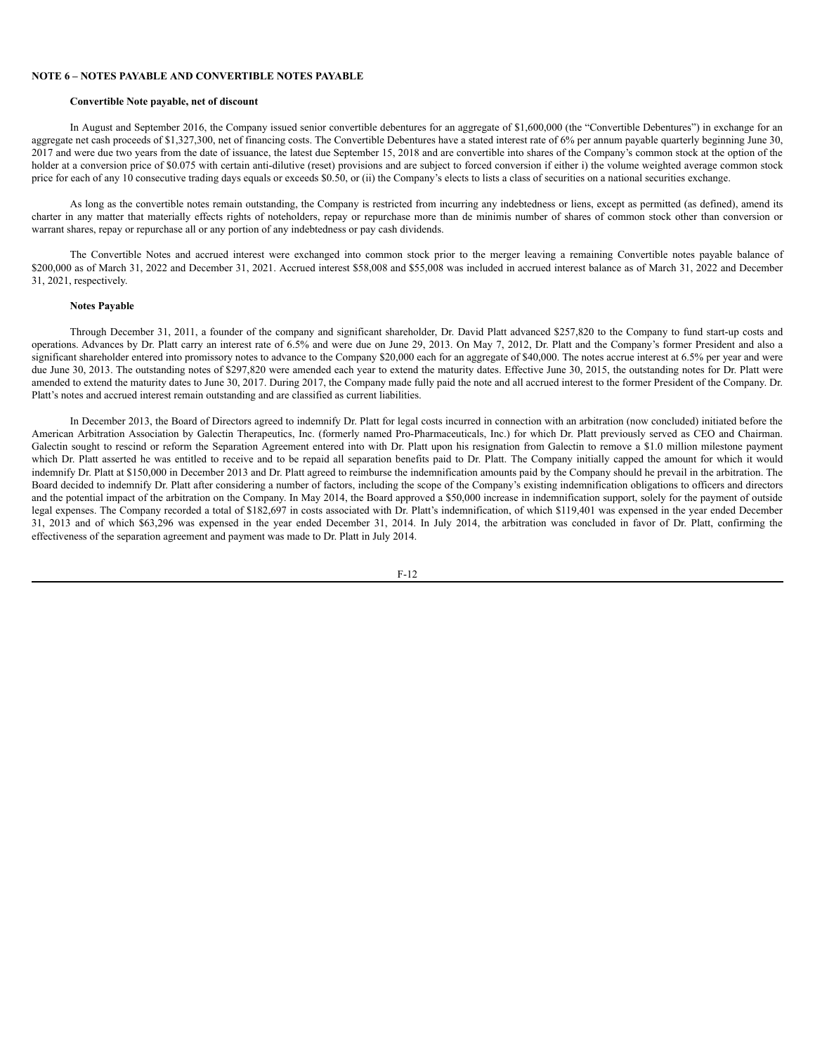# **NOTE 6 – NOTES PAYABLE AND CONVERTIBLE NOTES PAYABLE**

### **Convertible Note payable, net of discount**

In August and September 2016, the Company issued senior convertible debentures for an aggregate of \$1,600,000 (the "Convertible Debentures") in exchange for an aggregate net cash proceeds of \$1,327,300, net of financing costs. The Convertible Debentures have a stated interest rate of 6% per annum payable quarterly beginning June 30, 2017 and were due two years from the date of issuance, the latest due September 15, 2018 and are convertible into shares of the Company's common stock at the option of the holder at a conversion price of \$0.075 with certain anti-dilutive (reset) provisions and are subject to forced conversion if either i) the volume weighted average common stock price for each of any 10 consecutive trading days equals or exceeds \$0.50, or (ii) the Company's elects to lists a class of securities on a national securities exchange.

As long as the convertible notes remain outstanding, the Company is restricted from incurring any indebtedness or liens, except as permitted (as defined), amend its charter in any matter that materially effects rights of noteholders, repay or repurchase more than de minimis number of shares of common stock other than conversion or warrant shares, repay or repurchase all or any portion of any indebtedness or pay cash dividends.

The Convertible Notes and accrued interest were exchanged into common stock prior to the merger leaving a remaining Convertible notes payable balance of \$200,000 as of March 31, 2022 and December 31, 2021. Accrued interest \$58,008 and \$55,008 was included in accrued interest balance as of March 31, 2022 and December 31, 2021, respectively.

## **Notes Payable**

Through December 31, 2011, a founder of the company and significant shareholder, Dr. David Platt advanced \$257,820 to the Company to fund start-up costs and operations. Advances by Dr. Platt carry an interest rate of 6.5% and were due on June 29, 2013. On May 7, 2012, Dr. Platt and the Company's former President and also a significant shareholder entered into promissory notes to advance to the Company \$20,000 each for an aggregate of \$40,000. The notes accrue interest at 6.5% per year and were due June 30, 2013. The outstanding notes of \$297,820 were amended each year to extend the maturity dates. Effective June 30, 2015, the outstanding notes for Dr. Platt were amended to extend the maturity dates to June 30, 2017. During 2017, the Company made fully paid the note and all accrued interest to the former President of the Company. Dr. Platt's notes and accrued interest remain outstanding and are classified as current liabilities.

In December 2013, the Board of Directors agreed to indemnify Dr. Platt for legal costs incurred in connection with an arbitration (now concluded) initiated before the American Arbitration Association by Galectin Therapeutics, Inc. (formerly named Pro-Pharmaceuticals, Inc.) for which Dr. Platt previously served as CEO and Chairman. Galectin sought to rescind or reform the Separation Agreement entered into with Dr. Platt upon his resignation from Galectin to remove a \$1.0 million milestone payment which Dr. Platt asserted he was entitled to receive and to be repaid all separation benefits paid to Dr. Platt. The Company initially capped the amount for which it would indemnify Dr. Platt at \$150,000 in December 2013 and Dr. Platt agreed to reimburse the indemnification amounts paid by the Company should he prevail in the arbitration. The Board decided to indemnify Dr. Platt after considering a number of factors, including the scope of the Company's existing indemnification obligations to officers and directors and the potential impact of the arbitration on the Company. In May 2014, the Board approved a \$50,000 increase in indemnification support, solely for the payment of outside legal expenses. The Company recorded a total of \$182,697 in costs associated with Dr. Platt's indemnification, of which \$119,401 was expensed in the year ended December 31, 2013 and of which \$63,296 was expensed in the year ended December 31, 2014. In July 2014, the arbitration was concluded in favor of Dr. Platt, confirming the effectiveness of the separation agreement and payment was made to Dr. Platt in July 2014.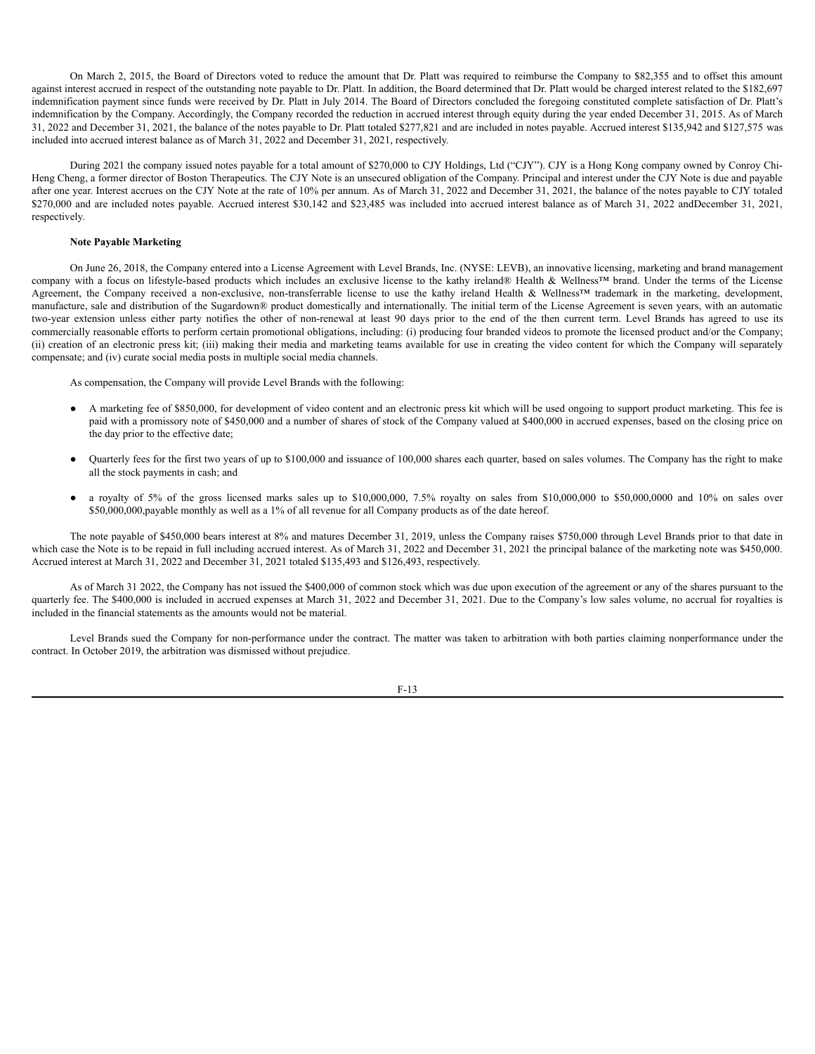On March 2, 2015, the Board of Directors voted to reduce the amount that Dr. Platt was required to reimburse the Company to \$82,355 and to offset this amount against interest accrued in respect of the outstanding note payable to Dr. Platt. In addition, the Board determined that Dr. Platt would be charged interest related to the \$182,697 indemnification payment since funds were received by Dr. Platt in July 2014. The Board of Directors concluded the foregoing constituted complete satisfaction of Dr. Platt's indemnification by the Company. Accordingly, the Company recorded the reduction in accrued interest through equity during the year ended December 31, 2015. As of March 31, 2022 and December 31, 2021, the balance of the notes payable to Dr. Platt totaled \$277,821 and are included in notes payable. Accrued interest \$135,942 and \$127,575 was included into accrued interest balance as of March 31, 2022 and December 31, 2021, respectively.

During 2021 the company issued notes payable for a total amount of \$270,000 to CJY Holdings, Ltd ("CJY"). CJY is a Hong Kong company owned by Conroy Chi-Heng Cheng, a former director of Boston Therapeutics. The CJY Note is an unsecured obligation of the Company. Principal and interest under the CJY Note is due and payable after one year. Interest accrues on the CJY Note at the rate of 10% per annum. As of March 31, 2022 and December 31, 2021, the balance of the notes payable to CJY totaled \$270,000 and are included notes payable. Accrued interest \$30,142 and \$23,485 was included into accrued interest balance as of March 31, 2022 andDecember 31, 2021, respectively.

### **Note Payable Marketing**

On June 26, 2018, the Company entered into a License Agreement with Level Brands, Inc. (NYSE: LEVB), an innovative licensing, marketing and brand management company with a focus on lifestyle-based products which includes an exclusive license to the kathy ireland® Health & Wellness™ brand. Under the terms of the License Agreement, the Company received a non-exclusive, non-transferrable license to use the kathy ireland Health & Wellness™ trademark in the marketing, development, manufacture, sale and distribution of the Sugardown® product domestically and internationally. The initial term of the License Agreement is seven years, with an automatic two-year extension unless either party notifies the other of non-renewal at least 90 days prior to the end of the then current term. Level Brands has agreed to use its commercially reasonable efforts to perform certain promotional obligations, including: (i) producing four branded videos to promote the licensed product and/or the Company; (ii) creation of an electronic press kit; (iii) making their media and marketing teams available for use in creating the video content for which the Company will separately compensate; and (iv) curate social media posts in multiple social media channels.

As compensation, the Company will provide Level Brands with the following:

- A marketing fee of \$850,000, for development of video content and an electronic press kit which will be used ongoing to support product marketing. This fee is paid with a promissory note of \$450,000 and a number of shares of stock of the Company valued at \$400,000 in accrued expenses, based on the closing price on the day prior to the effective date;
- Quarterly fees for the first two years of up to \$100,000 and issuance of 100,000 shares each quarter, based on sales volumes. The Company has the right to make all the stock payments in cash; and
- a royalty of 5% of the gross licensed marks sales up to \$10,000,000, 7.5% royalty on sales from \$10,000,000 to \$50,000,0000 and 10% on sales over \$50,000,000,payable monthly as well as a 1% of all revenue for all Company products as of the date hereof.

The note payable of \$450,000 bears interest at 8% and matures December 31, 2019, unless the Company raises \$750,000 through Level Brands prior to that date in which case the Note is to be repaid in full including accrued interest. As of March 31, 2022 and December 31, 2021 the principal balance of the marketing note was \$450,000. Accrued interest at March 31, 2022 and December 31, 2021 totaled \$135,493 and \$126,493, respectively.

As of March 31 2022, the Company has not issued the \$400,000 of common stock which was due upon execution of the agreement or any of the shares pursuant to the quarterly fee. The \$400,000 is included in accrued expenses at March 31, 2022 and December 31, 2021. Due to the Company's low sales volume, no accrual for royalties is included in the financial statements as the amounts would not be material.

Level Brands sued the Company for non-performance under the contract. The matter was taken to arbitration with both parties claiming nonperformance under the contract. In October 2019, the arbitration was dismissed without prejudice.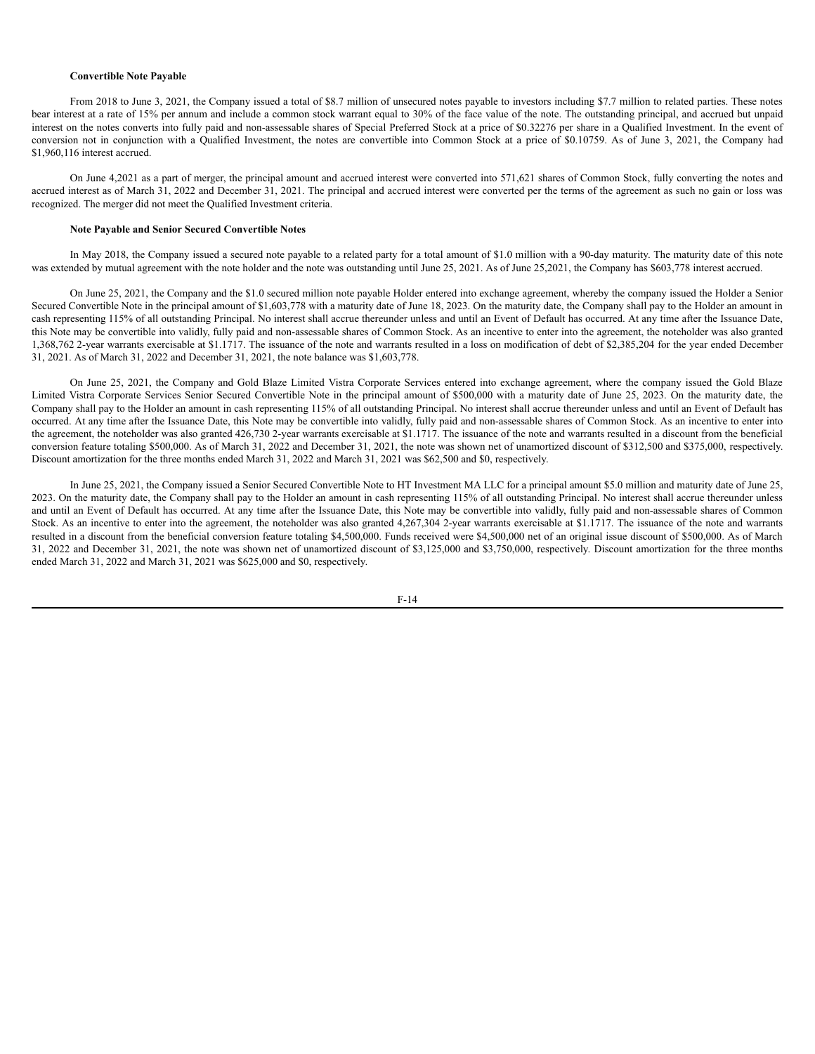#### **Convertible Note Payable**

From 2018 to June 3, 2021, the Company issued a total of \$8.7 million of unsecured notes payable to investors including \$7.7 million to related parties. These notes bear interest at a rate of 15% per annum and include a common stock warrant equal to 30% of the face value of the note. The outstanding principal, and accrued but unpaid interest on the notes converts into fully paid and non-assessable shares of Special Preferred Stock at a price of \$0.32276 per share in a Qualified Investment. In the event of conversion not in conjunction with a Qualified Investment, the notes are convertible into Common Stock at a price of \$0.10759. As of June 3, 2021, the Company had \$1,960,116 interest accrued.

On June 4,2021 as a part of merger, the principal amount and accrued interest were converted into 571,621 shares of Common Stock, fully converting the notes and accrued interest as of March 31, 2022 and December 31, 2021. The principal and accrued interest were converted per the terms of the agreement as such no gain or loss was recognized. The merger did not meet the Qualified Investment criteria.

## **Note Payable and Senior Secured Convertible Notes**

In May 2018, the Company issued a secured note payable to a related party for a total amount of \$1.0 million with a 90-day maturity. The maturity date of this note was extended by mutual agreement with the note holder and the note was outstanding until June 25, 2021. As of June 25, 2021, the Company has \$603,778 interest accrued.

On June 25, 2021, the Company and the \$1.0 secured million note payable Holder entered into exchange agreement, whereby the company issued the Holder a Senior Secured Convertible Note in the principal amount of \$1,603,778 with a maturity date of June 18, 2023. On the maturity date, the Company shall pay to the Holder an amount in cash representing 115% of all outstanding Principal. No interest shall accrue thereunder unless and until an Event of Default has occurred. At any time after the Issuance Date, this Note may be convertible into validly, fully paid and non-assessable shares of Common Stock. As an incentive to enter into the agreement, the noteholder was also granted 1,368,762 2-year warrants exercisable at \$1.1717. The issuance of the note and warrants resulted in a loss on modification of debt of \$2,385,204 for the year ended December 31, 2021. As of March 31, 2022 and December 31, 2021, the note balance was \$1,603,778.

On June 25, 2021, the Company and Gold Blaze Limited Vistra Corporate Services entered into exchange agreement, where the company issued the Gold Blaze Limited Vistra Corporate Services Senior Secured Convertible Note in the principal amount of \$500,000 with a maturity date of June 25, 2023. On the maturity date, the Company shall pay to the Holder an amount in cash representing 115% of all outstanding Principal. No interest shall accrue thereunder unless and until an Event of Default has occurred. At any time after the Issuance Date, this Note may be convertible into validly, fully paid and non-assessable shares of Common Stock. As an incentive to enter into the agreement, the noteholder was also granted 426,730 2-year warrants exercisable at \$1.1717. The issuance of the note and warrants resulted in a discount from the beneficial conversion feature totaling \$500,000. As of March 31, 2022 and December 31, 2021, the note was shown net of unamortized discount of \$312,500 and \$375,000, respectively. Discount amortization for the three months ended March 31, 2022 and March 31, 2021 was \$62,500 and \$0, respectively.

In June 25, 2021, the Company issued a Senior Secured Convertible Note to HT Investment MA LLC for a principal amount \$5.0 million and maturity date of June 25, 2023. On the maturity date, the Company shall pay to the Holder an amount in cash representing 115% of all outstanding Principal. No interest shall accrue thereunder unless and until an Event of Default has occurred. At any time after the Issuance Date, this Note may be convertible into validly, fully paid and non-assessable shares of Common Stock. As an incentive to enter into the agreement, the noteholder was also granted 4,267,304 2-year warrants exercisable at \$1.1717. The issuance of the note and warrants resulted in a discount from the beneficial conversion feature totaling \$4,500,000. Funds received were \$4,500,000 net of an original issue discount of \$500,000. As of March 31, 2022 and December 31, 2021, the note was shown net of unamortized discount of \$3,125,000 and \$3,750,000, respectively. Discount amortization for the three months ended March 31, 2022 and March 31, 2021 was \$625,000 and \$0, respectively.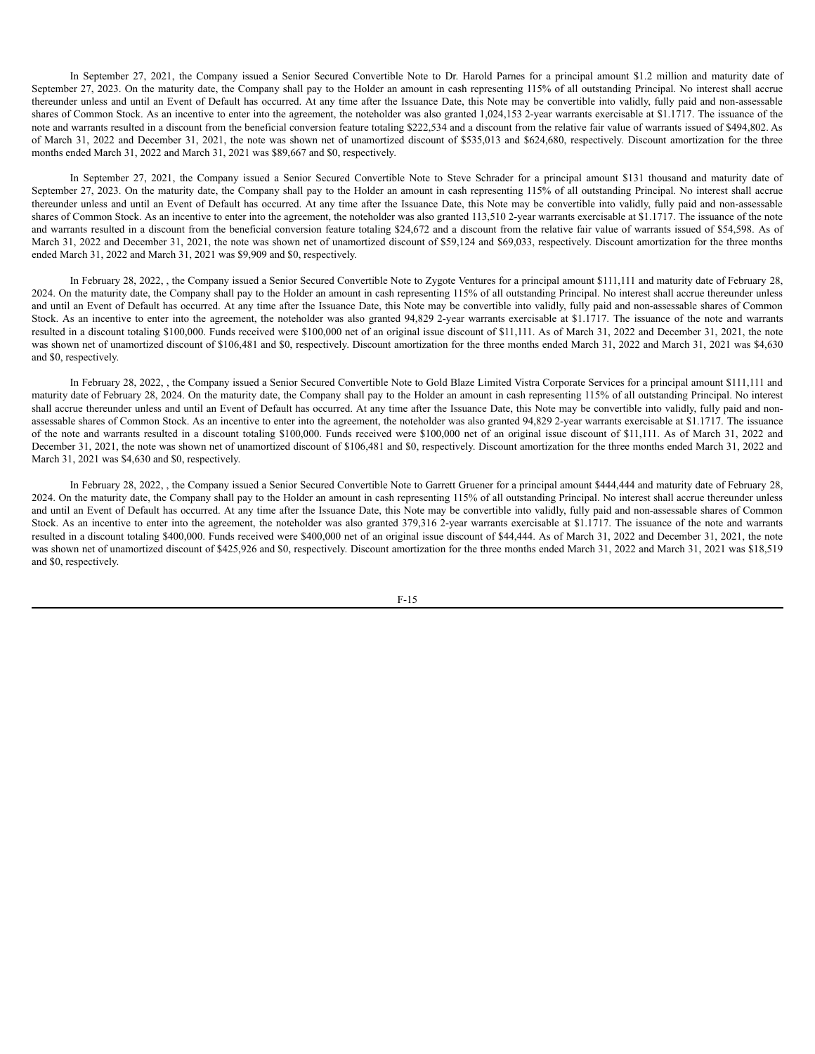In September 27, 2021, the Company issued a Senior Secured Convertible Note to Dr. Harold Parnes for a principal amount \$1.2 million and maturity date of September 27, 2023. On the maturity date, the Company shall pay to the Holder an amount in cash representing 115% of all outstanding Principal. No interest shall accrue thereunder unless and until an Event of Default has occurred. At any time after the Issuance Date, this Note may be convertible into validly, fully paid and non-assessable shares of Common Stock. As an incentive to enter into the agreement, the noteholder was also granted 1,024,153 2-year warrants exercisable at \$1.1717. The issuance of the note and warrants resulted in a discount from the beneficial conversion feature totaling \$222,534 and a discount from the relative fair value of warrants issued of \$494,802. As of March 31, 2022 and December 31, 2021, the note was shown net of unamortized discount of \$535,013 and \$624,680, respectively. Discount amortization for the three months ended March 31, 2022 and March 31, 2021 was \$89,667 and \$0, respectively.

In September 27, 2021, the Company issued a Senior Secured Convertible Note to Steve Schrader for a principal amount \$131 thousand and maturity date of September 27, 2023. On the maturity date, the Company shall pay to the Holder an amount in cash representing 115% of all outstanding Principal. No interest shall accrue thereunder unless and until an Event of Default has occurred. At any time after the Issuance Date, this Note may be convertible into validly, fully paid and non-assessable shares of Common Stock. As an incentive to enter into the agreement, the noteholder was also granted 113,510 2-year warrants exercisable at \$1.1717. The issuance of the note and warrants resulted in a discount from the beneficial conversion feature totaling \$24,672 and a discount from the relative fair value of warrants issued of \$54,598. As of March 31, 2022 and December 31, 2021, the note was shown net of unamortized discount of \$59,124 and \$69,033, respectively. Discount amortization for the three months ended March 31, 2022 and March 31, 2021 was \$9,909 and \$0, respectively.

In February 28, 2022, , the Company issued a Senior Secured Convertible Note to Zygote Ventures for a principal amount \$111,111 and maturity date of February 28, 2024. On the maturity date, the Company shall pay to the Holder an amount in cash representing 115% of all outstanding Principal. No interest shall accrue thereunder unless and until an Event of Default has occurred. At any time after the Issuance Date, this Note may be convertible into validly, fully paid and non-assessable shares of Common Stock. As an incentive to enter into the agreement, the noteholder was also granted 94,829 2-year warrants exercisable at \$1.1717. The issuance of the note and warrants resulted in a discount totaling \$100,000. Funds received were \$100,000 net of an original issue discount of \$11,111. As of March 31, 2022 and December 31, 2021, the note was shown net of unamortized discount of \$106,481 and \$0, respectively. Discount amortization for the three months ended March 31, 2022 and March 31, 2021 was \$4,630 and \$0, respectively.

In February 28, 2022, , the Company issued a Senior Secured Convertible Note to Gold Blaze Limited Vistra Corporate Services for a principal amount \$111,111 and maturity date of February 28, 2024. On the maturity date, the Company shall pay to the Holder an amount in cash representing 115% of all outstanding Principal. No interest shall accrue thereunder unless and until an Event of Default has occurred. At any time after the Issuance Date, this Note may be convertible into validly, fully paid and nonassessable shares of Common Stock. As an incentive to enter into the agreement, the noteholder was also granted 94,829 2-year warrants exercisable at \$1.1717. The issuance of the note and warrants resulted in a discount totaling \$100,000. Funds received were \$100,000 net of an original issue discount of \$11,111. As of March 31, 2022 and December 31, 2021, the note was shown net of unamortized discount of \$106,481 and \$0, respectively. Discount amortization for the three months ended March 31, 2022 and March 31, 2021 was \$4,630 and \$0, respectively.

In February 28, 2022, , the Company issued a Senior Secured Convertible Note to Garrett Gruener for a principal amount \$444,444 and maturity date of February 28, 2024. On the maturity date, the Company shall pay to the Holder an amount in cash representing 115% of all outstanding Principal. No interest shall accrue thereunder unless and until an Event of Default has occurred. At any time after the Issuance Date, this Note may be convertible into validly, fully paid and non-assessable shares of Common Stock. As an incentive to enter into the agreement, the noteholder was also granted 379,316 2-year warrants exercisable at \$1.1717. The issuance of the note and warrants resulted in a discount totaling \$400,000. Funds received were \$400,000 net of an original issue discount of \$44,444. As of March 31, 2022 and December 31, 2021, the note was shown net of unamortized discount of \$425,926 and \$0, respectively. Discount amortization for the three months ended March 31, 2022 and March 31, 2021 was \$18,519 and \$0, respectively.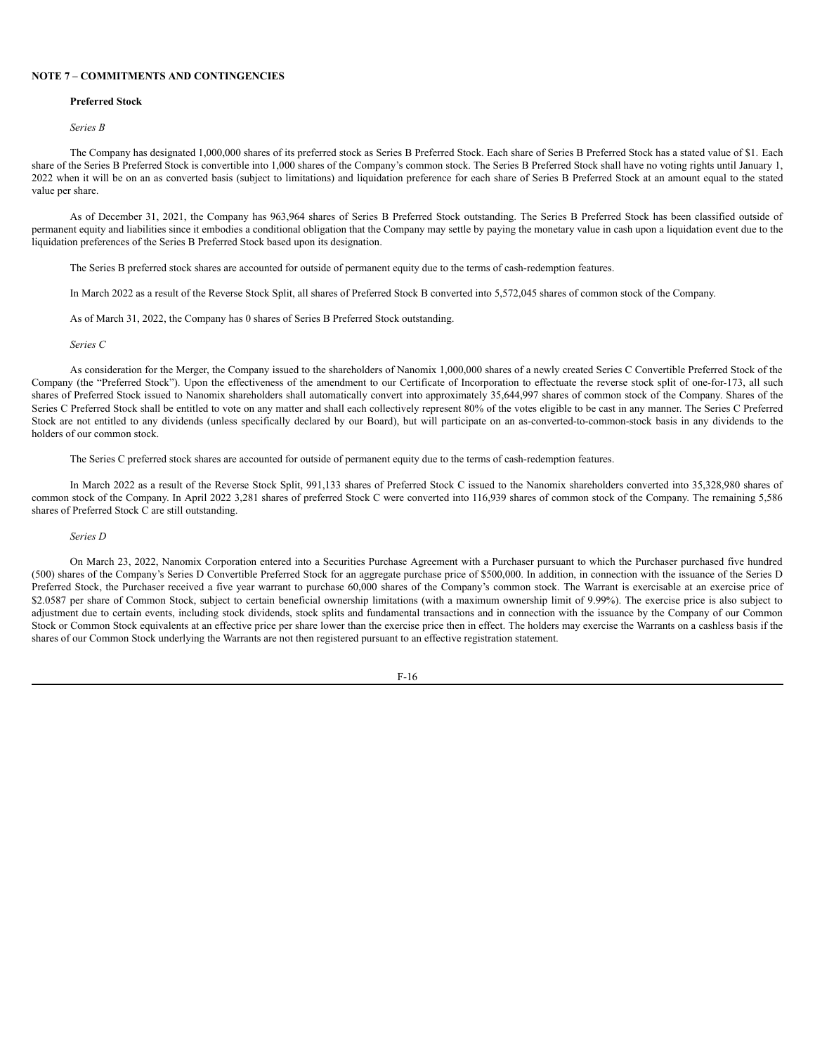# **NOTE 7 – COMMITMENTS AND CONTINGENCIES**

## **Preferred Stock**

*Series B*

The Company has designated 1,000,000 shares of its preferred stock as Series B Preferred Stock. Each share of Series B Preferred Stock has a stated value of \$1. Each share of the Series B Preferred Stock is convertible into 1,000 shares of the Company's common stock. The Series B Preferred Stock shall have no voting rights until January 1, 2022 when it will be on an as converted basis (subject to limitations) and liquidation preference for each share of Series B Preferred Stock at an amount equal to the stated value per share.

As of December 31, 2021, the Company has 963,964 shares of Series B Preferred Stock outstanding. The Series B Preferred Stock has been classified outside of permanent equity and liabilities since it embodies a conditional obligation that the Company may settle by paying the monetary value in cash upon a liquidation event due to the liquidation preferences of the Series B Preferred Stock based upon its designation.

The Series B preferred stock shares are accounted for outside of permanent equity due to the terms of cash-redemption features.

In March 2022 as a result of the Reverse Stock Split, all shares of Preferred Stock B converted into 5,572,045 shares of common stock of the Company.

As of March 31, 2022, the Company has 0 shares of Series B Preferred Stock outstanding.

*Series C*

As consideration for the Merger, the Company issued to the shareholders of Nanomix 1,000,000 shares of a newly created Series C Convertible Preferred Stock of the Company (the "Preferred Stock"). Upon the effectiveness of the amendment to our Certificate of Incorporation to effectuate the reverse stock split of one-for-173, all such shares of Preferred Stock issued to Nanomix shareholders shall automatically convert into approximately 35,644,997 shares of common stock of the Company. Shares of the Series C Preferred Stock shall be entitled to vote on any matter and shall each collectively represent 80% of the votes eligible to be cast in any manner. The Series C Preferred Stock are not entitled to any dividends (unless specifically declared by our Board), but will participate on an as-converted-to-common-stock basis in any dividends to the holders of our common stock.

The Series C preferred stock shares are accounted for outside of permanent equity due to the terms of cash-redemption features.

In March 2022 as a result of the Reverse Stock Split, 991,133 shares of Preferred Stock C issued to the Nanomix shareholders converted into 35,328,980 shares of common stock of the Company. In April 2022 3,281 shares of preferred Stock C were converted into 116,939 shares of common stock of the Company. The remaining 5,586 shares of Preferred Stock C are still outstanding.

#### *Series D*

On March 23, 2022, Nanomix Corporation entered into a Securities Purchase Agreement with a Purchaser pursuant to which the Purchaser purchased five hundred (500) shares of the Company's Series D Convertible Preferred Stock for an aggregate purchase price of \$500,000. In addition, in connection with the issuance of the Series D Preferred Stock, the Purchaser received a five year warrant to purchase 60,000 shares of the Company's common stock. The Warrant is exercisable at an exercise price of \$2.0587 per share of Common Stock, subject to certain beneficial ownership limitations (with a maximum ownership limit of 9.99%). The exercise price is also subject to adjustment due to certain events, including stock dividends, stock splits and fundamental transactions and in connection with the issuance by the Company of our Common Stock or Common Stock equivalents at an effective price per share lower than the exercise price then in effect. The holders may exercise the Warrants on a cashless basis if the shares of our Common Stock underlying the Warrants are not then registered pursuant to an effective registration statement.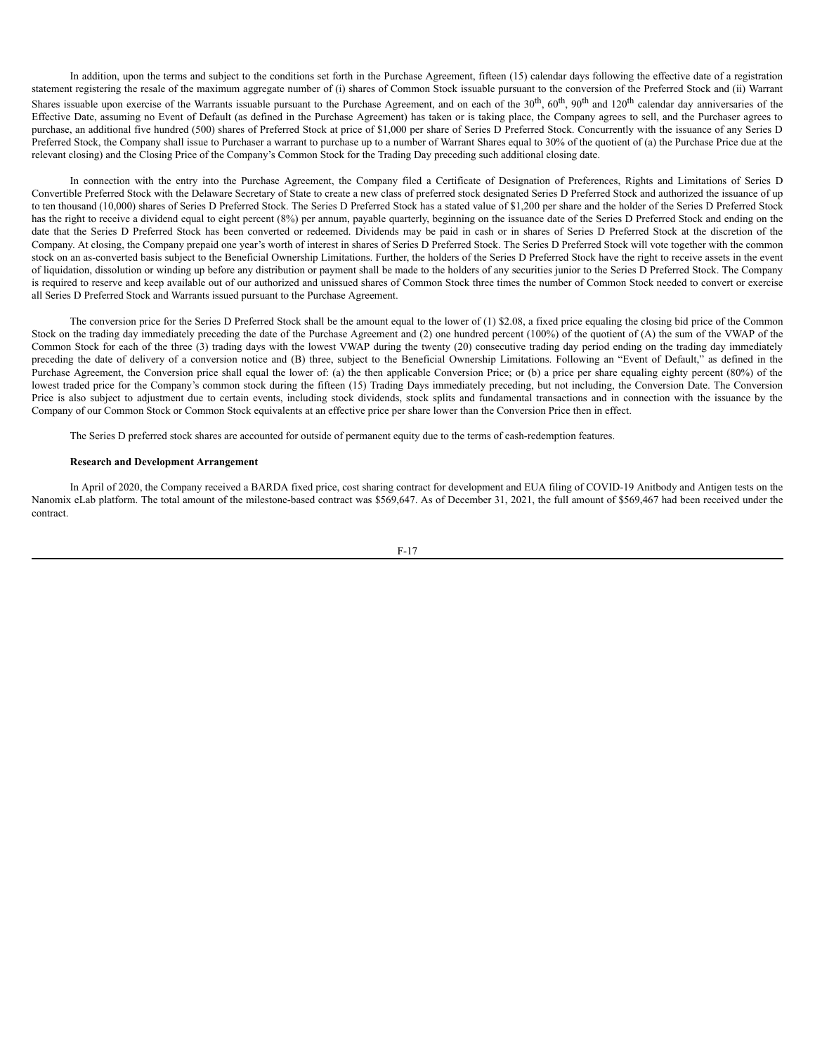In addition, upon the terms and subject to the conditions set forth in the Purchase Agreement, fifteen (15) calendar days following the effective date of a registration statement registering the resale of the maximum aggregate number of (i) shares of Common Stock issuable pursuant to the conversion of the Preferred Stock and (ii) Warrant Shares issuable upon exercise of the Warrants issuable pursuant to the Purchase Agreement, and on each of the  $30<sup>th</sup>$ ,  $60<sup>th</sup>$ ,  $90<sup>th</sup>$  and  $120<sup>th</sup>$  calendar day anniversaries of the Effective Date, assuming no Event of Default (as defined in the Purchase Agreement) has taken or is taking place, the Company agrees to sell, and the Purchaser agrees to purchase, an additional five hundred (500) shares of Preferred Stock at price of \$1,000 per share of Series D Preferred Stock. Concurrently with the issuance of any Series D Preferred Stock, the Company shall issue to Purchaser a warrant to purchase up to a number of Warrant Shares equal to 30% of the quotient of (a) the Purchase Price due at the relevant closing) and the Closing Price of the Company's Common Stock for the Trading Day preceding such additional closing date.

In connection with the entry into the Purchase Agreement, the Company filed a Certificate of Designation of Preferences, Rights and Limitations of Series D Convertible Preferred Stock with the Delaware Secretary of State to create a new class of preferred stock designated Series D Preferred Stock and authorized the issuance of up to ten thousand (10,000) shares of Series D Preferred Stock. The Series D Preferred Stock has a stated value of \$1,200 per share and the holder of the Series D Preferred Stock has the right to receive a dividend equal to eight percent (8%) per annum, payable quarterly, beginning on the issuance date of the Series D Preferred Stock and ending on the date that the Series D Preferred Stock has been converted or redeemed. Dividends may be paid in cash or in shares of Series D Preferred Stock at the discretion of the Company. At closing, the Company prepaid one year's worth of interest in shares of Series D Preferred Stock. The Series D Preferred Stock will vote together with the common stock on an as-converted basis subject to the Beneficial Ownership Limitations. Further, the holders of the Series D Preferred Stock have the right to receive assets in the event of liquidation, dissolution or winding up before any distribution or payment shall be made to the holders of any securities junior to the Series D Preferred Stock. The Company is required to reserve and keep available out of our authorized and unissued shares of Common Stock three times the number of Common Stock needed to convert or exercise all Series D Preferred Stock and Warrants issued pursuant to the Purchase Agreement.

The conversion price for the Series D Preferred Stock shall be the amount equal to the lower of (1) \$2.08, a fixed price equaling the closing bid price of the Common Stock on the trading day immediately preceding the date of the Purchase Agreement and (2) one hundred percent (100%) of the quotient of (A) the sum of the VWAP of the Common Stock for each of the three (3) trading days with the lowest VWAP during the twenty (20) consecutive trading day period ending on the trading day immediately preceding the date of delivery of a conversion notice and (B) three, subject to the Beneficial Ownership Limitations. Following an "Event of Default," as defined in the Purchase Agreement, the Conversion price shall equal the lower of: (a) the then applicable Conversion Price; or (b) a price per share equaling eighty percent (80%) of the lowest traded price for the Company's common stock during the fifteen (15) Trading Days immediately preceding, but not including, the Conversion Date. The Conversion Price is also subject to adjustment due to certain events, including stock dividends, stock splits and fundamental transactions and in connection with the issuance by the Company of our Common Stock or Common Stock equivalents at an effective price per share lower than the Conversion Price then in effect.

The Series D preferred stock shares are accounted for outside of permanent equity due to the terms of cash-redemption features.

### **Research and Development Arrangement**

In April of 2020, the Company received a BARDA fixed price, cost sharing contract for development and EUA filing of COVID-19 Anitbody and Antigen tests on the Nanomix eLab platform. The total amount of the milestone-based contract was \$569,647. As of December 31, 2021, the full amount of \$569,467 had been received under the contract.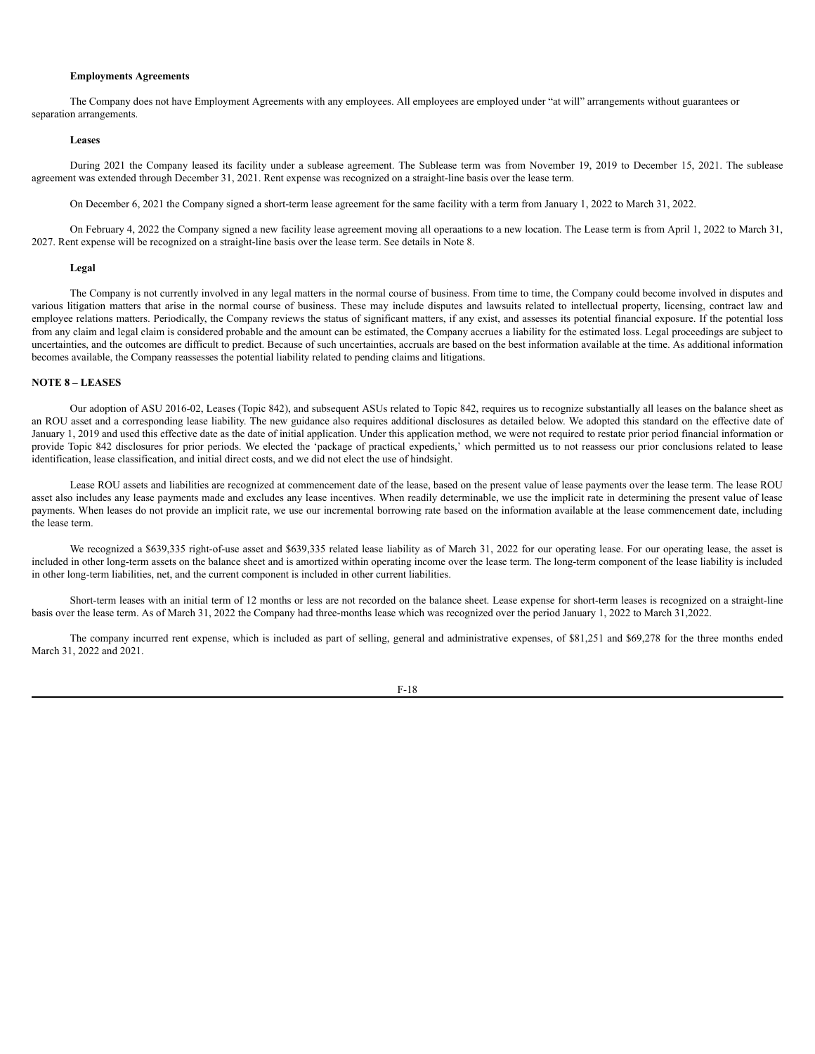#### **Employments Agreements**

The Company does not have Employment Agreements with any employees. All employees are employed under "at will" arrangements without guarantees or separation arrangements.

### **Leases**

During 2021 the Company leased its facility under a sublease agreement. The Sublease term was from November 19, 2019 to December 15, 2021. The sublease agreement was extended through December 31, 2021. Rent expense was recognized on a straight-line basis over the lease term.

On December 6, 2021 the Company signed a short-term lease agreement for the same facility with a term from January 1, 2022 to March 31, 2022.

On February 4, 2022 the Company signed a new facility lease agreement moving all operaations to a new location. The Lease term is from April 1, 2022 to March 31, 2027. Rent expense will be recognized on a straight-line basis over the lease term. See details in Note 8.

#### **Legal**

The Company is not currently involved in any legal matters in the normal course of business. From time to time, the Company could become involved in disputes and various litigation matters that arise in the normal course of business. These may include disputes and lawsuits related to intellectual property, licensing, contract law and employee relations matters. Periodically, the Company reviews the status of significant matters, if any exist, and assesses its potential financial exposure. If the potential loss from any claim and legal claim is considered probable and the amount can be estimated, the Company accrues a liability for the estimated loss. Legal proceedings are subject to uncertainties, and the outcomes are difficult to predict. Because of such uncertainties, accruals are based on the best information available at the time. As additional information becomes available, the Company reassesses the potential liability related to pending claims and litigations.

## **NOTE 8 – LEASES**

Our adoption of ASU 2016-02, Leases (Topic 842), and subsequent ASUs related to Topic 842, requires us to recognize substantially all leases on the balance sheet as an ROU asset and a corresponding lease liability. The new guidance also requires additional disclosures as detailed below. We adopted this standard on the effective date of January 1, 2019 and used this effective date as the date of initial application. Under this application method, we were not required to restate prior period financial information or provide Topic 842 disclosures for prior periods. We elected the 'package of practical expedients,' which permitted us to not reassess our prior conclusions related to lease identification, lease classification, and initial direct costs, and we did not elect the use of hindsight.

Lease ROU assets and liabilities are recognized at commencement date of the lease, based on the present value of lease payments over the lease term. The lease ROU asset also includes any lease payments made and excludes any lease incentives. When readily determinable, we use the implicit rate in determining the present value of lease payments. When leases do not provide an implicit rate, we use our incremental borrowing rate based on the information available at the lease commencement date, including the lease term.

We recognized a \$639,335 right-of-use asset and \$639,335 related lease liability as of March 31, 2022 for our operating lease. For our operating lease, the asset is included in other long-term assets on the balance sheet and is amortized within operating income over the lease term. The long-term component of the lease liability is included in other long-term liabilities, net, and the current component is included in other current liabilities.

Short-term leases with an initial term of 12 months or less are not recorded on the balance sheet. Lease expense for short-term leases is recognized on a straight-line basis over the lease term. As of March 31, 2022 the Company had three-months lease which was recognized over the period January 1, 2022 to March 31,2022.

The company incurred rent expense, which is included as part of selling, general and administrative expenses, of \$81,251 and \$69,278 for the three months ended March 31, 2022 and 2021.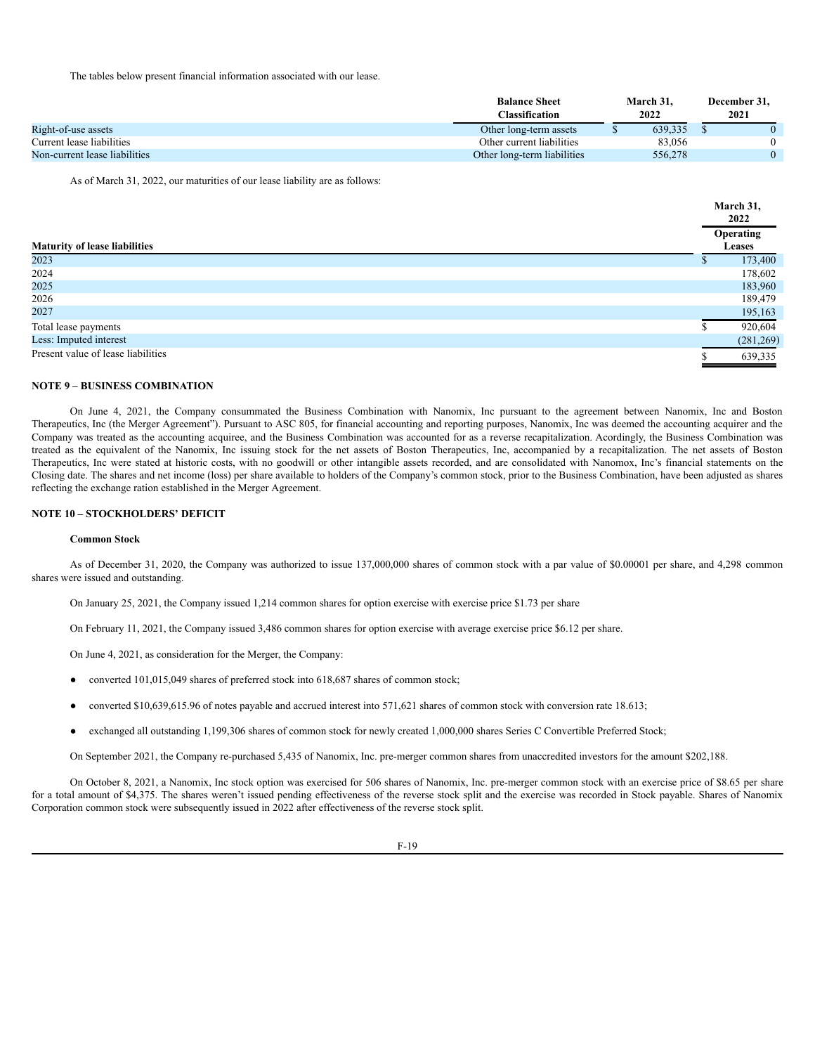The tables below present financial information associated with our lease.

|                               | <b>Balance Sheet</b>        |  | March 31. |  | December 31. |
|-------------------------------|-----------------------------|--|-----------|--|--------------|
|                               | <b>Classification</b>       |  | 2022      |  | 2021         |
| Right-of-use assets           | Other long-term assets      |  | 639,335   |  |              |
| Current lease liabilities     | Other current liabilities   |  | 83,056    |  |              |
| Non-current lease liabilities | Other long-term liabilities |  | 556,278   |  |              |

As of March 31, 2022, our maturities of our lease liability are as follows:

|                                    |  | March 31,<br>2022   |  |
|------------------------------------|--|---------------------|--|
| Maturity of lease liabilities      |  | Operating<br>Leases |  |
| 2023                               |  | 173,400             |  |
| 2024                               |  | 178,602             |  |
| 2025                               |  | 183,960             |  |
| 2026                               |  | 189,479             |  |
| 2027                               |  | 195,163             |  |
| Total lease payments               |  | 920,604             |  |
| Less: Imputed interest             |  | (281, 269)          |  |
| Present value of lease liabilities |  | 639,335             |  |

### **NOTE 9 – BUSINESS COMBINATION**

On June 4, 2021, the Company consummated the Business Combination with Nanomix, Inc pursuant to the agreement between Nanomix, Inc and Boston Therapeutics, Inc (the Merger Agreement"). Pursuant to ASC 805, for financial accounting and reporting purposes, Nanomix, Inc was deemed the accounting acquirer and the Company was treated as the accounting acquiree, and the Business Combination was accounted for as a reverse recapitalization. Acordingly, the Business Combination was treated as the equivalent of the Nanomix, Inc issuing stock for the net assets of Boston Therapeutics, Inc, accompanied by a recapitalization. The net assets of Boston Therapeutics, Inc were stated at historic costs, with no goodwill or other intangible assets recorded, and are consolidated with Nanomox, Inc's financial statements on the Closing date. The shares and net income (loss) per share available to holders of the Company's common stock, prior to the Business Combination, have been adjusted as shares reflecting the exchange ration established in the Merger Agreement.

# **NOTE 10 – STOCKHOLDERS' DEFICIT**

#### **Common Stock**

As of December 31, 2020, the Company was authorized to issue 137,000,000 shares of common stock with a par value of \$0.00001 per share, and 4,298 common shares were issued and outstanding.

On January 25, 2021, the Company issued 1,214 common shares for option exercise with exercise price \$1.73 per share

On February 11, 2021, the Company issued 3,486 common shares for option exercise with average exercise price \$6.12 per share.

On June 4, 2021, as consideration for the Merger, the Company:

- converted 101,015,049 shares of preferred stock into 618,687 shares of common stock;
- converted \$10,639,615.96 of notes payable and accrued interest into  $571,621$  shares of common stock with conversion rate 18.613;
- exchanged all outstanding 1,199,306 shares of common stock for newly created 1,000,000 shares Series C Convertible Preferred Stock;

On September 2021, the Company re-purchased 5,435 of Nanomix, Inc. pre-merger common shares from unaccredited investors for the amount \$202,188.

On October 8, 2021, a Nanomix, Inc stock option was exercised for 506 shares of Nanomix, Inc. pre-merger common stock with an exercise price of \$8.65 per share for a total amount of \$4,375. The shares weren't issued pending effectiveness of the reverse stock split and the exercise was recorded in Stock payable. Shares of Nanomix Corporation common stock were subsequently issued in 2022 after effectiveness of the reverse stock split.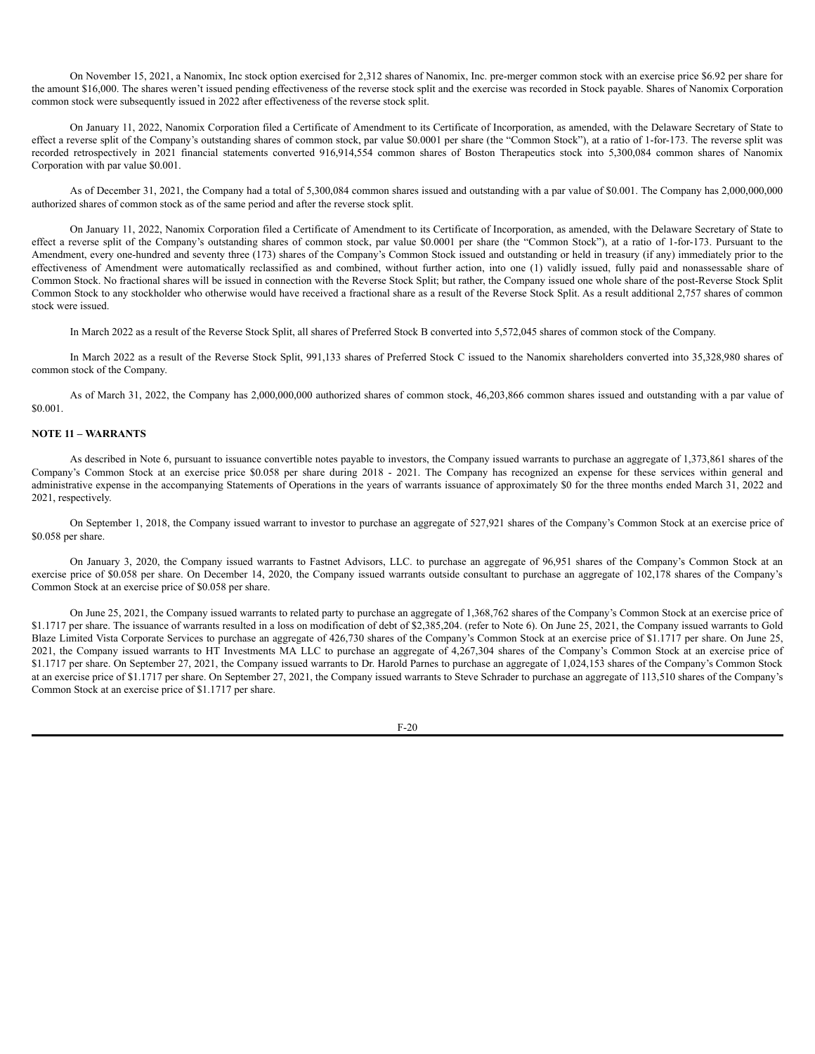On November 15, 2021, a Nanomix, Inc stock option exercised for 2,312 shares of Nanomix, Inc. pre-merger common stock with an exercise price \$6.92 per share for the amount \$16,000. The shares weren't issued pending effectiveness of the reverse stock split and the exercise was recorded in Stock payable. Shares of Nanomix Corporation common stock were subsequently issued in 2022 after effectiveness of the reverse stock split.

On January 11, 2022, Nanomix Corporation filed a Certificate of Amendment to its Certificate of Incorporation, as amended, with the Delaware Secretary of State to effect a reverse split of the Company's outstanding shares of common stock, par value \$0.0001 per share (the "Common Stock"), at a ratio of 1-for-173. The reverse split was recorded retrospectively in 2021 financial statements converted 916,914,554 common shares of Boston Therapeutics stock into 5,300,084 common shares of Nanomix Corporation with par value \$0.001.

As of December 31, 2021, the Company had a total of 5,300,084 common shares issued and outstanding with a par value of \$0.001. The Company has 2,000,000,000 authorized shares of common stock as of the same period and after the reverse stock split.

On January 11, 2022, Nanomix Corporation filed a Certificate of Amendment to its Certificate of Incorporation, as amended, with the Delaware Secretary of State to effect a reverse split of the Company's outstanding shares of common stock, par value \$0.0001 per share (the "Common Stock"), at a ratio of 1-for-173. Pursuant to the Amendment, every one-hundred and seventy three (173) shares of the Company's Common Stock issued and outstanding or held in treasury (if any) immediately prior to the effectiveness of Amendment were automatically reclassified as and combined, without further action, into one (1) validly issued, fully paid and nonassessable share of Common Stock. No fractional shares will be issued in connection with the Reverse Stock Split; but rather, the Company issued one whole share of the post-Reverse Stock Split Common Stock to any stockholder who otherwise would have received a fractional share as a result of the Reverse Stock Split. As a result additional 2,757 shares of common stock were issued.

In March 2022 as a result of the Reverse Stock Split, all shares of Preferred Stock B converted into 5,572,045 shares of common stock of the Company.

In March 2022 as a result of the Reverse Stock Split, 991,133 shares of Preferred Stock C issued to the Nanomix shareholders converted into 35,328,980 shares of common stock of the Company.

As of March 31, 2022, the Company has 2,000,000,000 authorized shares of common stock, 46,203,866 common shares issued and outstanding with a par value of \$0.001.

# **NOTE 11 – WARRANTS**

As described in Note 6, pursuant to issuance convertible notes payable to investors, the Company issued warrants to purchase an aggregate of 1,373,861 shares of the Company's Common Stock at an exercise price \$0.058 per share during 2018 - 2021. The Company has recognized an expense for these services within general and administrative expense in the accompanying Statements of Operations in the years of warrants issuance of approximately \$0 for the three months ended March 31, 2022 and 2021, respectively.

On September 1, 2018, the Company issued warrant to investor to purchase an aggregate of 527,921 shares of the Company's Common Stock at an exercise price of \$0.058 per share.

On January 3, 2020, the Company issued warrants to Fastnet Advisors, LLC. to purchase an aggregate of 96,951 shares of the Company's Common Stock at an exercise price of \$0.058 per share. On December 14, 2020, the Company issued warrants outside consultant to purchase an aggregate of 102,178 shares of the Company's Common Stock at an exercise price of \$0.058 per share.

On June 25, 2021, the Company issued warrants to related party to purchase an aggregate of 1,368,762 shares of the Company's Common Stock at an exercise price of \$1.1717 per share. The issuance of warrants resulted in a loss on modification of debt of \$2,385,204. (refer to Note 6). On June 25, 2021, the Company issued warrants to Gold Blaze Limited Vista Corporate Services to purchase an aggregate of 426,730 shares of the Company's Common Stock at an exercise price of \$1.1717 per share. On June 25, 2021, the Company issued warrants to HT Investments MA LLC to purchase an aggregate of 4,267,304 shares of the Company's Common Stock at an exercise price of \$1.1717 per share. On September 27, 2021, the Company issued warrants to Dr. Harold Parnes to purchase an aggregate of 1,024,153 shares of the Company's Common Stock at an exercise price of \$1.1717 per share. On September 27, 2021, the Company issued warrants to Steve Schrader to purchase an aggregate of 113,510 shares of the Company's Common Stock at an exercise price of \$1.1717 per share.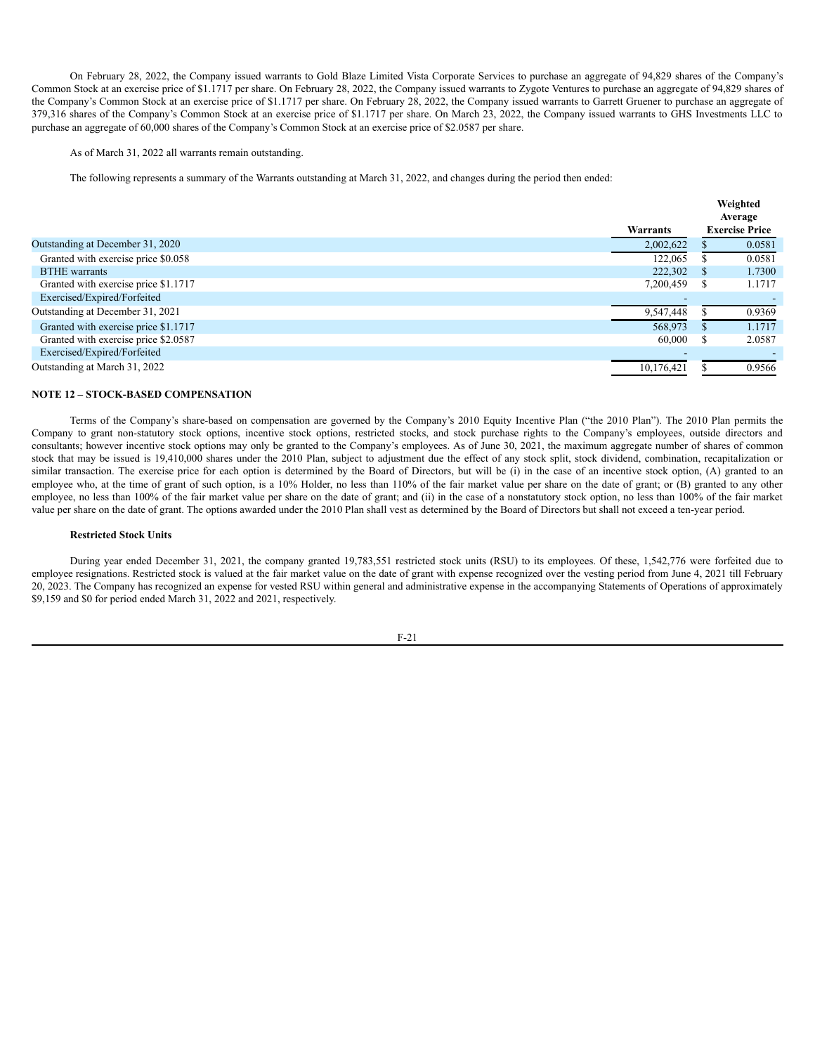On February 28, 2022, the Company issued warrants to Gold Blaze Limited Vista Corporate Services to purchase an aggregate of 94,829 shares of the Company's Common Stock at an exercise price of \$1.1717 per share. On February 28, 2022, the Company issued warrants to Zygote Ventures to purchase an aggregate of 94,829 shares of the Company's Common Stock at an exercise price of \$1.1717 per share. On February 28, 2022, the Company issued warrants to Garrett Gruener to purchase an aggregate of 379,316 shares of the Company's Common Stock at an exercise price of \$1.1717 per share. On March 23, 2022, the Company issued warrants to GHS Investments LLC to purchase an aggregate of 60,000 shares of the Company's Common Stock at an exercise price of \$2.0587 per share.

# As of March 31, 2022 all warrants remain outstanding.

The following represents a summary of the Warrants outstanding at March 31, 2022, and changes during the period then ended:

|                                      |            |     | Weighted<br>Average   |
|--------------------------------------|------------|-----|-----------------------|
|                                      | Warrants   |     | <b>Exercise Price</b> |
| Outstanding at December 31, 2020     | 2,002,622  |     | 0.0581                |
| Granted with exercise price \$0.058  | 122,065    |     | 0.0581                |
| <b>BTHE</b> warrants                 | 222,302    | \$. | 1.7300                |
| Granted with exercise price \$1.1717 | 7,200,459  | S.  | 1.1717                |
| Exercised/Expired/Forfeited          |            |     |                       |
| Outstanding at December 31, 2021     | 9,547,448  |     | 0.9369                |
| Granted with exercise price \$1.1717 | 568,973    |     | 1.1717                |
| Granted with exercise price \$2.0587 | 60,000     | S   | 2.0587                |
| Exercised/Expired/Forfeited          |            |     |                       |
| Outstanding at March 31, 2022        | 10,176,421 |     | 0.9566                |

# **NOTE 12 – STOCK-BASED COMPENSATION**

Terms of the Company's share-based on compensation are governed by the Company's 2010 Equity Incentive Plan ("the 2010 Plan"). The 2010 Plan permits the Company to grant non-statutory stock options, incentive stock options, restricted stocks, and stock purchase rights to the Company's employees, outside directors and consultants; however incentive stock options may only be granted to the Company's employees. As of June 30, 2021, the maximum aggregate number of shares of common stock that may be issued is 19,410,000 shares under the 2010 Plan, subject to adjustment due the effect of any stock split, stock dividend, combination, recapitalization or similar transaction. The exercise price for each option is determined by the Board of Directors, but will be (i) in the case of an incentive stock option, (A) granted to an employee who, at the time of grant of such option, is a 10% Holder, no less than 110% of the fair market value per share on the date of grant; or (B) granted to any other employee, no less than 100% of the fair market value per share on the date of grant; and (ii) in the case of a nonstatutory stock option, no less than 100% of the fair market value per share on the date of grant. The options awarded under the 2010 Plan shall vest as determined by the Board of Directors but shall not exceed a ten-year period.

# **Restricted Stock Units**

During year ended December 31, 2021, the company granted 19,783,551 restricted stock units (RSU) to its employees. Of these, 1,542,776 were forfeited due to employee resignations. Restricted stock is valued at the fair market value on the date of grant with expense recognized over the vesting period from June 4, 2021 till February 20, 2023. The Company has recognized an expense for vested RSU within general and administrative expense in the accompanying Statements of Operations of approximately \$9,159 and \$0 for period ended March 31, 2022 and 2021, respectively.

$$
F-21
$$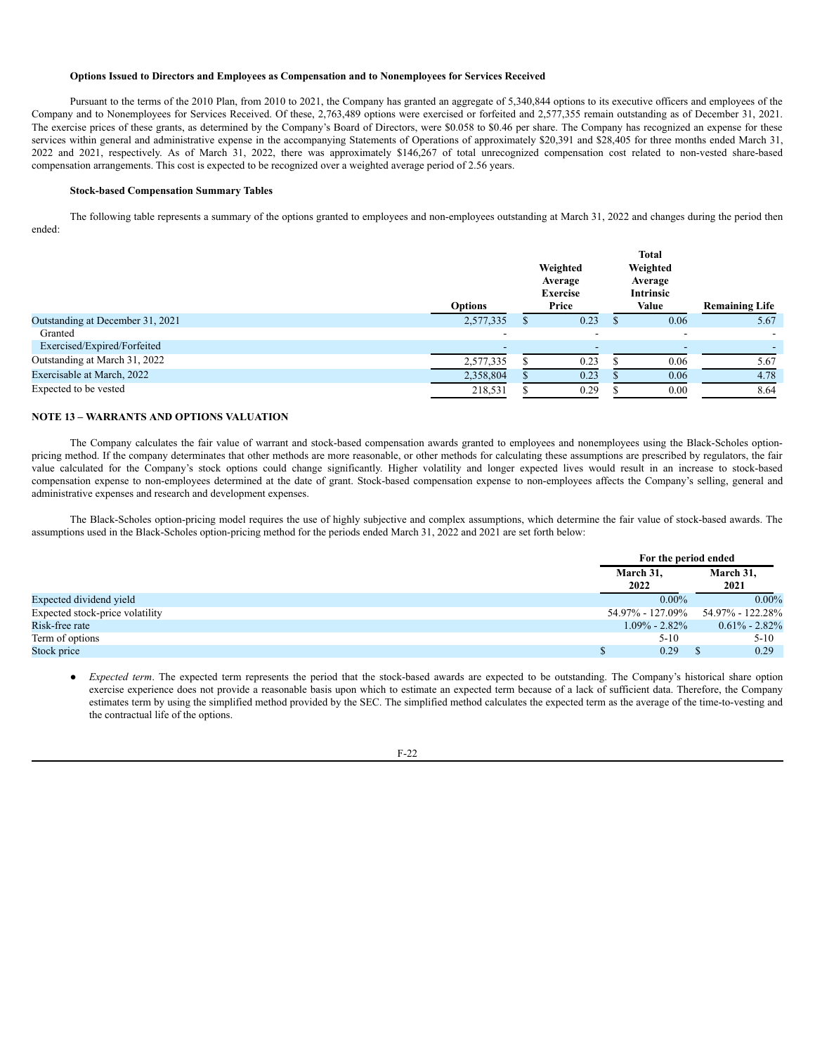### **Options Issued to Directors and Employees as Compensation and to Nonemployees for Services Received**

Pursuant to the terms of the 2010 Plan, from 2010 to 2021, the Company has granted an aggregate of 5,340,844 options to its executive officers and employees of the Company and to Nonemployees for Services Received. Of these, 2,763,489 options were exercised or forfeited and 2,577,355 remain outstanding as of December 31, 2021. The exercise prices of these grants, as determined by the Company's Board of Directors, were \$0.058 to \$0.46 per share. The Company has recognized an expense for these services within general and administrative expense in the accompanying Statements of Operations of approximately \$20,391 and \$28,405 for three months ended March 31, 2022 and 2021, respectively. As of March 31, 2022, there was approximately \$146,267 of total unrecognized compensation cost related to non-vested share-based compensation arrangements. This cost is expected to be recognized over a weighted average period of 2.56 years.

### **Stock-based Compensation Summary Tables**

The following table represents a summary of the options granted to employees and non-employees outstanding at March 31, 2022 and changes during the period then ended:

|                                  |                | Weighted<br>Average<br><b>Exercise</b><br>Price | <b>Total</b><br>Weighted<br>Average<br><b>Intrinsic</b> |        | <b>Remaining Life</b> |
|----------------------------------|----------------|-------------------------------------------------|---------------------------------------------------------|--------|-----------------------|
|                                  | <b>Options</b> |                                                 |                                                         | Value  |                       |
| Outstanding at December 31, 2021 | 2,577,335      | 0.23                                            |                                                         | 0.06   | 5.67                  |
| Granted                          |                | $\overline{\phantom{a}}$                        |                                                         | $\sim$ |                       |
| Exercised/Expired/Forfeited      |                |                                                 |                                                         |        |                       |
| Outstanding at March 31, 2022    | 2,577,335      | 0.23                                            |                                                         | 0.06   | 5.67                  |
| Exercisable at March, 2022       | 2,358,804      | 0.23                                            |                                                         | 0.06   | 4.78                  |
| Expected to be vested            | 218,531        | 0.29                                            |                                                         | 0.00   | 8.64                  |

# **NOTE 13 – WARRANTS AND OPTIONS VALUATION**

The Company calculates the fair value of warrant and stock-based compensation awards granted to employees and nonemployees using the Black-Scholes optionpricing method. If the company determinates that other methods are more reasonable, or other methods for calculating these assumptions are prescribed by regulators, the fair value calculated for the Company's stock options could change significantly. Higher volatility and longer expected lives would result in an increase to stock-based compensation expense to non-employees determined at the date of grant. Stock-based compensation expense to non-employees affects the Company's selling, general and administrative expenses and research and development expenses.

The Black-Scholes option-pricing model requires the use of highly subjective and complex assumptions, which determine the fair value of stock-based awards. The assumptions used in the Black-Scholes option-pricing method for the periods ended March 31, 2022 and 2021 are set forth below:

|                                 | For the period ended |                   |
|---------------------------------|----------------------|-------------------|
|                                 | March 31,<br>2022    | March 31,<br>2021 |
| Expected dividend yield         | $0.00\%$             | $0.00\%$          |
| Expected stock-price volatility | 54.97% - 127.09%     | 54.97% - 122.28%  |
| Risk-free rate                  | $1.09\% - 2.82\%$    | $0.61\% - 2.82\%$ |
| Term of options                 | $5-10$               | $5 - 10$          |
| Stock price                     | 0.29                 | 0.29              |

● *Expected term*. The expected term represents the period that the stock-based awards are expected to be outstanding. The Company's historical share option exercise experience does not provide a reasonable basis upon which to estimate an expected term because of a lack of sufficient data. Therefore, the Company estimates term by using the simplified method provided by the SEC. The simplified method calculates the expected term as the average of the time-to-vesting and the contractual life of the options.

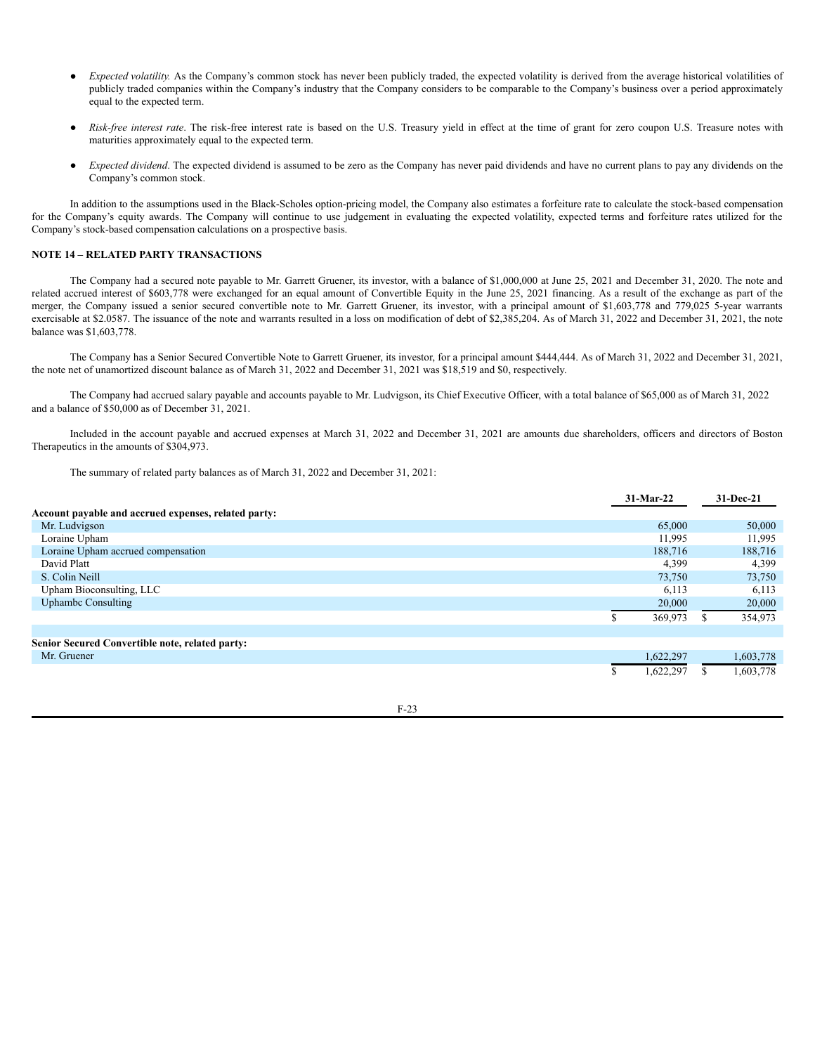- *Expected volatility.* As the Company's common stock has never been publicly traded, the expected volatility is derived from the average historical volatilities of publicly traded companies within the Company's industry that the Company considers to be comparable to the Company's business over a period approximately equal to the expected term.
- *Risk-free interest rate*. The risk-free interest rate is based on the U.S. Treasury yield in effect at the time of grant for zero coupon U.S. Treasure notes with maturities approximately equal to the expected term.
- *Expected dividend*. The expected dividend is assumed to be zero as the Company has never paid dividends and have no current plans to pay any dividends on the Company's common stock.

In addition to the assumptions used in the Black-Scholes option-pricing model, the Company also estimates a forfeiture rate to calculate the stock-based compensation for the Company's equity awards. The Company will continue to use judgement in evaluating the expected volatility, expected terms and forfeiture rates utilized for the Company's stock-based compensation calculations on a prospective basis.

# **NOTE 14 – RELATED PARTY TRANSACTIONS**

The Company had a secured note payable to Mr. Garrett Gruener, its investor, with a balance of \$1,000,000 at June 25, 2021 and December 31, 2020. The note and related accrued interest of \$603,778 were exchanged for an equal amount of Convertible Equity in the June 25, 2021 financing. As a result of the exchange as part of the merger, the Company issued a senior secured convertible note to Mr. Garrett Gruener, its investor, with a principal amount of \$1,603,778 and 779,025 5-year warrants exercisable at \$2.0587. The issuance of the note and warrants resulted in a loss on modification of debt of \$2,385,204. As of March 31, 2022 and December 31, 2021, the note balance was \$1,603,778.

The Company has a Senior Secured Convertible Note to Garrett Gruener, its investor, for a principal amount \$444,444. As of March 31, 2022 and December 31, 2021, the note net of unamortized discount balance as of March 31, 2022 and December 31, 2021 was \$18,519 and \$0, respectively.

The Company had accrued salary payable and accounts payable to Mr. Ludvigson, its Chief Executive Officer, with a total balance of \$65,000 as of March 31, 2022 and a balance of \$50,000 as of December 31, 2021.

Included in the account payable and accrued expenses at March 31, 2022 and December 31, 2021 are amounts due shareholders, officers and directors of Boston Therapeutics in the amounts of \$304,973.

The summary of related party balances as of March 31, 2022 and December 31, 2021:

|                                                      | $31-Mar-22$ | 31-Dec-21 |
|------------------------------------------------------|-------------|-----------|
| Account payable and accrued expenses, related party: |             |           |
| Mr. Ludvigson                                        | 65,000      | 50,000    |
| Loraine Upham                                        | 11,995      | 11,995    |
| Loraine Upham accrued compensation                   | 188,716     | 188,716   |
| David Platt                                          | 4,399       | 4,399     |
| S. Colin Neill                                       | 73,750      | 73,750    |
| Upham Bioconsulting, LLC                             | 6,113       | 6,113     |
| <b>Uphambe Consulting</b>                            | 20,000      | 20,000    |
|                                                      | 369,973     | 354,973   |
|                                                      |             |           |
| Senior Secured Convertible note, related party:      |             |           |
| Mr. Gruener                                          | 1,622,297   | 1,603,778 |
|                                                      | 1,622,297   | 1,603,778 |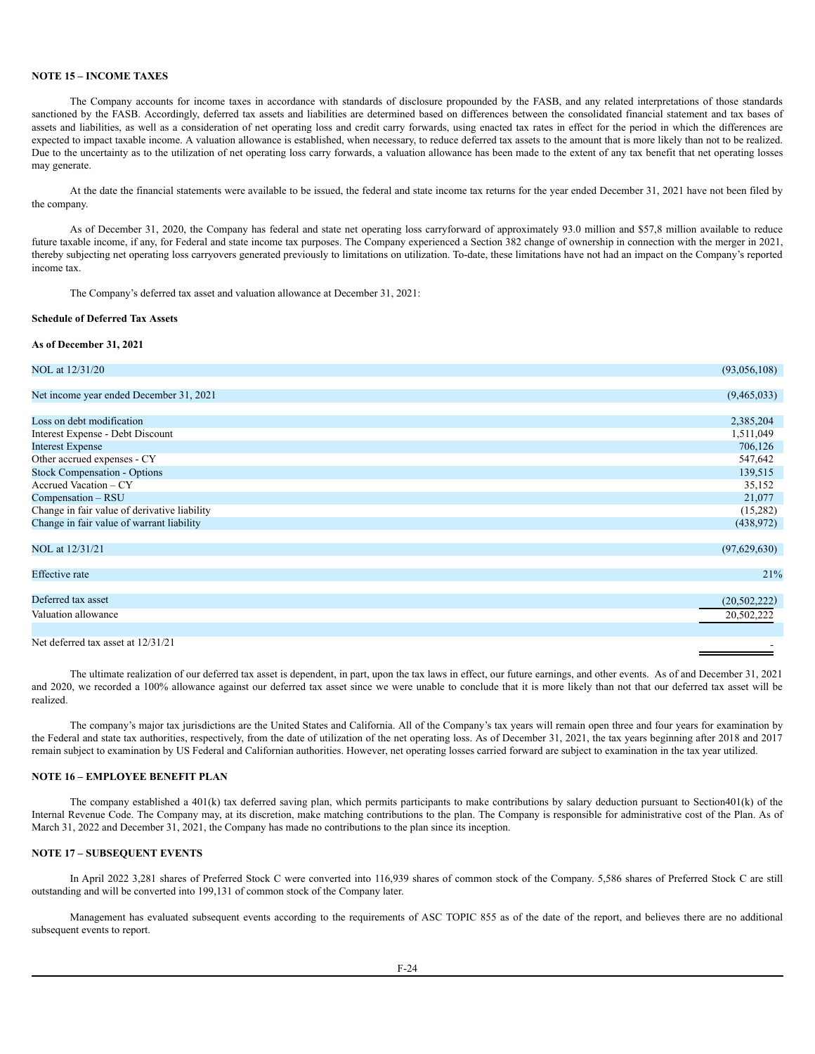# **NOTE 15 – INCOME TAXES**

The Company accounts for income taxes in accordance with standards of disclosure propounded by the FASB, and any related interpretations of those standards sanctioned by the FASB. Accordingly, deferred tax assets and liabilities are determined based on differences between the consolidated financial statement and tax bases of assets and liabilities, as well as a consideration of net operating loss and credit carry forwards, using enacted tax rates in effect for the period in which the differences are expected to impact taxable income. A valuation allowance is established, when necessary, to reduce deferred tax assets to the amount that is more likely than not to be realized. Due to the uncertainty as to the utilization of net operating loss carry forwards, a valuation allowance has been made to the extent of any tax benefit that net operating losses may generate.

At the date the financial statements were available to be issued, the federal and state income tax returns for the year ended December 31, 2021 have not been filed by the company.

As of December 31, 2020, the Company has federal and state net operating loss carryforward of approximately 93.0 million and \$57,8 million available to reduce future taxable income, if any, for Federal and state income tax purposes. The Company experienced a Section 382 change of ownership in connection with the merger in 2021, thereby subjecting net operating loss carryovers generated previously to limitations on utilization. To-date, these limitations have not had an impact on the Company's reported income tax.

The Company's deferred tax asset and valuation allowance at December 31, 2021:

# **Schedule of Deferred Tax Assets**

# **As of December 31, 2021**

| NOL at 12/31/20                                | (93,056,108)   |
|------------------------------------------------|----------------|
| Net income year ended December 31, 2021        | (9,465,033)    |
| Loss on debt modification                      | 2,385,204      |
| Interest Expense - Debt Discount               | 1,511,049      |
| <b>Interest Expense</b>                        | 706,126        |
| Other accrued expenses - CY                    | 547,642        |
| <b>Stock Compensation - Options</b>            | 139,515        |
| Accrued Vacation - CY                          | 35,152         |
| Compensation - RSU                             | 21,077         |
| Change in fair value of derivative liability   | (15,282)       |
| Change in fair value of warrant liability      | (438, 972)     |
| NOL at 12/31/21                                | (97,629,630)   |
| <b>Effective</b> rate                          | 21%            |
| Deferred tax asset                             | (20, 502, 222) |
| Valuation allowance                            | 20,502,222     |
| $\sim$ $\sim$ $\sim$ $\sim$ $\sim$ $\sim$<br>. |                |

Net deferred tax asset at  $12/31/21$ 

The ultimate realization of our deferred tax asset is dependent, in part, upon the tax laws in effect, our future earnings, and other events. As of and December 31, 2021 and 2020, we recorded a 100% allowance against our deferred tax asset since we were unable to conclude that it is more likely than not that our deferred tax asset will be realized.

The company's major tax jurisdictions are the United States and California. All of the Company's tax years will remain open three and four years for examination by the Federal and state tax authorities, respectively, from the date of utilization of the net operating loss. As of December 31, 2021, the tax years beginning after 2018 and 2017 remain subject to examination by US Federal and Californian authorities. However, net operating losses carried forward are subject to examination in the tax year utilized.

# **NOTE 16 – EMPLOYEE BENEFIT PLAN**

The company established a 401(k) tax deferred saving plan, which permits participants to make contributions by salary deduction pursuant to Section401(k) of the Internal Revenue Code. The Company may, at its discretion, make matching contributions to the plan. The Company is responsible for administrative cost of the Plan. As of March 31, 2022 and December 31, 2021, the Company has made no contributions to the plan since its inception.

# **NOTE 17 – SUBSEQUENT EVENTS**

In April 2022 3,281 shares of Preferred Stock C were converted into 116,939 shares of common stock of the Company. 5,586 shares of Preferred Stock C are still outstanding and will be converted into 199,131 of common stock of the Company later.

Management has evaluated subsequent events according to the requirements of ASC TOPIC 855 as of the date of the report, and believes there are no additional subsequent events to report.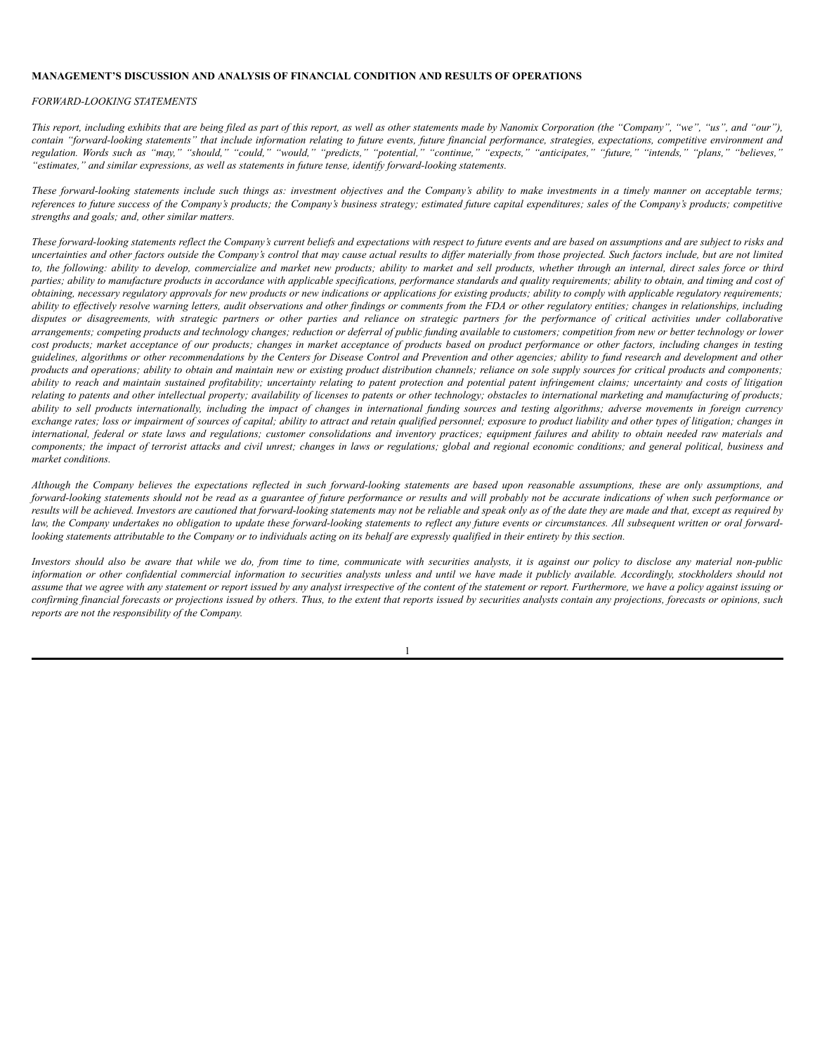# **MANAGEMENT'S DISCUSSION AND ANALYSIS OF FINANCIAL CONDITION AND RESULTS OF OPERATIONS**

#### *FORWARD-LOOKING STATEMENTS*

This report, including exhibits that are being filed as part of this report, as well as other statements made by Nanomix Corporation (the "Company", "we", "us", and "our"). contain "forward-looking statements" that include information relating to future events, future financial performance, strategies, expectations, competitive environment and regulation. Words such as "may," "should," "could," "would," "predicts," "potential," "continue," "expects," "anticipates," "future," "intends," "plans," "believes,' *"estimates," and similar expressions, as well as statements in future tense, identify forward-looking statements.*

These forward-looking statements include such things as: investment objectives and the Company's ability to make investments in a timely manner on acceptable terms; references to future success of the Company's products; the Company's business strategy; estimated future capital expenditures; sales of the Company's products; competitive *strengths and goals; and, other similar matters.*

These forward-looking statements reflect the Company's current beliefs and expectations with respect to future events and are based on assumptions and are subject to risks and uncertainties and other factors outside the Company's control that may cause actual results to differ materially from those projected. Such factors include, but are not limited to, the following: ability to develop, commercialize and market new products; ability to market and sell products, whether through an internal, direct sales force or third parties; ability to manufacture products in accordance with applicable specifications, performance standards and quality requirements; ability to obtain, and timing and cost of obtaining, necessary regulatory approvals for new products or new indications or applications for existing products; ability to comply with applicable regulatory requirements; ability to effectively resolve warning letters, audit observations and other findings or comments from the FDA or other regulatory entities; changes in relationships, including disputes or disagreements, with strategic partners or other parties and reliance on strategic partners for the performance of critical activities under collaborative arrangements; competing products and technology changes; reduction or deferral of public funding available to customers; competition from new or better technology or lower cost products; market acceptance of our products; changes in market acceptance of products based on product performance or other factors, including changes in testing guidelines, algorithms or other recommendations by the Centers for Disease Control and Prevention and other agencies; ability to fund research and development and other products and operations; ability to obtain and maintain new or existing product distribution channels; reliance on sole supply sources for critical products and components; ability to reach and maintain sustained profitability; uncertainty relating to patent protection and potential patent infringement claims; uncertainty and costs of litigation relating to patents and other intellectual property; availability of licenses to patents or other technology; obstacles to international marketing and manufacturing of products; ability to sell products internationally, including the impact of changes in international funding sources and testing algorithms; adverse movements in foreign currency exchange rates; loss or impairment of sources of capital; ability to attract and retain qualified personnel; exposure to product liability and other types of litigation; changes in international, federal or state laws and regulations; customer consolidations and inventory practices; equipment failures and ability to obtain needed raw materials and components; the impact of terrorist attacks and civil unrest; changes in laws or regulations; global and regional economic conditions; and general political, business and *market conditions.*

Although the Company believes the expectations reflected in such forward-looking statements are based upon reasonable assumptions, these are only assumptions, and forward-looking statements should not be read as a guarantee of future performance or results and will probably not be accurate indications of when such performance or results will be achieved. Investors are cautioned that forward-looking statements may not be reliable and speak only as of the date they are made and that, except as required by law, the Company undertakes no obligation to update these forward-looking statements to reflect any future events or circumstances. All subsequent written or oral forwardlooking statements attributable to the Company or to individuals acting on its behalf are expressly qualified in their entirety by this section.

Investors should also be aware that while we do, from time to time, communicate with securities analysts, it is against our policy to disclose any material non-public information or other confidential commercial information to securities analysts unless and until we have made it publicly available. Accordingly, stockholders should not assume that we agree with any statement or report issued by any analyst irrespective of the content of the statement or report. Furthermore, we have a policy against issuing or confirming financial forecasts or projections issued by others. Thus, to the extent that reports issued by securities analysts contain any projections, forecasts or opinions, such *reports are not the responsibility of the Company.*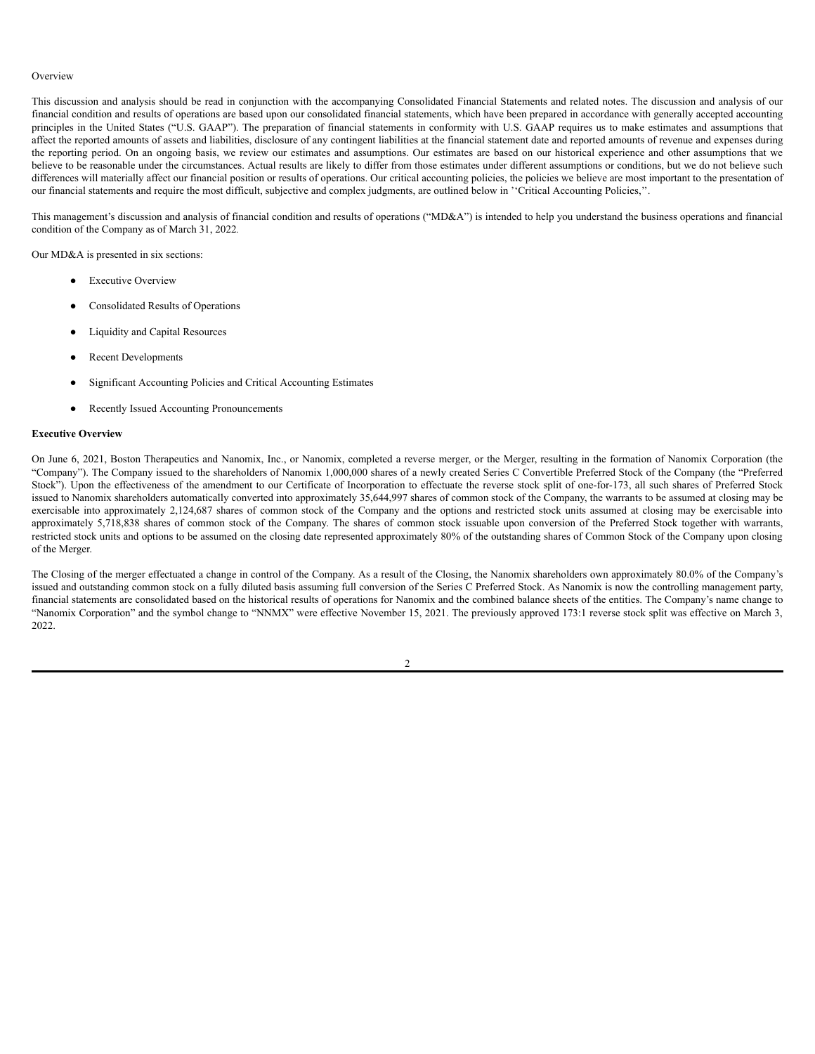#### **Overview**

This discussion and analysis should be read in conjunction with the accompanying Consolidated Financial Statements and related notes. The discussion and analysis of our financial condition and results of operations are based upon our consolidated financial statements, which have been prepared in accordance with generally accepted accounting principles in the United States ("U.S. GAAP"). The preparation of financial statements in conformity with U.S. GAAP requires us to make estimates and assumptions that affect the reported amounts of assets and liabilities, disclosure of any contingent liabilities at the financial statement date and reported amounts of revenue and expenses during the reporting period. On an ongoing basis, we review our estimates and assumptions. Our estimates are based on our historical experience and other assumptions that we believe to be reasonable under the circumstances. Actual results are likely to differ from those estimates under different assumptions or conditions, but we do not believe such differences will materially affect our financial position or results of operations. Our critical accounting policies, the policies we believe are most important to the presentation of our financial statements and require the most difficult, subjective and complex judgments, are outlined below in ''Critical Accounting Policies,''.

This management's discussion and analysis of financial condition and results of operations ("MD&A") is intended to help you understand the business operations and financial condition of the Company as of March 31, 2022*.*

Our MD&A is presented in six sections:

- **Executive Overview**
- Consolidated Results of Operations
- Liquidity and Capital Resources
- **Recent Developments**
- Significant Accounting Policies and Critical Accounting Estimates
- Recently Issued Accounting Pronouncements

#### **Executive Overview**

On June 6, 2021, Boston Therapeutics and Nanomix, Inc., or Nanomix, completed a reverse merger, or the Merger, resulting in the formation of Nanomix Corporation (the "Company"). The Company issued to the shareholders of Nanomix 1,000,000 shares of a newly created Series C Convertible Preferred Stock of the Company (the "Preferred Stock"). Upon the effectiveness of the amendment to our Certificate of Incorporation to effectuate the reverse stock split of one-for-173, all such shares of Preferred Stock issued to Nanomix shareholders automatically converted into approximately 35,644,997 shares of common stock of the Company, the warrants to be assumed at closing may be exercisable into approximately 2,124,687 shares of common stock of the Company and the options and restricted stock units assumed at closing may be exercisable into approximately 5,718,838 shares of common stock of the Company. The shares of common stock issuable upon conversion of the Preferred Stock together with warrants, restricted stock units and options to be assumed on the closing date represented approximately 80% of the outstanding shares of Common Stock of the Company upon closing of the Merger.

The Closing of the merger effectuated a change in control of the Company. As a result of the Closing, the Nanomix shareholders own approximately 80.0% of the Company's issued and outstanding common stock on a fully diluted basis assuming full conversion of the Series C Preferred Stock. As Nanomix is now the controlling management party, financial statements are consolidated based on the historical results of operations for Nanomix and the combined balance sheets of the entities. The Company's name change to "Nanomix Corporation" and the symbol change to "NNMX" were effective November 15, 2021. The previously approved 173:1 reverse stock split was effective on March 3, 2022.

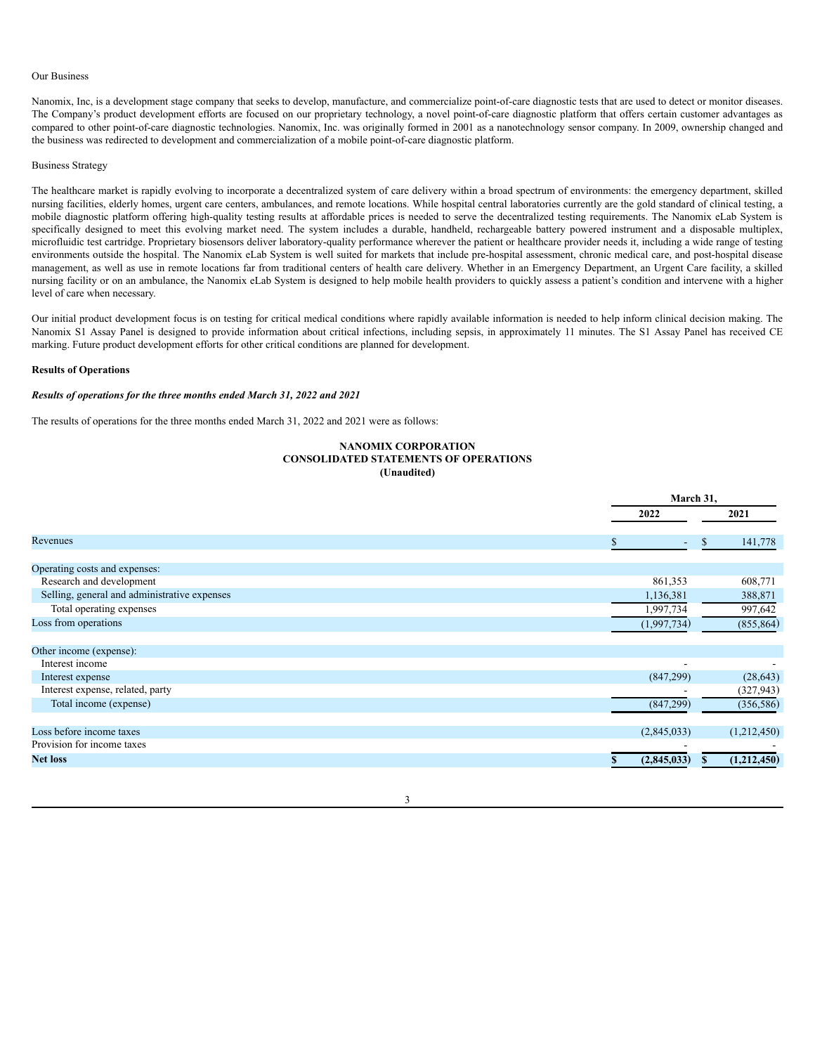#### Our Business

Nanomix, Inc, is a development stage company that seeks to develop, manufacture, and commercialize point-of-care diagnostic tests that are used to detect or monitor diseases. The Company's product development efforts are focused on our proprietary technology, a novel point-of-care diagnostic platform that offers certain customer advantages as compared to other point-of-care diagnostic technologies. Nanomix, Inc. was originally formed in 2001 as a nanotechnology sensor company. In 2009, ownership changed and the business was redirected to development and commercialization of a mobile point-of-care diagnostic platform.

#### Business Strategy

The healthcare market is rapidly evolving to incorporate a decentralized system of care delivery within a broad spectrum of environments: the emergency department, skilled nursing facilities, elderly homes, urgent care centers, ambulances, and remote locations. While hospital central laboratories currently are the gold standard of clinical testing, a mobile diagnostic platform offering high-quality testing results at affordable prices is needed to serve the decentralized testing requirements. The Nanomix eLab System is specifically designed to meet this evolving market need. The system includes a durable, handheld, rechargeable battery powered instrument and a disposable multiplex, microfluidic test cartridge. Proprietary biosensors deliver laboratory-quality performance wherever the patient or healthcare provider needs it, including a wide range of testing environments outside the hospital. The Nanomix eLab System is well suited for markets that include pre-hospital assessment, chronic medical care, and post-hospital disease management, as well as use in remote locations far from traditional centers of health care delivery. Whether in an Emergency Department, an Urgent Care facility, a skilled nursing facility or on an ambulance, the Nanomix eLab System is designed to help mobile health providers to quickly assess a patient's condition and intervene with a higher level of care when necessary.

Our initial product development focus is on testing for critical medical conditions where rapidly available information is needed to help inform clinical decision making. The Nanomix S1 Assay Panel is designed to provide information about critical infections, including sepsis, in approximately 11 minutes. The S1 Assay Panel has received CE marking. Future product development efforts for other critical conditions are planned for development.

### **Results of Operations**

# *Results of operations for the three months ended March 31, 2022 and 2021*

The results of operations for the three months ended March 31, 2022 and 2021 were as follows:

# **NANOMIX CORPORATION CONSOLIDATED STATEMENTS OF OPERATIONS (Unaudited)**

|                                              | March 31,     |               |
|----------------------------------------------|---------------|---------------|
|                                              | 2022          | 2021          |
| Revenues                                     | \$<br>٠       | 141,778<br>\$ |
|                                              |               |               |
| Operating costs and expenses:                |               |               |
| Research and development                     | 861,353       | 608,771       |
| Selling, general and administrative expenses | 1,136,381     | 388,871       |
| Total operating expenses                     | 1,997,734     | 997,642       |
| Loss from operations                         | (1,997,734)   | (855, 864)    |
| Other income (expense):                      |               |               |
| Interest income                              | ٠             |               |
| Interest expense                             | (847,299)     | (28, 643)     |
| Interest expense, related, party             |               | (327, 943)    |
| Total income (expense)                       | (847,299)     | (356, 586)    |
|                                              |               |               |
| Loss before income taxes                     | (2,845,033)   | (1,212,450)   |
| Provision for income taxes                   |               |               |
| <b>Net loss</b>                              | (2, 845, 033) | (1,212,450)   |

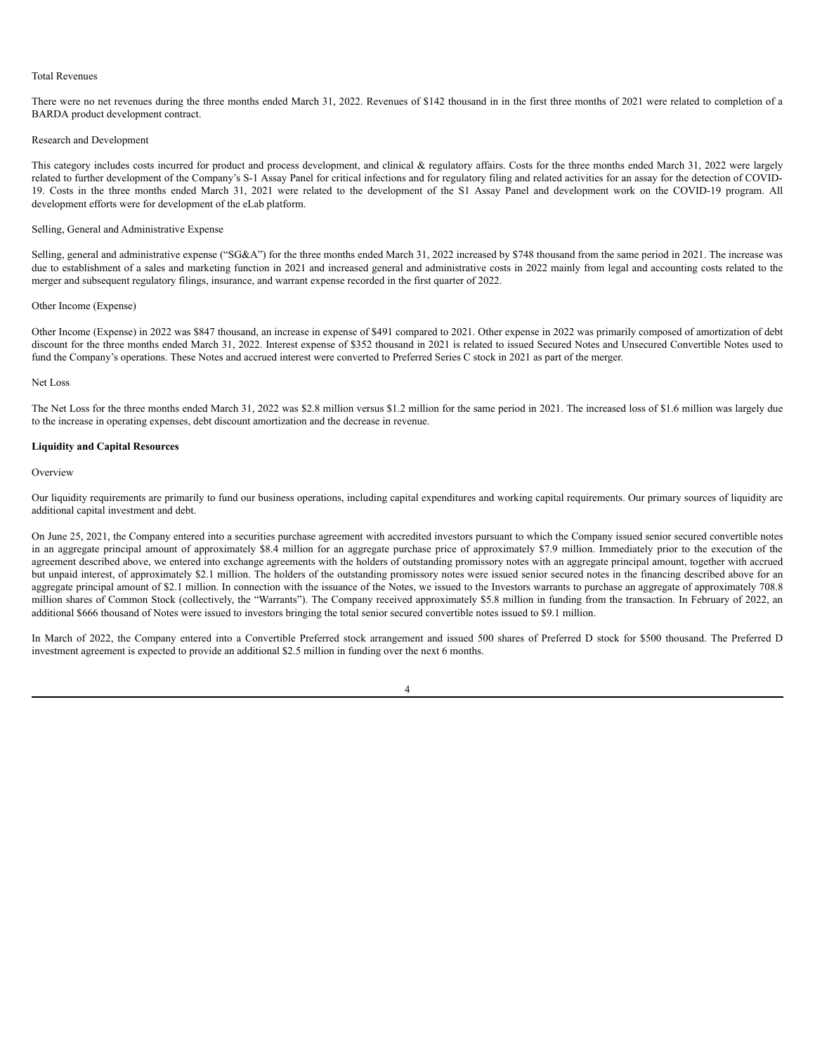#### Total Revenues

There were no net revenues during the three months ended March 31, 2022. Revenues of \$142 thousand in in the first three months of 2021 were related to completion of a BARDA product development contract.

### Research and Development

This category includes costs incurred for product and process development, and clinical & regulatory affairs. Costs for the three months ended March 31, 2022 were largely related to further development of the Company's S-1 Assay Panel for critical infections and for regulatory filing and related activities for an assay for the detection of COVID-19. Costs in the three months ended March 31, 2021 were related to the development of the S1 Assay Panel and development work on the COVID-19 program. All development efforts were for development of the eLab platform.

## Selling, General and Administrative Expense

Selling, general and administrative expense ("SG&A") for the three months ended March 31, 2022 increased by \$748 thousand from the same period in 2021. The increase was due to establishment of a sales and marketing function in 2021 and increased general and administrative costs in 2022 mainly from legal and accounting costs related to the merger and subsequent regulatory filings, insurance, and warrant expense recorded in the first quarter of 2022.

## Other Income (Expense)

Other Income (Expense) in 2022 was \$847 thousand, an increase in expense of \$491 compared to 2021. Other expense in 2022 was primarily composed of amortization of debt discount for the three months ended March 31, 2022. Interest expense of \$352 thousand in 2021 is related to issued Secured Notes and Unsecured Convertible Notes used to fund the Company's operations. These Notes and accrued interest were converted to Preferred Series C stock in 2021 as part of the merger.

### Net Loss

The Net Loss for the three months ended March 31, 2022 was \$2.8 million versus \$1.2 million for the same period in 2021. The increased loss of \$1.6 million was largely due to the increase in operating expenses, debt discount amortization and the decrease in revenue.

## **Liquidity and Capital Resources**

#### **Overview**

Our liquidity requirements are primarily to fund our business operations, including capital expenditures and working capital requirements. Our primary sources of liquidity are additional capital investment and debt.

On June 25, 2021, the Company entered into a securities purchase agreement with accredited investors pursuant to which the Company issued senior secured convertible notes in an aggregate principal amount of approximately \$8.4 million for an aggregate purchase price of approximately \$7.9 million. Immediately prior to the execution of the agreement described above, we entered into exchange agreements with the holders of outstanding promissory notes with an aggregate principal amount, together with accrued but unpaid interest, of approximately \$2.1 million. The holders of the outstanding promissory notes were issued senior secured notes in the financing described above for an aggregate principal amount of \$2.1 million. In connection with the issuance of the Notes, we issued to the Investors warrants to purchase an aggregate of approximately 708.8 million shares of Common Stock (collectively, the "Warrants"). The Company received approximately \$5.8 million in funding from the transaction. In February of 2022, an additional \$666 thousand of Notes were issued to investors bringing the total senior secured convertible notes issued to \$9.1 million.

In March of 2022, the Company entered into a Convertible Preferred stock arrangement and issued 500 shares of Preferred D stock for \$500 thousand. The Preferred D investment agreement is expected to provide an additional \$2.5 million in funding over the next 6 months.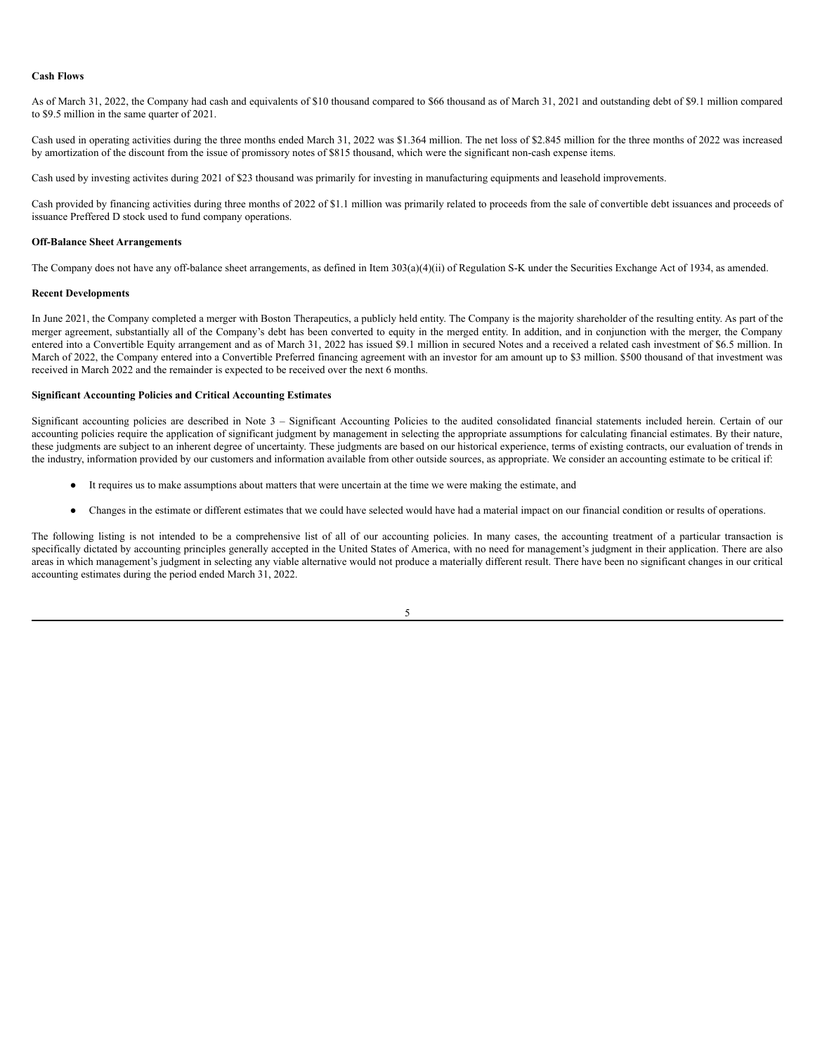#### **Cash Flows**

As of March 31, 2022, the Company had cash and equivalents of \$10 thousand compared to \$66 thousand as of March 31, 2021 and outstanding debt of \$9.1 million compared to \$9.5 million in the same quarter of 2021.

Cash used in operating activities during the three months ended March 31, 2022 was \$1.364 million. The net loss of \$2.845 million for the three months of 2022 was increased by amortization of the discount from the issue of promissory notes of \$815 thousand, which were the significant non-cash expense items.

Cash used by investing activites during 2021 of \$23 thousand was primarily for investing in manufacturing equipments and leasehold improvements.

Cash provided by financing activities during three months of 2022 of \$1.1 million was primarily related to proceeds from the sale of convertible debt issuances and proceeds of issuance Preffered D stock used to fund company operations.

### **Off-Balance Sheet Arrangements**

The Company does not have any off-balance sheet arrangements, as defined in Item 303(a)(4)(ii) of Regulation S-K under the Securities Exchange Act of 1934, as amended.

### **Recent Developments**

In June 2021, the Company completed a merger with Boston Therapeutics, a publicly held entity. The Company is the majority shareholder of the resulting entity. As part of the merger agreement, substantially all of the Company's debt has been converted to equity in the merged entity. In addition, and in conjunction with the merger, the Company entered into a Convertible Equity arrangement and as of March 31, 2022 has issued \$9.1 million in secured Notes and a received a related cash investment of \$6.5 million. In March of 2022, the Company entered into a Convertible Preferred financing agreement with an investor for am amount up to \$3 million. \$500 thousand of that investment was received in March 2022 and the remainder is expected to be received over the next 6 months.

# **Significant Accounting Policies and Critical Accounting Estimates**

Significant accounting policies are described in Note 3 – Significant Accounting Policies to the audited consolidated financial statements included herein. Certain of our accounting policies require the application of significant judgment by management in selecting the appropriate assumptions for calculating financial estimates. By their nature, these judgments are subject to an inherent degree of uncertainty. These judgments are based on our historical experience, terms of existing contracts, our evaluation of trends in the industry, information provided by our customers and information available from other outside sources, as appropriate. We consider an accounting estimate to be critical if:

- It requires us to make assumptions about matters that were uncertain at the time we were making the estimate, and
- Changes in the estimate or different estimates that we could have selected would have had a material impact on our financial condition or results of operations.

The following listing is not intended to be a comprehensive list of all of our accounting policies. In many cases, the accounting treatment of a particular transaction is specifically dictated by accounting principles generally accepted in the United States of America, with no need for management's judgment in their application. There are also areas in which management's judgment in selecting any viable alternative would not produce a materially different result. There have been no significant changes in our critical accounting estimates during the period ended March 31, 2022.

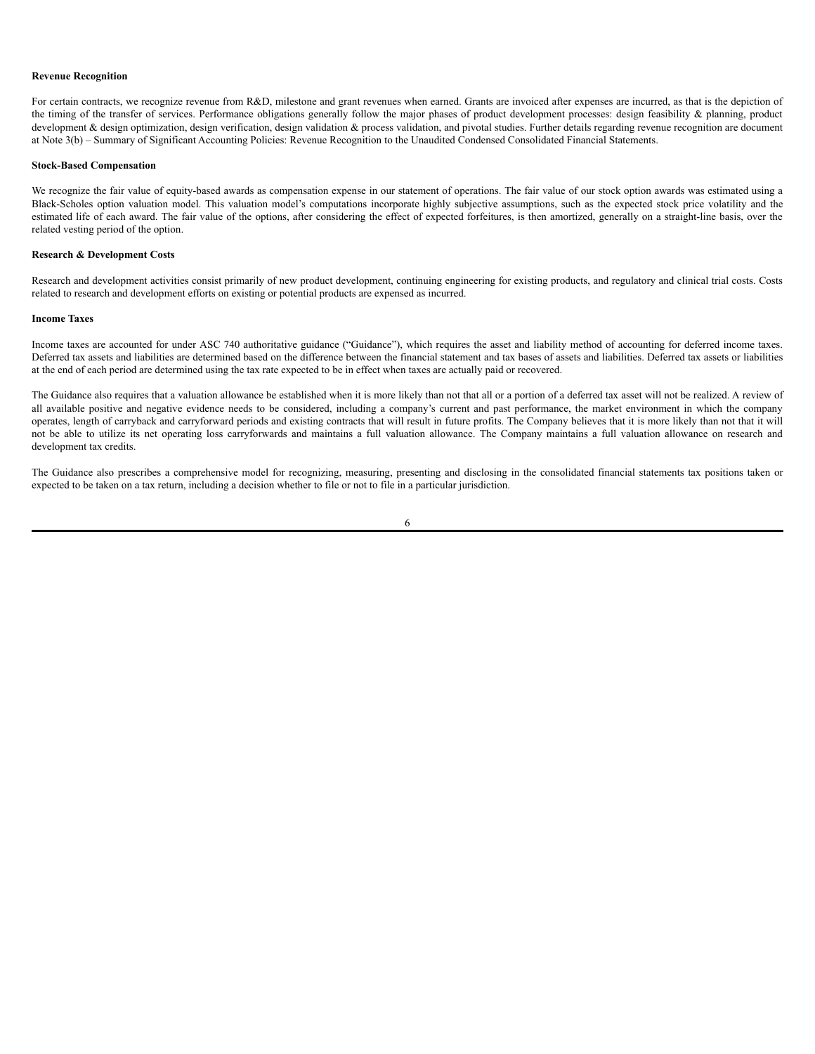#### **Revenue Recognition**

For certain contracts, we recognize revenue from R&D, milestone and grant revenues when earned. Grants are invoiced after expenses are incurred, as that is the depiction of the timing of the transfer of services. Performance obligations generally follow the major phases of product development processes: design feasibility & planning, product development  $\&$  design optimization, design verification, design validation  $\&$  process validation, and pivotal studies. Further details regarding revenue recognition are document at Note 3(b) – Summary of Significant Accounting Policies: Revenue Recognition to the Unaudited Condensed Consolidated Financial Statements.

#### **Stock-Based Compensation**

We recognize the fair value of equity-based awards as compensation expense in our statement of operations. The fair value of our stock option awards was estimated using a Black-Scholes option valuation model. This valuation model's computations incorporate highly subjective assumptions, such as the expected stock price volatility and the estimated life of each award. The fair value of the options, after considering the effect of expected forfeitures, is then amortized, generally on a straight-line basis, over the related vesting period of the option.

## **Research & Development Costs**

Research and development activities consist primarily of new product development, continuing engineering for existing products, and regulatory and clinical trial costs. Costs related to research and development efforts on existing or potential products are expensed as incurred.

#### **Income Taxes**

Income taxes are accounted for under ASC 740 authoritative guidance ("Guidance"), which requires the asset and liability method of accounting for deferred income taxes. Deferred tax assets and liabilities are determined based on the difference between the financial statement and tax bases of assets and liabilities. Deferred tax assets or liabilities at the end of each period are determined using the tax rate expected to be in effect when taxes are actually paid or recovered.

The Guidance also requires that a valuation allowance be established when it is more likely than not that all or a portion of a deferred tax asset will not be realized. A review of all available positive and negative evidence needs to be considered, including a company's current and past performance, the market environment in which the company operates, length of carryback and carryforward periods and existing contracts that will result in future profits. The Company believes that it is more likely than not that it will not be able to utilize its net operating loss carryforwards and maintains a full valuation allowance. The Company maintains a full valuation allowance on research and development tax credits.

The Guidance also prescribes a comprehensive model for recognizing, measuring, presenting and disclosing in the consolidated financial statements tax positions taken or expected to be taken on a tax return, including a decision whether to file or not to file in a particular jurisdiction.

|        | v<br>٧ |   |
|--------|--------|---|
|        |        |   |
| ٦<br>٠ |        |   |
|        |        |   |
|        | I      | I |
| ×      | ۰,     |   |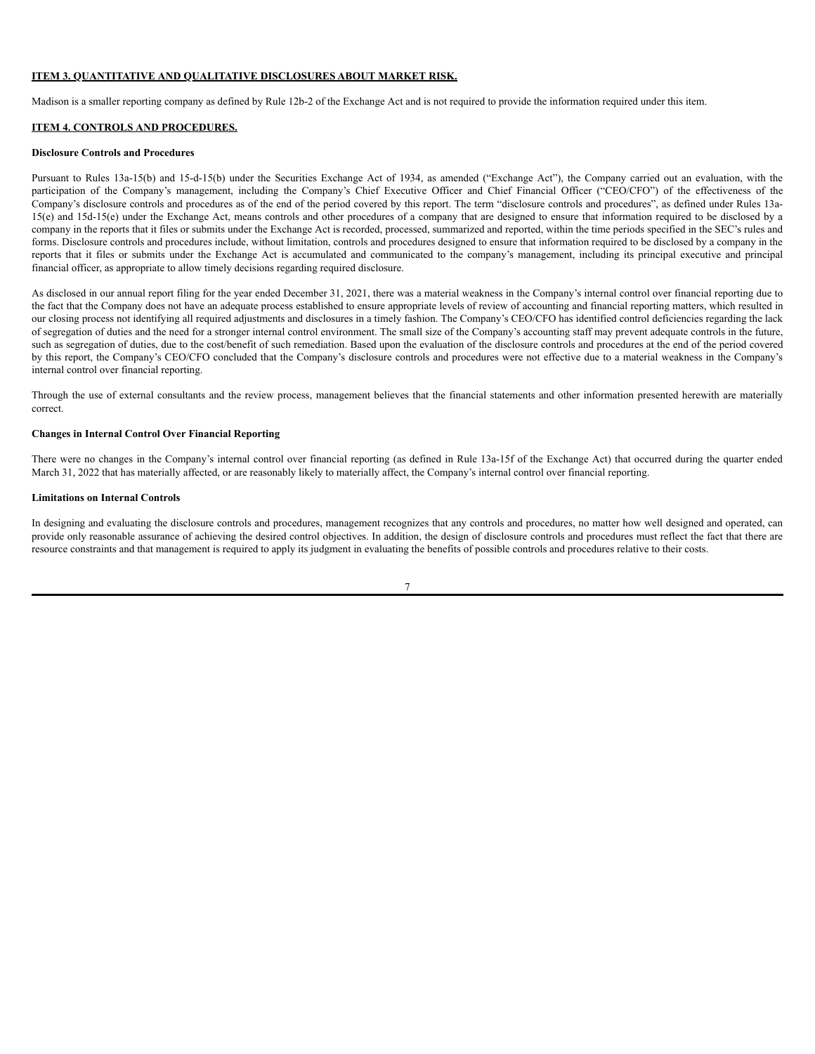# **ITEM 3. QUANTITATIVE AND QUALITATIVE DISCLOSURES ABOUT MARKET RISK.**

Madison is a smaller reporting company as defined by Rule 12b-2 of the Exchange Act and is not required to provide the information required under this item.

# **ITEM 4. CONTROLS AND PROCEDURES.**

### **Disclosure Controls and Procedures**

Pursuant to Rules 13a-15(b) and 15-d-15(b) under the Securities Exchange Act of 1934, as amended ("Exchange Act"), the Company carried out an evaluation, with the participation of the Company's management, including the Company's Chief Executive Officer and Chief Financial Officer ("CEO/CFO") of the effectiveness of the Company's disclosure controls and procedures as of the end of the period covered by this report. The term "disclosure controls and procedures", as defined under Rules 13a-15(e) and 15d-15(e) under the Exchange Act, means controls and other procedures of a company that are designed to ensure that information required to be disclosed by a company in the reports that it files or submits under the Exchange Act is recorded, processed, summarized and reported, within the time periods specified in the SEC's rules and forms. Disclosure controls and procedures include, without limitation, controls and procedures designed to ensure that information required to be disclosed by a company in the reports that it files or submits under the Exchange Act is accumulated and communicated to the company's management, including its principal executive and principal financial officer, as appropriate to allow timely decisions regarding required disclosure.

As disclosed in our annual report filing for the year ended December 31, 2021, there was a material weakness in the Company's internal control over financial reporting due to the fact that the Company does not have an adequate process established to ensure appropriate levels of review of accounting and financial reporting matters, which resulted in our closing process not identifying all required adjustments and disclosures in a timely fashion. The Company's CEO/CFO has identified control deficiencies regarding the lack of segregation of duties and the need for a stronger internal control environment. The small size of the Company's accounting staff may prevent adequate controls in the future, such as segregation of duties, due to the cost/benefit of such remediation. Based upon the evaluation of the disclosure controls and procedures at the end of the period covered by this report, the Company's CEO/CFO concluded that the Company's disclosure controls and procedures were not effective due to a material weakness in the Company's internal control over financial reporting.

Through the use of external consultants and the review process, management believes that the financial statements and other information presented herewith are materially correct.

# **Changes in Internal Control Over Financial Reporting**

There were no changes in the Company's internal control over financial reporting (as defined in Rule 13a-15f of the Exchange Act) that occurred during the quarter ended March 31, 2022 that has materially affected, or are reasonably likely to materially affect, the Company's internal control over financial reporting.

### **Limitations on Internal Controls**

In designing and evaluating the disclosure controls and procedures, management recognizes that any controls and procedures, no matter how well designed and operated, can provide only reasonable assurance of achieving the desired control objectives. In addition, the design of disclosure controls and procedures must reflect the fact that there are resource constraints and that management is required to apply its judgment in evaluating the benefits of possible controls and procedures relative to their costs.

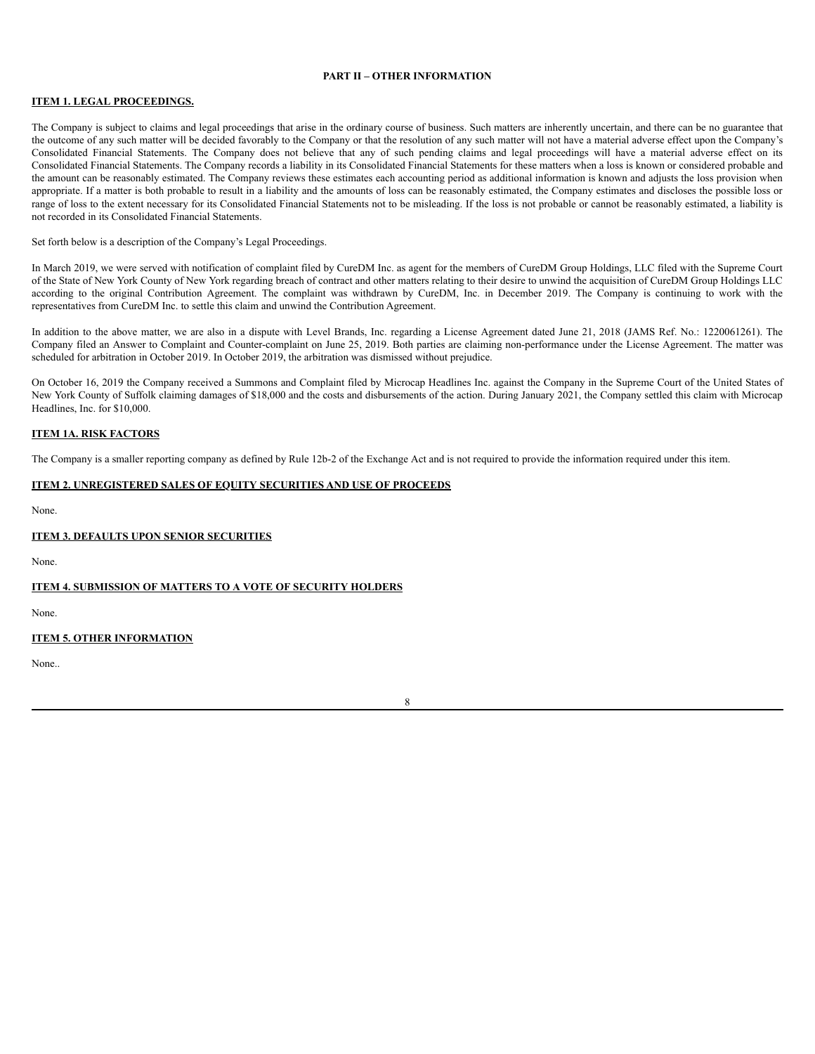# **PART II – OTHER INFORMATION**

# **ITEM 1. LEGAL PROCEEDINGS.**

The Company is subject to claims and legal proceedings that arise in the ordinary course of business. Such matters are inherently uncertain, and there can be no guarantee that the outcome of any such matter will be decided favorably to the Company or that the resolution of any such matter will not have a material adverse effect upon the Company's Consolidated Financial Statements. The Company does not believe that any of such pending claims and legal proceedings will have a material adverse effect on its Consolidated Financial Statements. The Company records a liability in its Consolidated Financial Statements for these matters when a loss is known or considered probable and the amount can be reasonably estimated. The Company reviews these estimates each accounting period as additional information is known and adjusts the loss provision when appropriate. If a matter is both probable to result in a liability and the amounts of loss can be reasonably estimated, the Company estimates and discloses the possible loss or range of loss to the extent necessary for its Consolidated Financial Statements not to be misleading. If the loss is not probable or cannot be reasonably estimated, a liability is not recorded in its Consolidated Financial Statements.

Set forth below is a description of the Company's Legal Proceedings.

In March 2019, we were served with notification of complaint filed by CureDM Inc. as agent for the members of CureDM Group Holdings, LLC filed with the Supreme Court of the State of New York County of New York regarding breach of contract and other matters relating to their desire to unwind the acquisition of CureDM Group Holdings LLC according to the original Contribution Agreement. The complaint was withdrawn by CureDM, Inc. in December 2019. The Company is continuing to work with the representatives from CureDM Inc. to settle this claim and unwind the Contribution Agreement.

In addition to the above matter, we are also in a dispute with Level Brands, Inc. regarding a License Agreement dated June 21, 2018 (JAMS Ref. No.: 1220061261). The Company filed an Answer to Complaint and Counter-complaint on June 25, 2019. Both parties are claiming non-performance under the License Agreement. The matter was scheduled for arbitration in October 2019. In October 2019, the arbitration was dismissed without prejudice.

On October 16, 2019 the Company received a Summons and Complaint filed by Microcap Headlines Inc. against the Company in the Supreme Court of the United States of New York County of Suffolk claiming damages of \$18,000 and the costs and disbursements of the action. During January 2021, the Company settled this claim with Microcap Headlines, Inc. for \$10,000.

# **ITEM 1A. RISK FACTORS**

The Company is a smaller reporting company as defined by Rule 12b-2 of the Exchange Act and is not required to provide the information required under this item.

# **ITEM 2. UNREGISTERED SALES OF EQUITY SECURITIES AND USE OF PROCEEDS**

None.

# **ITEM 3. DEFAULTS UPON SENIOR SECURITIES**

None.

# **ITEM 4. SUBMISSION OF MATTERS TO A VOTE OF SECURITY HOLDERS**

None.

## **ITEM 5. OTHER INFORMATION**

None..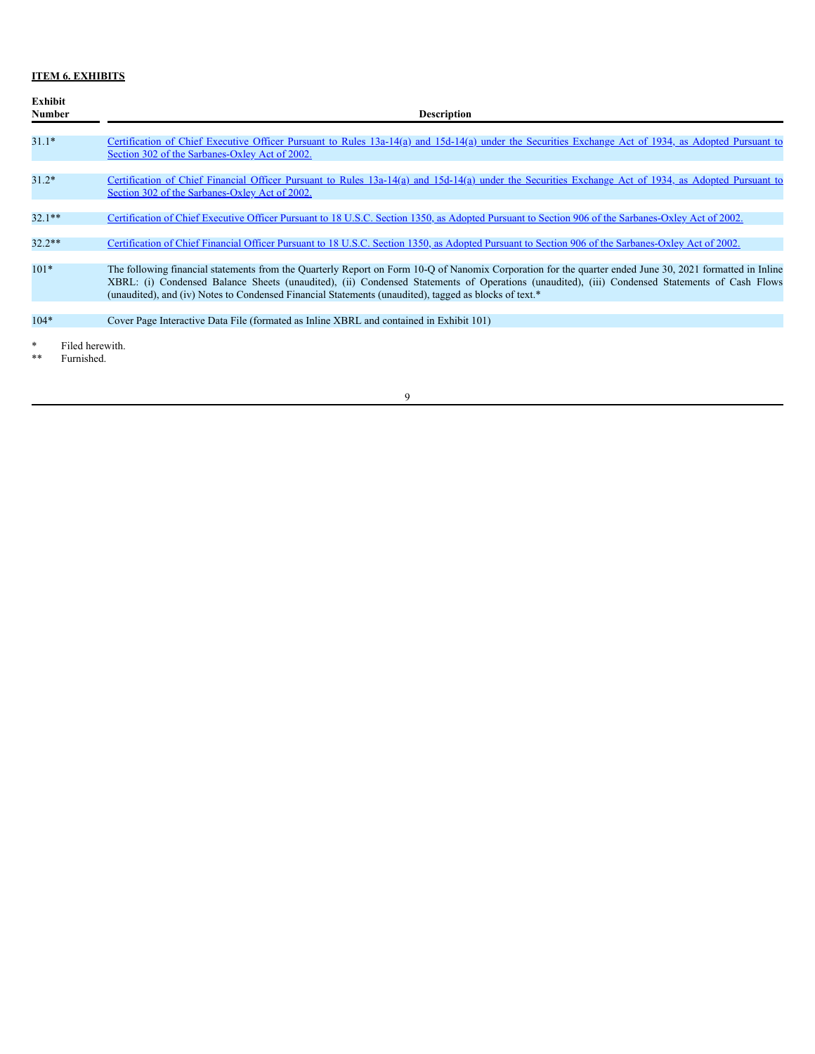# **ITEM 6. EXHIBITS**

| Exhibit<br><b>Number</b> | <b>Description</b>                                                                                                                                                                                                                                                                                                                                                                                                 |
|--------------------------|--------------------------------------------------------------------------------------------------------------------------------------------------------------------------------------------------------------------------------------------------------------------------------------------------------------------------------------------------------------------------------------------------------------------|
| $31.1*$                  | Certification of Chief Executive Officer Pursuant to Rules 13a-14(a) and 15d-14(a) under the Securities Exchange Act of 1934, as Adopted Pursuant to<br>Section 302 of the Sarbanes-Oxley Act of 2002.                                                                                                                                                                                                             |
| $31.2*$                  | Certification of Chief Financial Officer Pursuant to Rules 13a-14(a) and 15d-14(a) under the Securities Exchange Act of 1934, as Adopted Pursuant to<br>Section 302 of the Sarbanes-Oxley Act of 2002.                                                                                                                                                                                                             |
| $32.1**$                 | Certification of Chief Executive Officer Pursuant to 18 U.S.C. Section 1350, as Adopted Pursuant to Section 906 of the Sarbanes-Oxley Act of 2002.                                                                                                                                                                                                                                                                 |
| $32.2**$                 | Certification of Chief Financial Officer Pursuant to 18 U.S.C. Section 1350, as Adopted Pursuant to Section 906 of the Sarbanes-Oxley Act of 2002.                                                                                                                                                                                                                                                                 |
| $101*$                   | The following financial statements from the Quarterly Report on Form 10-Q of Nanomix Corporation for the quarter ended June 30, 2021 formatted in Inline<br>XBRL: (i) Condensed Balance Sheets (unaudited), (ii) Condensed Statements of Operations (unaudited), (iii) Condensed Statements of Cash Flows<br>(unaudited), and (iv) Notes to Condensed Financial Statements (unaudited), tagged as blocks of text.* |
| $104*$                   | Cover Page Interactive Data File (formated as Inline XBRL and contained in Exhibit 101)                                                                                                                                                                                                                                                                                                                            |
| $\ast$<br>**             | Filed herewith.<br>Furnished.                                                                                                                                                                                                                                                                                                                                                                                      |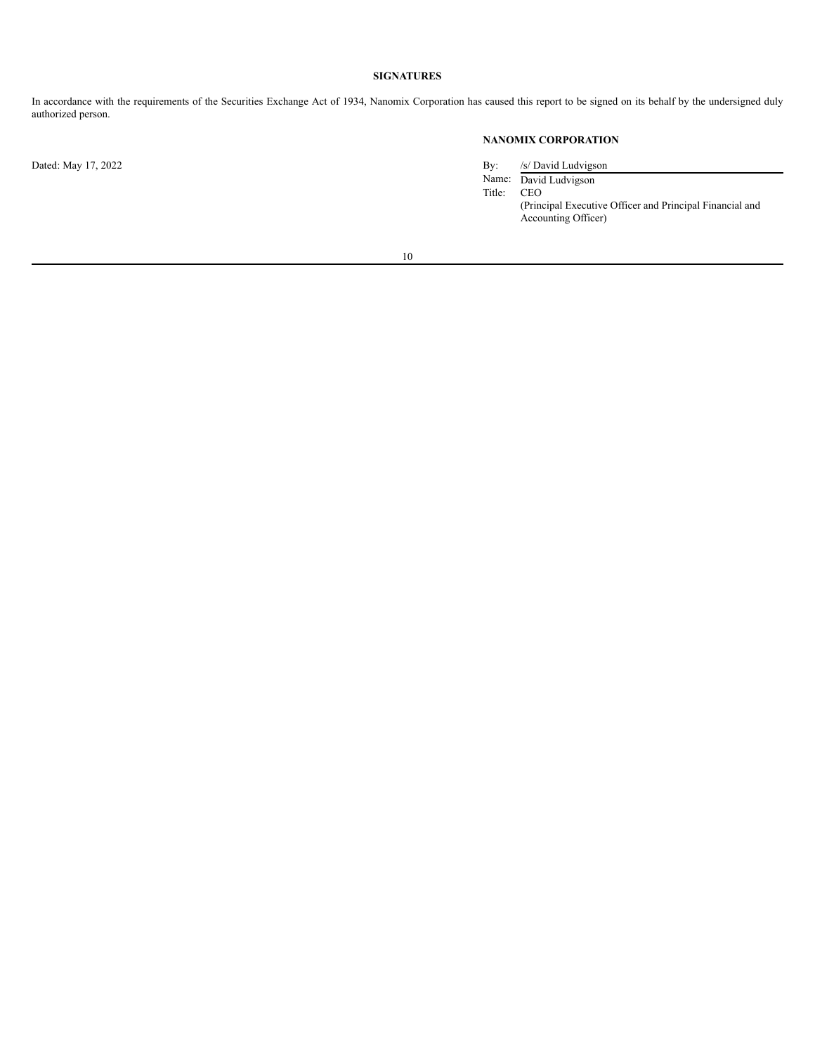# **SIGNATURES**

In accordance with the requirements of the Securities Exchange Act of 1934, Nanomix Corporation has caused this report to be signed on its behalf by the undersigned duly authorized person.

# **NANOMIX CORPORATION**

Dated: May 17, 2022 By: /s/ David Ludvigson Name: David Ludvigson Title: CEO (Principal Executive Officer and Principal Financial and Accounting Officer)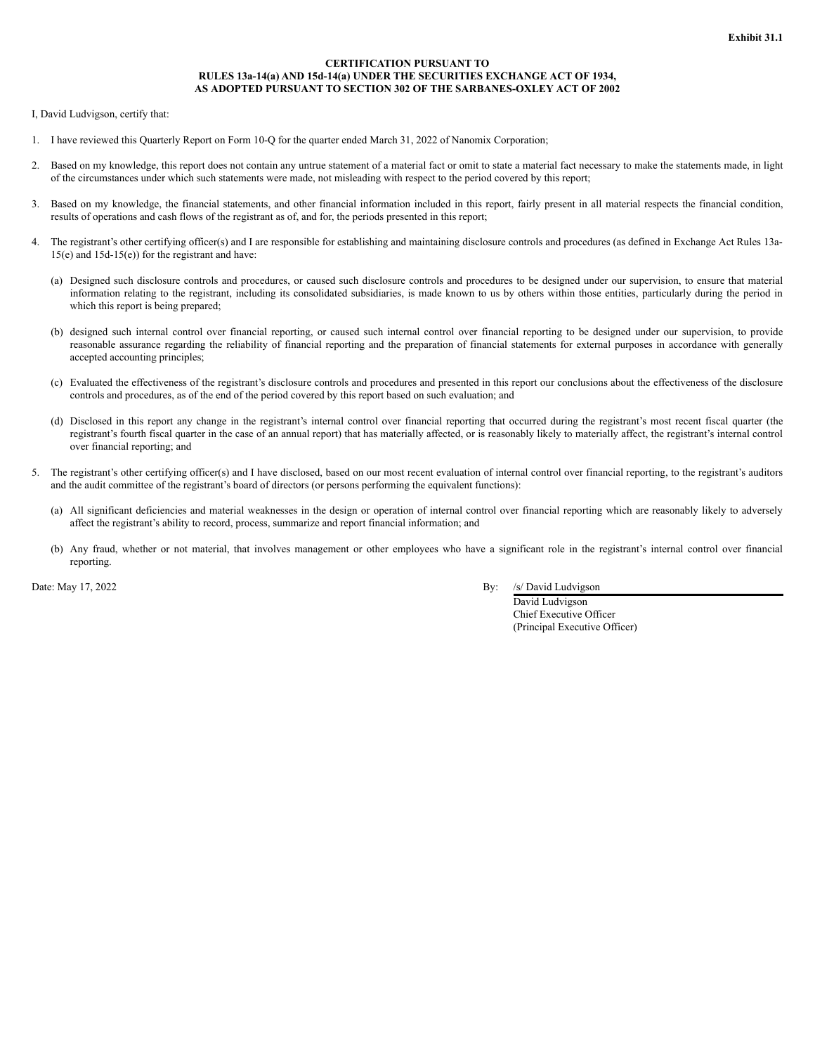# **CERTIFICATION PURSUANT TO RULES 13a-14(a) AND 15d-14(a) UNDER THE SECURITIES EXCHANGE ACT OF 1934, AS ADOPTED PURSUANT TO SECTION 302 OF THE SARBANES-OXLEY ACT OF 2002**

I, David Ludvigson, certify that:

- 1. I have reviewed this Quarterly Report on Form 10-Q for the quarter ended March 31, 2022 of Nanomix Corporation;
- Based on my knowledge, this report does not contain any untrue statement of a material fact or omit to state a material fact necessary to make the statements made, in light of the circumstances under which such statements were made, not misleading with respect to the period covered by this report;
- 3. Based on my knowledge, the financial statements, and other financial information included in this report, fairly present in all material respects the financial condition, results of operations and cash flows of the registrant as of, and for, the periods presented in this report;
- 4. The registrant's other certifying officer(s) and I are responsible for establishing and maintaining disclosure controls and procedures (as defined in Exchange Act Rules 13a-15(e) and 15d-15(e)) for the registrant and have:
	- (a) Designed such disclosure controls and procedures, or caused such disclosure controls and procedures to be designed under our supervision, to ensure that material information relating to the registrant, including its consolidated subsidiaries, is made known to us by others within those entities, particularly during the period in which this report is being prepared;
	- (b) designed such internal control over financial reporting, or caused such internal control over financial reporting to be designed under our supervision, to provide reasonable assurance regarding the reliability of financial reporting and the preparation of financial statements for external purposes in accordance with generally accepted accounting principles;
	- (c) Evaluated the effectiveness of the registrant's disclosure controls and procedures and presented in this report our conclusions about the effectiveness of the disclosure controls and procedures, as of the end of the period covered by this report based on such evaluation; and
	- (d) Disclosed in this report any change in the registrant's internal control over financial reporting that occurred during the registrant's most recent fiscal quarter (the registrant's fourth fiscal quarter in the case of an annual report) that has materially affected, or is reasonably likely to materially affect, the registrant's internal control over financial reporting; and
- 5. The registrant's other certifying officer(s) and I have disclosed, based on our most recent evaluation of internal control over financial reporting, to the registrant's auditors and the audit committee of the registrant's board of directors (or persons performing the equivalent functions):
	- (a) All significant deficiencies and material weaknesses in the design or operation of internal control over financial reporting which are reasonably likely to adversely affect the registrant's ability to record, process, summarize and report financial information; and
	- (b) Any fraud, whether or not material, that involves management or other employees who have a significant role in the registrant's internal control over financial reporting.

### Date: May 17, 2022 By: /s/ David Ludvigson

David Ludvigson Chief Executive Officer (Principal Executive Officer)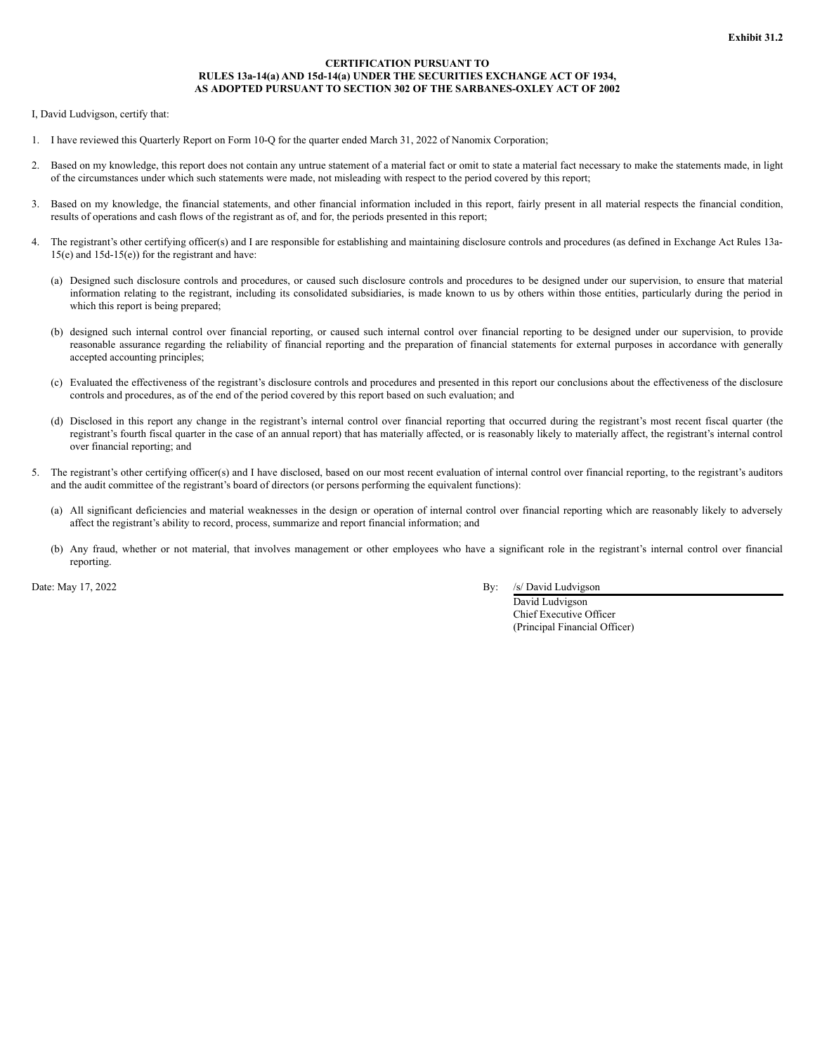# **CERTIFICATION PURSUANT TO RULES 13a-14(a) AND 15d-14(a) UNDER THE SECURITIES EXCHANGE ACT OF 1934, AS ADOPTED PURSUANT TO SECTION 302 OF THE SARBANES-OXLEY ACT OF 2002**

I, David Ludvigson, certify that:

- 1. I have reviewed this Quarterly Report on Form 10-Q for the quarter ended March 31, 2022 of Nanomix Corporation;
- Based on my knowledge, this report does not contain any untrue statement of a material fact or omit to state a material fact necessary to make the statements made, in light of the circumstances under which such statements were made, not misleading with respect to the period covered by this report;
- 3. Based on my knowledge, the financial statements, and other financial information included in this report, fairly present in all material respects the financial condition, results of operations and cash flows of the registrant as of, and for, the periods presented in this report;
- 4. The registrant's other certifying officer(s) and I are responsible for establishing and maintaining disclosure controls and procedures (as defined in Exchange Act Rules 13a-15(e) and 15d-15(e)) for the registrant and have:
	- (a) Designed such disclosure controls and procedures, or caused such disclosure controls and procedures to be designed under our supervision, to ensure that material information relating to the registrant, including its consolidated subsidiaries, is made known to us by others within those entities, particularly during the period in which this report is being prepared;
	- (b) designed such internal control over financial reporting, or caused such internal control over financial reporting to be designed under our supervision, to provide reasonable assurance regarding the reliability of financial reporting and the preparation of financial statements for external purposes in accordance with generally accepted accounting principles;
	- (c) Evaluated the effectiveness of the registrant's disclosure controls and procedures and presented in this report our conclusions about the effectiveness of the disclosure controls and procedures, as of the end of the period covered by this report based on such evaluation; and
	- (d) Disclosed in this report any change in the registrant's internal control over financial reporting that occurred during the registrant's most recent fiscal quarter (the registrant's fourth fiscal quarter in the case of an annual report) that has materially affected, or is reasonably likely to materially affect, the registrant's internal control over financial reporting; and
- 5. The registrant's other certifying officer(s) and I have disclosed, based on our most recent evaluation of internal control over financial reporting, to the registrant's auditors and the audit committee of the registrant's board of directors (or persons performing the equivalent functions):
	- (a) All significant deficiencies and material weaknesses in the design or operation of internal control over financial reporting which are reasonably likely to adversely affect the registrant's ability to record, process, summarize and report financial information; and
	- (b) Any fraud, whether or not material, that involves management or other employees who have a significant role in the registrant's internal control over financial reporting.

Date: May 17, 2022 By: /s/ David Ludvigson

David Ludvigson Chief Executive Officer (Principal Financial Officer)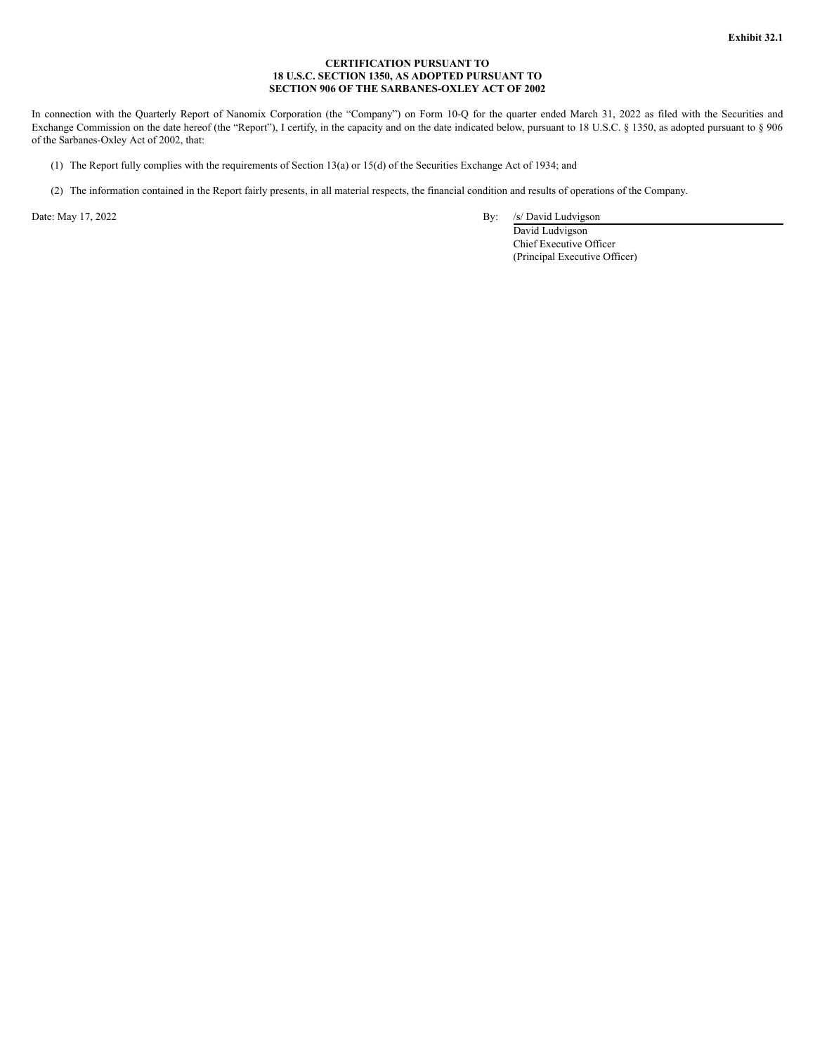# **CERTIFICATION PURSUANT TO 18 U.S.C. SECTION 1350, AS ADOPTED PURSUANT TO SECTION 906 OF THE SARBANES-OXLEY ACT OF 2002**

In connection with the Quarterly Report of Nanomix Corporation (the "Company") on Form 10-Q for the quarter ended March 31, 2022 as filed with the Securities and Exchange Commission on the date hereof (the "Report"), I certify, in the capacity and on the date indicated below, pursuant to 18 U.S.C. § 1350, as adopted pursuant to § 906 of the Sarbanes-Oxley Act of 2002, that:

- (1) The Report fully complies with the requirements of Section 13(a) or 15(d) of the Securities Exchange Act of 1934; and
- (2) The information contained in the Report fairly presents, in all material respects, the financial condition and results of operations of the Company.

Date: May 17, 2022 By: /s/ David Ludvigson

David Ludvigson Chief Executive Officer (Principal Executive Officer)